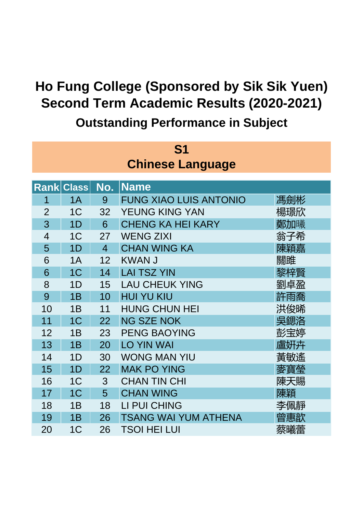| S1                      |                   |                |                               |     |  |  |  |  |
|-------------------------|-------------------|----------------|-------------------------------|-----|--|--|--|--|
| <b>Chinese Language</b> |                   |                |                               |     |  |  |  |  |
|                         |                   |                |                               |     |  |  |  |  |
|                         | <b>Rank Class</b> | No.            | <b>Name</b>                   |     |  |  |  |  |
| 1                       | 1A                | 9              | <b>FUNG XIAO LUIS ANTONIO</b> | 馮劍彬 |  |  |  |  |
| $\overline{2}$          | 1 <sup>C</sup>    | 32             | <b>YEUNG KING YAN</b>         | 楊璟欣 |  |  |  |  |
| 3                       | 1D                | 6              | <b>CHENG KA HEI KARY</b>      | 鄭加曦 |  |  |  |  |
| $\overline{4}$          | 1 <sup>C</sup>    | 27             | <b>WENG ZIXI</b>              | 翁子希 |  |  |  |  |
| 5                       | 1D                | $\overline{4}$ | <b>CHAN WING KA</b>           | 陳穎嘉 |  |  |  |  |
| 6                       | 1A                | 12             | <b>KWAN J</b>                 | 關雎  |  |  |  |  |
| 6                       | 1 <sup>C</sup>    | 14             | <b>LAI TSZ YIN</b>            | 黎梓賢 |  |  |  |  |
| 8                       | 1D                | 15             | <b>LAU CHEUK YING</b>         | 劉卓盈 |  |  |  |  |
| 9                       | 1B                | 10             | <b>HUI YU KIU</b>             | 許雨喬 |  |  |  |  |
| 10                      | 1B                | 11             | <b>HUNG CHUN HEI</b>          | 洪俊晞 |  |  |  |  |
| 11                      | 1 <sup>C</sup>    | 22             | <b>NG SZE NOK</b>             | 吳鍶洛 |  |  |  |  |
| 12                      | 1B                | 23             | <b>PENG BAOYING</b>           | 彭宝婷 |  |  |  |  |
| 13                      | 1B                | 20             | <b>LO YIN WAI</b>             | 盧妍卉 |  |  |  |  |
| 14                      | 1D                | 30             | <b>WONG MAN YIU</b>           | 黃敏遙 |  |  |  |  |
| 15                      | 1D                | 22             | <b>MAK PO YING</b>            | 麥寶瑩 |  |  |  |  |
| 16                      | 1 <sup>C</sup>    | 3              | <b>CHAN TIN CHI</b>           | 陳天賜 |  |  |  |  |
| 17                      | 1 <sup>C</sup>    | 5              | <b>CHAN WING</b>              | 陳穎  |  |  |  |  |
| 18                      | 1B                | 18             | LI PUI CHING                  | 李佩靜 |  |  |  |  |
| 19                      | 1B                | 26             | <b>TSANG WAI YUM ATHENA</b>   | 曾惠歆 |  |  |  |  |
| 20                      | 1 <sup>C</sup>    | 26             | <b>TSOI HEI LUI</b>           | 蔡曦蕾 |  |  |  |  |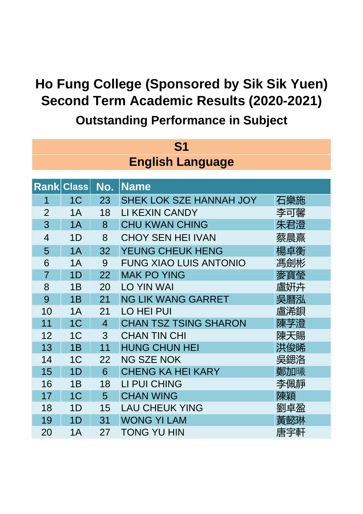| S1             |                         |                 |                                |     |  |  |  |
|----------------|-------------------------|-----------------|--------------------------------|-----|--|--|--|
|                | <b>English Language</b> |                 |                                |     |  |  |  |
|                |                         |                 |                                |     |  |  |  |
|                | <b>Rank Class</b>       | No.             | <b>Name</b>                    |     |  |  |  |
| 1              | 1 <sup>C</sup>          | 23              | <b>SHEK LOK SZE HANNAH JOY</b> | 石樂施 |  |  |  |
| $\overline{2}$ | 1A                      | 18              | LI KEXIN CANDY                 | 李可馨 |  |  |  |
| 3              | 1A                      | 8               | <b>CHU KWAN CHING</b>          | 朱君澄 |  |  |  |
| $\overline{4}$ | 1D                      | 8               | <b>CHOY SEN HEI IVAN</b>       | 蔡晨熹 |  |  |  |
| 5              | 1A                      | 32              | <b>YEUNG CHEUK HENG</b>        | 楊卓衡 |  |  |  |
| 6              | 1A                      | 9               | <b>FUNG XIAO LUIS ANTONIO</b>  | 馮劍彬 |  |  |  |
| $\overline{7}$ | 1D                      | 22              | <b>MAK PO YING</b>             | 麥寶瑩 |  |  |  |
| 8              | 1B                      | 20              | <b>LO YIN WAI</b>              | 盧姸卉 |  |  |  |
| 9              | 1B                      | 21              | <b>NG LIK WANG GARRET</b>      | 吳曆泓 |  |  |  |
| 10             | 1A                      | 21              | LO HEI PUI                     | 盧浠鋇 |  |  |  |
| 11             | 1 <sup>C</sup>          | $\overline{4}$  | <b>CHAN TSZ TSING SHARON</b>   | 陳芓澄 |  |  |  |
| 12             | 1 <sup>C</sup>          | 3               | <b>CHAN TIN CHI</b>            | 陳天賜 |  |  |  |
| 13             | 1B                      | 11              | <b>HUNG CHUN HEI</b>           | 洪俊晞 |  |  |  |
| 14             | 1 <sup>C</sup>          | 22              | <b>NG SZE NOK</b>              | 吳鍶洛 |  |  |  |
| 15             | 1D                      | 6               | <b>CHENG KA HEI KARY</b>       | 鄭加曦 |  |  |  |
| 16             | 1B                      | 18              | LI PUI CHING                   | 李佩靜 |  |  |  |
| 17             | 1 <sup>C</sup>          | $5\overline{)}$ | <b>CHAN WING</b>               | 陳穎  |  |  |  |
| 18             | 1D                      | 15              | <b>LAU CHEUK YING</b>          | 劉卓盈 |  |  |  |
| 19             | 1 <sub>D</sub>          | 31              | <b>WONG YI LAM</b>             | 黃懿琳 |  |  |  |
| 20             | 1A                      | 27              | <b>TONG YU HIN</b>             | 唐宇軒 |  |  |  |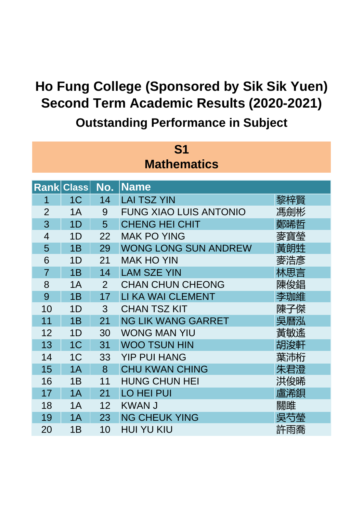| S <sub>1</sub>     |                   |     |                               |     |  |  |  |
|--------------------|-------------------|-----|-------------------------------|-----|--|--|--|
| <b>Mathematics</b> |                   |     |                               |     |  |  |  |
|                    |                   |     |                               |     |  |  |  |
|                    | <b>Rank Class</b> | No. | <b>Name</b>                   |     |  |  |  |
| 1                  | 1 <sup>C</sup>    | 14  | <b>LAI TSZ YIN</b>            | 黎梓賢 |  |  |  |
| $\overline{2}$     | 1A                | 9   | <b>FUNG XIAO LUIS ANTONIO</b> | 馮劍彬 |  |  |  |
| 3                  | 1D                | 5   | <b>CHENG HEI CHIT</b>         | 鄭晞哲 |  |  |  |
| $\overline{4}$     | 1D                | 22  | <b>MAK PO YING</b>            | 麥寶瑩 |  |  |  |
| 5                  | 1B                | 29  | <b>WONG LONG SUN ANDREW</b>   | 黃朗甡 |  |  |  |
| 6                  | 1D                | 21  | <b>MAK HO YIN</b>             | 麥浩彥 |  |  |  |
| $\overline{7}$     | 1B                | 14  | <b>LAM SZE YIN</b>            | 林思言 |  |  |  |
| 8                  | 1A                | 2   | <b>CHAN CHUN CHEONG</b>       | 陳俊錩 |  |  |  |
| 9                  | 1B                | 17  | LI KA WAI CLEMENT             | 李珈維 |  |  |  |
| 10                 | 1 <sub>D</sub>    | 3   | <b>CHAN TSZ KIT</b>           | 陳子傑 |  |  |  |
| 11                 | 1B                | 21  | <b>NG LIK WANG GARRET</b>     | 吳曆泓 |  |  |  |
| 12                 | 1 <sub>D</sub>    | 30  | <b>WONG MAN YIU</b>           | 黃敏遙 |  |  |  |
| 13                 | 1 <sup>C</sup>    | 31  | <b>WOO TSUN HIN</b>           | 胡浚軒 |  |  |  |
| 14                 | 1 <sup>C</sup>    | 33  | <b>YIP PUI HANG</b>           | 葉沛桁 |  |  |  |
| 15                 | 1A                | 8   | <b>CHU KWAN CHING</b>         | 朱君澄 |  |  |  |
| 16                 | 1B                | 11  | <b>HUNG CHUN HEI</b>          | 洪俊晞 |  |  |  |
| 17                 | 1A                | 21  | <b>LO HEI PUI</b>             | 盧浠鋇 |  |  |  |
| 18                 | 1A                | 12  | <b>KWAN J</b>                 | 關雎  |  |  |  |
| 19                 | 1A                | 23  | <b>NG CHEUK YING</b>          | 吳芍榮 |  |  |  |
| 20                 | 1B                | 10  | <b>HUI YU KIU</b>             | 許雨喬 |  |  |  |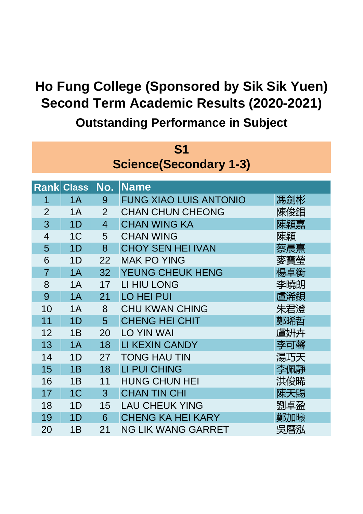| S <sub>1</sub>                |                   |                |                               |     |  |  |  |
|-------------------------------|-------------------|----------------|-------------------------------|-----|--|--|--|
| <b>Science(Secondary 1-3)</b> |                   |                |                               |     |  |  |  |
|                               |                   |                |                               |     |  |  |  |
|                               | <b>Rank Class</b> | No.            | <b>Name</b>                   |     |  |  |  |
| 1                             | 1A                | 9              | <b>FUNG XIAO LUIS ANTONIO</b> | 馮劍彬 |  |  |  |
| $\overline{2}$                | 1A                | $\overline{2}$ | <b>CHAN CHUN CHEONG</b>       | 陳俊錩 |  |  |  |
| 3                             | 1D                | $\overline{4}$ | <b>CHAN WING KA</b>           | 陳穎嘉 |  |  |  |
| $\overline{4}$                | 1 <sup>C</sup>    | 5              | <b>CHAN WING</b>              | 陳穎  |  |  |  |
| 5                             | 1D                | 8              | <b>CHOY SEN HEI IVAN</b>      | 蔡晨熹 |  |  |  |
| 6                             | 1D                | 22             | <b>MAK PO YING</b>            | 麥寶瑩 |  |  |  |
| $\overline{7}$                | 1A                | 32             | YEUNG CHEUK HENG              | 楊卓衡 |  |  |  |
| 8                             | 1A                | 17             | LI HIU LONG                   | 李曉朗 |  |  |  |
| 9                             | 1A                | 21             | <b>LO HEI PUI</b>             | 盧浠鋇 |  |  |  |
| 10                            | 1A                | 8              | <b>CHU KWAN CHING</b>         | 朱君澄 |  |  |  |
| 11                            | 1D                | 5              | <b>CHENG HEI CHIT</b>         | 鄭晞哲 |  |  |  |
| 12                            | 1B                | 20             | <b>LO YIN WAI</b>             | 盧姸卉 |  |  |  |
| 13                            | 1A                | 18             | LI KEXIN CANDY                | 李可馨 |  |  |  |
| 14                            | 1D                | 27             | <b>TONG HAU TIN</b>           | 湯巧天 |  |  |  |
| 15                            | 1B                | 18             | <b>LI PUI CHING</b>           | 李佩靜 |  |  |  |
| 16                            | 1B                | 11             | <b>HUNG CHUN HEI</b>          | 洪俊晞 |  |  |  |
| 17                            | 1 <sup>C</sup>    | 3              | <b>CHAN TIN CHI</b>           | 陳天賜 |  |  |  |
| 18                            | 1D                | 15             | <b>LAU CHEUK YING</b>         | 劉卓盈 |  |  |  |
| 19                            | 1 <sub>D</sub>    | 6              | <b>CHENG KA HEI KARY</b>      | 鄭加曦 |  |  |  |
| 20                            | 1B                | 21             | <b>NG LIK WANG GARRET</b>     | 吳曆泓 |  |  |  |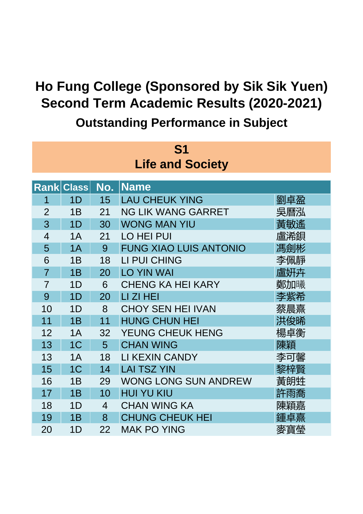| S1                      |                   |     |                               |     |  |  |  |
|-------------------------|-------------------|-----|-------------------------------|-----|--|--|--|
| <b>Life and Society</b> |                   |     |                               |     |  |  |  |
|                         |                   |     |                               |     |  |  |  |
|                         | <b>Rank Class</b> | No. | <b>Name</b>                   |     |  |  |  |
| 1                       | 1D                | 15  | <b>LAU CHEUK YING</b>         | 劉卓盈 |  |  |  |
| $\overline{2}$          | 1B                | 21  | <b>NG LIK WANG GARRET</b>     | 吳曆泓 |  |  |  |
| 3                       | 1D                | 30  | <b>WONG MAN YIU</b>           | 黃敏遙 |  |  |  |
| $\overline{4}$          | 1A                | 21  | <b>LO HEI PUI</b>             | 盧浠鋇 |  |  |  |
| 5                       | 1A                | 9   | <b>FUNG XIAO LUIS ANTONIO</b> | 馮劍彬 |  |  |  |
| 6                       | 1B                | 18  | LI PUI CHING                  | 李佩靜 |  |  |  |
| $\overline{7}$          | 1B                | 20  | <b>LO YIN WAI</b>             | 盧姸卉 |  |  |  |
| $\overline{7}$          | 1 <sub>D</sub>    | 6   | <b>CHENG KA HEI KARY</b>      | 鄭加曦 |  |  |  |
| 9                       | 1 <sub>D</sub>    | 20  | LI ZI HEI                     | 李紫希 |  |  |  |
| 10                      | 1 <sub>D</sub>    | 8   | <b>CHOY SEN HEI IVAN</b>      | 蔡晨熹 |  |  |  |
| 11                      | 1B                | 11  | <b>HUNG CHUN HEI</b>          | 洪俊晞 |  |  |  |
| 12                      | 1A                | 32  | YEUNG CHEUK HENG              | 楊卓衡 |  |  |  |
| 13                      | 1 <sup>C</sup>    | 5   | <b>CHAN WING</b>              | 陳穎  |  |  |  |
| 13                      | 1A                | 18  | LI KEXIN CANDY                | 李可馨 |  |  |  |
| 15                      | 1 <sup>C</sup>    | 14  | <b>LAI TSZ YIN</b>            | 黎梓賢 |  |  |  |
| 16                      | 1B                | 29  | <b>WONG LONG SUN ANDREW</b>   | 黃朗甡 |  |  |  |
| 17                      | 1B                | 10  | <b>HUI YU KIU</b>             | 許雨喬 |  |  |  |
| 18                      | 1D                | 4   | <b>CHAN WING KA</b>           | 陳穎嘉 |  |  |  |
| 19                      | 1B                | 8   | <b>CHUNG CHEUK HEI</b>        | 鍾卓熹 |  |  |  |
| 20                      | 1D                | 22  | <b>MAK PO YING</b>            | 麥寶瑩 |  |  |  |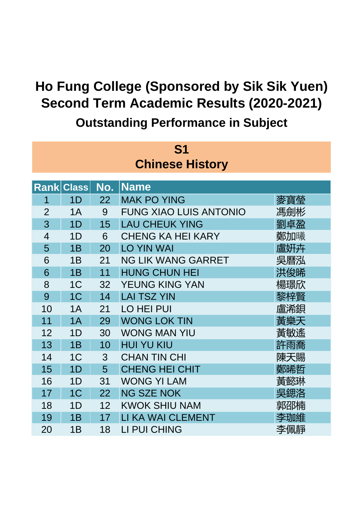| S1                     |                   |     |                               |     |  |  |  |
|------------------------|-------------------|-----|-------------------------------|-----|--|--|--|
| <b>Chinese History</b> |                   |     |                               |     |  |  |  |
|                        |                   |     |                               |     |  |  |  |
|                        | <b>Rank Class</b> | No. | <b>Name</b>                   |     |  |  |  |
| 1                      | 1D                | 22  | <b>MAK PO YING</b>            | 麥寶瑩 |  |  |  |
| $\overline{2}$         | 1A                | 9   | <b>FUNG XIAO LUIS ANTONIO</b> | 馮劍彬 |  |  |  |
| 3                      | 1D                | 15  | <b>LAU CHEUK YING</b>         | 劉卓盈 |  |  |  |
| $\overline{4}$         | 1D                | 6   | <b>CHENG KA HEI KARY</b>      | 鄭加曦 |  |  |  |
| 5                      | 1B                | 20  | <b>LO YIN WAI</b>             | 盧姸卉 |  |  |  |
| 6                      | 1B                | 21  | <b>NG LIK WANG GARRET</b>     | 吳曆泓 |  |  |  |
| 6                      | 1B                | 11  | <b>HUNG CHUN HEI</b>          | 洪俊晞 |  |  |  |
| 8                      | 1 <sup>C</sup>    | 32  | YEUNG KING YAN                | 楊璟欣 |  |  |  |
| 9                      | 1 <sup>C</sup>    | 14  | <b>LAI TSZ YIN</b>            | 黎梓賢 |  |  |  |
| 10                     | 1A                | 21  | <b>LO HEI PUI</b>             | 盧浠鋇 |  |  |  |
| 11                     | 1A                | 29  | <b>WONG LOK TIN</b>           | 黃樂天 |  |  |  |
| 12                     | 1 <sub>D</sub>    | 30  | <b>WONG MAN YIU</b>           | 黃敏遙 |  |  |  |
| 13                     | 1B                | 10  | <b>HUI YU KIU</b>             | 許雨喬 |  |  |  |
| 14                     | 1 <sup>C</sup>    | 3   | <b>CHAN TIN CHI</b>           | 陳天賜 |  |  |  |
| 15                     | 1D                | 5   | <b>CHENG HEI CHIT</b>         | 鄭晞哲 |  |  |  |
| 16                     | 1D                | 31  | <b>WONG YI LAM</b>            | 黃懿琳 |  |  |  |
| 17                     | 1 <sup>C</sup>    | 22  | <b>NG SZE NOK</b>             | 吳鍶洛 |  |  |  |
| 18                     | 1D                | 12  | <b>KWOK SHIU NAM</b>          | 郭邵楠 |  |  |  |
| 19                     | 1B                | 17  | LI KA WAI CLEMENT             | 李珈維 |  |  |  |
| 20                     | 1B                | 18  | LI PUI CHING                  | 李佩靜 |  |  |  |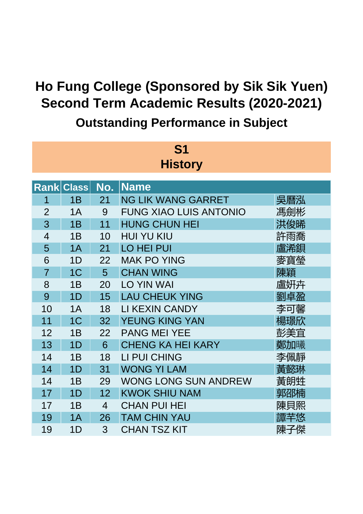| <b>S1</b>      |                   |                |                               |     |  |  |  |
|----------------|-------------------|----------------|-------------------------------|-----|--|--|--|
| <b>History</b> |                   |                |                               |     |  |  |  |
|                | <b>Rank Class</b> |                |                               |     |  |  |  |
|                |                   | No.            | <b>Name</b>                   |     |  |  |  |
| 1              | 1B                | 21             | <b>NG LIK WANG GARRET</b>     | 吳曆泓 |  |  |  |
| $\overline{2}$ | 1A                | 9              | <b>FUNG XIAO LUIS ANTONIO</b> | 馮劍彬 |  |  |  |
| 3              | 1B                | 11             | <b>HUNG CHUN HEI</b>          | 洪俊晞 |  |  |  |
| $\overline{4}$ | 1B                | 10             | <b>HUI YU KIU</b>             | 許雨喬 |  |  |  |
| 5              | 1A                | 21             | <b>LO HEI PUI</b>             | 盧浠鋇 |  |  |  |
| 6              | 1D                | 22             | <b>MAK PO YING</b>            | 麥寶瑩 |  |  |  |
| $\overline{7}$ | 1 <sub>C</sub>    | 5              | <b>CHAN WING</b>              | 陳穎  |  |  |  |
| 8              | 1B                | 20             | <b>LO YIN WAI</b>             | 盧姸卉 |  |  |  |
| 9              | 1D                | 15             | <b>LAU CHEUK YING</b>         | 劉卓盈 |  |  |  |
| 10             | 1A                | 18             | LI KEXIN CANDY                | 李可馨 |  |  |  |
| 11             | 1 <sup>C</sup>    | 32             | YEUNG KING YAN                | 楊璟欣 |  |  |  |
| 12             | 1B                | 22             | <b>PANG MEI YEE</b>           | 彭美宜 |  |  |  |
| 13             | 1D                | 6              | <b>CHENG KA HEI KARY</b>      | 鄭加曦 |  |  |  |
| 14             | 1B                | 18             | LI PUI CHING                  | 李佩靜 |  |  |  |
| 14             | 1D                | 31             | <b>WONG YI LAM</b>            | 黃懿琳 |  |  |  |
| 14             | 1B                | 29             | <b>WONG LONG SUN ANDREW</b>   | 黃朗甡 |  |  |  |
| 17             | 1D                | 12             | <b>KWOK SHIU NAM</b>          | 郭邵楠 |  |  |  |
| 17             | 1B                | $\overline{4}$ | <b>CHAN PUI HEI</b>           | 陳貝熙 |  |  |  |
| 19             | 1A                | 26             | <b>TAM CHIN YAU</b>           | 譚芊悠 |  |  |  |
| 19             | 1D                | 3              | <b>CHAN TSZ KIT</b>           | 陳子傑 |  |  |  |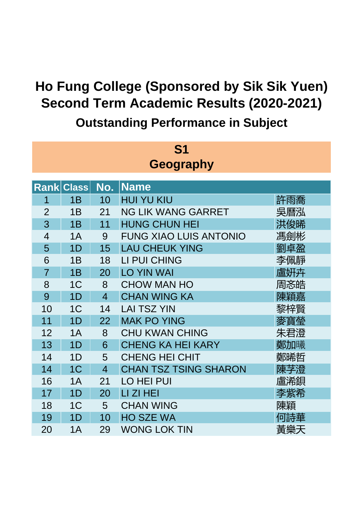| <b>S1</b>        |                   |                |                               |     |  |  |  |  |
|------------------|-------------------|----------------|-------------------------------|-----|--|--|--|--|
| <b>Geography</b> |                   |                |                               |     |  |  |  |  |
|                  | <b>Rank Class</b> |                |                               |     |  |  |  |  |
|                  |                   | No.            | <b>Name</b>                   |     |  |  |  |  |
| 1                | 1B                | 10             | <b>HUI YU KIU</b>             | 許雨喬 |  |  |  |  |
| $\overline{2}$   | 1B                | 21             | <b>NG LIK WANG GARRET</b>     | 吳曆泓 |  |  |  |  |
| 3                | 1B                | 11             | <b>HUNG CHUN HEI</b>          | 洪俊晞 |  |  |  |  |
| $\overline{4}$   | 1A                | 9              | <b>FUNG XIAO LUIS ANTONIO</b> | 馮劍彬 |  |  |  |  |
| 5                | 1D                | 15             | <b>LAU CHEUK YING</b>         | 劉卓盈 |  |  |  |  |
| 6                | 1B                | 18             | LI PUI CHING                  | 李佩靜 |  |  |  |  |
| $\overline{7}$   | 1B                | 20             | <b>LO YIN WAI</b>             | 盧妍卉 |  |  |  |  |
| 8                | 1 <sup>C</sup>    | 8              | <b>CHOW MAN HO</b>            | 周忞皓 |  |  |  |  |
| 9                | 1D                | $\overline{4}$ | <b>CHAN WING KA</b>           | 陳穎嘉 |  |  |  |  |
| 10               | 1 <sup>C</sup>    | 14             | <b>LAI TSZ YIN</b>            | 黎梓賢 |  |  |  |  |
| 11               | 1D                | 22             | <b>MAK PO YING</b>            | 麥寶榮 |  |  |  |  |
| 12               | 1A                | 8              | <b>CHU KWAN CHING</b>         | 朱君澄 |  |  |  |  |
| 13               | 1D                | 6              | <b>CHENG KA HEI KARY</b>      | 鄭加曦 |  |  |  |  |
| 14               | 1 <sub>D</sub>    | 5              | <b>CHENG HEI CHIT</b>         | 鄭晞哲 |  |  |  |  |
| 14               | 1 <sup>C</sup>    | $\overline{4}$ | <b>CHAN TSZ TSING SHARON</b>  | 陳芓澄 |  |  |  |  |
| 16               | 1A                | 21             | <b>LO HEI PUI</b>             | 盧浠鋇 |  |  |  |  |
| 17               | 1D                | 20             | LI ZI HEI                     | 李紫希 |  |  |  |  |
| 18               | 1 <sup>C</sup>    | 5              | <b>CHAN WING</b>              | 陳穎  |  |  |  |  |
| 19               | 1D                | 10             | <b>HO SZE WA</b>              | 何詩華 |  |  |  |  |
| 20               | 1A                | 29             | <b>WONG LOK TIN</b>           | 黃樂天 |  |  |  |  |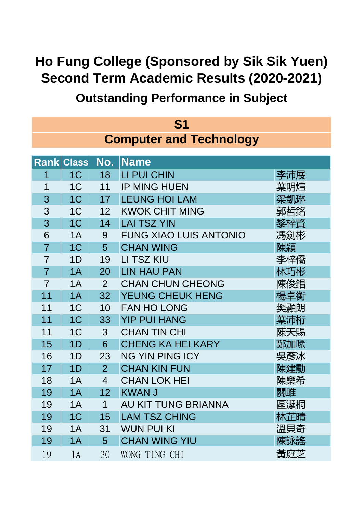| S1                             |                   |                |                               |     |  |  |
|--------------------------------|-------------------|----------------|-------------------------------|-----|--|--|
| <b>Computer and Technology</b> |                   |                |                               |     |  |  |
|                                |                   |                |                               |     |  |  |
|                                | <b>Rank Class</b> | No.            | <b>Name</b>                   |     |  |  |
| 1                              | 1 <sup>C</sup>    | 18             | LI PUI CHIN                   | 李沛展 |  |  |
| 1                              | 1 <sup>C</sup>    | 11             | <b>IP MING HUEN</b>           | 葉明煊 |  |  |
| 3                              | 1 <sup>C</sup>    | 17             | <b>LEUNG HOI LAM</b>          | 梁凱琳 |  |  |
| 3                              | 1 <sup>C</sup>    | 12             | <b>KWOK CHIT MING</b>         | 郭哲銘 |  |  |
| 3                              | 1 <sup>C</sup>    | 14             | <b>LAI TSZ YIN</b>            | 黎梓賢 |  |  |
| 6                              | 1A                | 9              | <b>FUNG XIAO LUIS ANTONIO</b> | 馮劍彬 |  |  |
| $\overline{7}$                 | 1 <sup>C</sup>    | 5              | <b>CHAN WING</b>              | 陳穎  |  |  |
| $\overline{7}$                 | 1 <sub>D</sub>    | 19             | LI TSZ KIU                    | 李梓僑 |  |  |
| $\overline{7}$                 | 1A                | 20             | <b>LIN HAU PAN</b>            | 林巧彬 |  |  |
| $\overline{7}$                 | 1A                | $\overline{2}$ | <b>CHAN CHUN CHEONG</b>       | 陳俊錩 |  |  |
| 11                             | 1A                | 32             | YEUNG CHEUK HENG              | 楊卓衡 |  |  |
| 11                             | 1 <sup>C</sup>    | 10             | <b>FAN HO LONG</b>            | 樊顥朗 |  |  |
| 11                             | 1 <sup>C</sup>    | 33             | <b>YIP PUI HANG</b>           | 葉沛桁 |  |  |
| 11                             | 1 <sup>C</sup>    | 3              | <b>CHAN TIN CHI</b>           | 陳天賜 |  |  |
| 15                             | 1D                | 6              | <b>CHENG KA HEI KARY</b>      | 鄭加曦 |  |  |
| 16                             | 1D                | 23             | <b>NG YIN PING ICY</b>        | 吳彥冰 |  |  |
| 17                             | 1D                | $\overline{2}$ | <b>CHAN KIN FUN</b>           | 陳建勳 |  |  |
| 18                             | 1Α                | 4              | <b>CHAN LOK HEI</b>           | 陳樂希 |  |  |
| 19                             | 1A                | 12             | <b>KWAN J</b>                 | 關雎  |  |  |
| 19                             | 1A                | 1              | AU KIT TUNG BRIANNA           | 區潔桐 |  |  |
| 19                             | 1 <sub>C</sub>    | 15             | <b>LAM TSZ CHING</b>          | 林芷晴 |  |  |
| 19                             | 1A                | 31             | <b>WUN PUI KI</b>             | 溫貝奇 |  |  |
| 19                             | 1A                | 5              | <b>CHAN WING YIU</b>          | 陳詠謠 |  |  |
| 19                             | 1A                | 30             | WONG TING CHI                 | 黃庭芝 |  |  |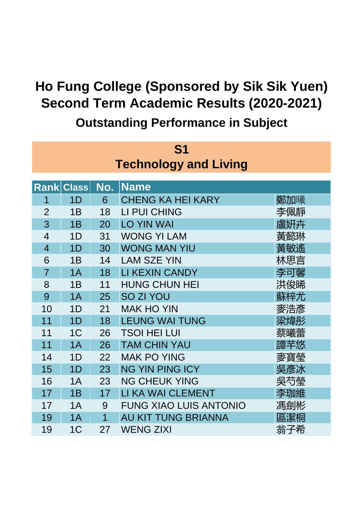| S1                           |                   |     |                               |     |  |  |  |
|------------------------------|-------------------|-----|-------------------------------|-----|--|--|--|
| <b>Technology and Living</b> |                   |     |                               |     |  |  |  |
|                              |                   |     |                               |     |  |  |  |
|                              | <b>Rank Class</b> | No. | <b>Name</b>                   |     |  |  |  |
| 1                            | 1D                | 6   | <b>CHENG KA HEI KARY</b>      | 鄭加曦 |  |  |  |
| $\overline{2}$               | 1B                | 18  | LI PUI CHING                  | 李佩靜 |  |  |  |
| 3                            | 1B                | 20  | <b>LO YIN WAI</b>             | 盧姸卉 |  |  |  |
| $\overline{4}$               | 1D                | 31  | <b>WONG YI LAM</b>            | 黃懿琳 |  |  |  |
| $\overline{4}$               | 1 <sub>D</sub>    | 30  | <b>WONG MAN YIU</b>           | 黃敏遙 |  |  |  |
| 6                            | 1B                | 14  | <b>LAM SZE YIN</b>            | 林思言 |  |  |  |
| $\overline{7}$               | 1A                | 18  | LI KEXIN CANDY                | 李可馨 |  |  |  |
| 8                            | 1B                | 11  | <b>HUNG CHUN HEI</b>          | 洪俊晞 |  |  |  |
| 9                            | 1A                | 25  | SO ZI YOU                     | 蘇梓尤 |  |  |  |
| 10                           | 1D                | 21  | <b>MAK HO YIN</b>             | 麥浩彥 |  |  |  |
| 11                           | 1D                | 18  | <b>LEUNG WAI TUNG</b>         | 梁煒彤 |  |  |  |
| 11                           | 1 <sup>C</sup>    | 26  | <b>TSOI HEI LUI</b>           | 蔡曦蕾 |  |  |  |
| 11                           | 1A                | 26  | <b>TAM CHIN YAU</b>           | 譚芊悠 |  |  |  |
| 14                           | 1D                | 22  | <b>MAK PO YING</b>            | 麥寶瑩 |  |  |  |
| 15                           | 1D                | 23  | <b>NG YIN PING ICY</b>        | 吳彥冰 |  |  |  |
| 16                           | 1A                | 23  | <b>NG CHEUK YING</b>          | 吳芍瑩 |  |  |  |
| 17                           | 1B                | 17  | LI KA WAI CLEMENT             | 李珈維 |  |  |  |
| 17                           | 1A                | 9   | <b>FUNG XIAO LUIS ANTONIO</b> | 馮劍彬 |  |  |  |
| 19                           | 1A                | 1   | AU KIT TUNG BRIANNA           | 區潔桐 |  |  |  |
| 19                           | 1 <sup>C</sup>    | 27  | <b>WENG ZIXI</b>              | 翁子希 |  |  |  |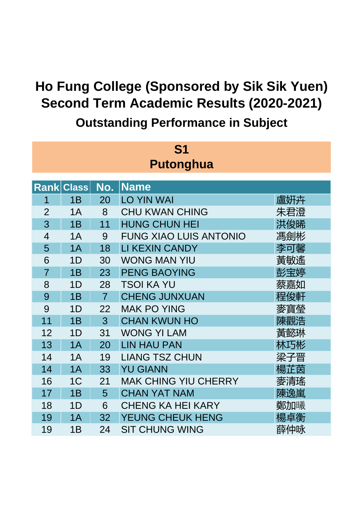| <b>S1</b>        |                   |                |                               |     |  |  |  |
|------------------|-------------------|----------------|-------------------------------|-----|--|--|--|
| <b>Putonghua</b> |                   |                |                               |     |  |  |  |
|                  |                   |                |                               |     |  |  |  |
|                  | <b>Rank Class</b> | No.            | <b>Name</b>                   |     |  |  |  |
| 1                | 1B                | 20             | <b>LO YIN WAI</b>             | 盧姸卉 |  |  |  |
| $\overline{2}$   | 1A                | 8              | <b>CHU KWAN CHING</b>         | 朱君澄 |  |  |  |
| 3                | 1B                | 11             | <b>HUNG CHUN HEI</b>          | 洪俊晞 |  |  |  |
| $\overline{4}$   | 1A                | 9              | <b>FUNG XIAO LUIS ANTONIO</b> | 馮劍彬 |  |  |  |
| 5                | 1A                | 18             | <b>LI KEXIN CANDY</b>         | 李可馨 |  |  |  |
| 6                | 1D                | 30             | <b>WONG MAN YIU</b>           | 黃敏遙 |  |  |  |
| $\overline{7}$   | 1B                | 23             | <b>PENG BAOYING</b>           | 彭宝婷 |  |  |  |
| 8                | 1D                | 28             | <b>TSOI KA YU</b>             | 蔡嘉如 |  |  |  |
| 9                | 1B                | $\overline{7}$ | <b>CHENG JUNXUAN</b>          | 程俊軒 |  |  |  |
| 9                | 1D                | 22             | <b>MAK PO YING</b>            | 麥寶榮 |  |  |  |
| 11               | 1B                | 3              | <b>CHAN KWUN HO</b>           | 陳觀浩 |  |  |  |
| 12               | 1D                | 31             | <b>WONG YI LAM</b>            | 黃懿琳 |  |  |  |
| 13               | 1A                | 20             | <b>LIN HAU PAN</b>            | 林巧彬 |  |  |  |
| 14               | 1A                | 19             | <b>LIANG TSZ CHUN</b>         | 梁子晋 |  |  |  |
| 14               | 1A                | 33             | <b>YU GIANN</b>               | 楊芷茵 |  |  |  |
| 16               | 1 <sup>C</sup>    | 21             | <b>MAK CHING YIU CHERRY</b>   | 麥清瑤 |  |  |  |
| 17               | 1B                | 5              | <b>CHAN YAT NAM</b>           | 陳逸嵐 |  |  |  |
| 18               | 1D                | 6              | <b>CHENG KA HEI KARY</b>      | 鄭加曦 |  |  |  |
| 19               | 1A                | 32             | YEUNG CHEUK HENG              | 楊卓衡 |  |  |  |
| 19               | 1B                | 24             | <b>SIT CHUNG WING</b>         | 薛仲咏 |  |  |  |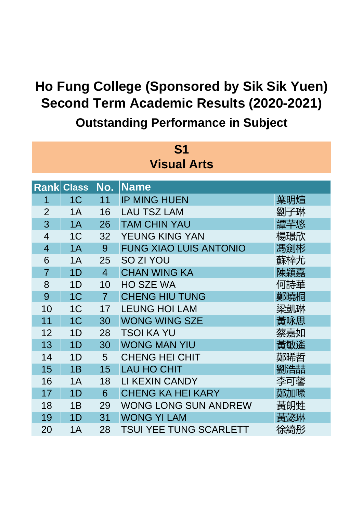| <b>S1</b>          |                   |                |                               |     |  |  |  |  |
|--------------------|-------------------|----------------|-------------------------------|-----|--|--|--|--|
| <b>Visual Arts</b> |                   |                |                               |     |  |  |  |  |
|                    |                   |                |                               |     |  |  |  |  |
|                    | <b>Rank Class</b> | No.            | <b>Name</b>                   |     |  |  |  |  |
| 1                  | 1 <sup>C</sup>    | 11             | <b>IP MING HUEN</b>           | 葉明煊 |  |  |  |  |
| $\overline{2}$     | 1A                | 16             | <b>LAU TSZ LAM</b>            | 劉子琳 |  |  |  |  |
| 3                  | 1A                | 26             | <b>TAM CHIN YAU</b>           | 譚芊悠 |  |  |  |  |
| $\overline{4}$     | 1 <sup>C</sup>    | 32             | YEUNG KING YAN                | 楊璟欣 |  |  |  |  |
| $\overline{4}$     | 1A                | 9              | <b>FUNG XIAO LUIS ANTONIO</b> | 馮劍彬 |  |  |  |  |
| 6                  | 1A                | 25             | SO ZI YOU                     | 蘇梓尤 |  |  |  |  |
| $\overline{7}$     | 1D                | $\overline{4}$ | <b>CHAN WING KA</b>           | 陳穎嘉 |  |  |  |  |
| 8                  | 1D                | 10             | <b>HO SZE WA</b>              | 何詩華 |  |  |  |  |
| 9                  | 1 <sup>C</sup>    | $\overline{7}$ | <b>CHENG HIU TUNG</b>         | 鄭曉桐 |  |  |  |  |
| 10                 | 1 <sup>C</sup>    | 17             | <b>LEUNG HOI LAM</b>          | 梁凱琳 |  |  |  |  |
| 11                 | 1 <sup>C</sup>    | 30             | <b>WONG WING SZE</b>          | 黃咏思 |  |  |  |  |
| 12                 | 1 <sub>D</sub>    | 28             | <b>TSOI KA YU</b>             | 蔡嘉如 |  |  |  |  |
| 13                 | 1D                | 30             | <b>WONG MAN YIU</b>           | 黃敏遙 |  |  |  |  |
| 14                 | 1D                | 5              | <b>CHENG HEI CHIT</b>         | 鄭晞哲 |  |  |  |  |
| 15                 | 1B                | 15             | <b>LAU HO CHIT</b>            | 劉浩喆 |  |  |  |  |
| 16                 | 1A                | 18             | LI KEXIN CANDY                | 李可馨 |  |  |  |  |
| 17                 | 1D                | 6              | <b>CHENG KA HEI KARY</b>      | 鄭加曦 |  |  |  |  |
| 18                 | 1B                | 29             | <b>WONG LONG SUN ANDREW</b>   | 黃朗甡 |  |  |  |  |
| 19                 | 1 <sub>D</sub>    | 31             | <b>WONG YI LAM</b>            | 黃懿琳 |  |  |  |  |
| 20                 | 1A                | 28             | <b>TSUI YEE TUNG SCARLETT</b> | 徐綺彤 |  |  |  |  |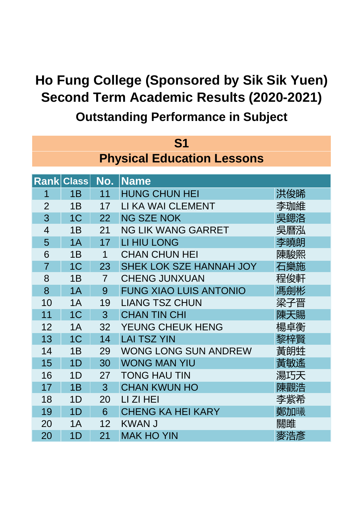| S <sub>1</sub><br><b>Physical Education Lessons</b> |                                         |                |                               |     |  |  |  |
|-----------------------------------------------------|-----------------------------------------|----------------|-------------------------------|-----|--|--|--|
|                                                     | <b>Name</b><br><b>Rank Class</b><br>No. |                |                               |     |  |  |  |
| 1                                                   | 1B                                      | 11             | <b>HUNG CHUN HEI</b>          | 洪俊晞 |  |  |  |
| $\overline{2}$                                      | 1B                                      | 17             | LI KA WAI CLEMENT             | 李珈維 |  |  |  |
| 3                                                   | 1 <sup>C</sup>                          | 22             | <b>NG SZE NOK</b>             | 吳鍶洛 |  |  |  |
| $\overline{4}$                                      | 1B                                      | 21             | <b>NG LIK WANG GARRET</b>     | 吳曆泓 |  |  |  |
| 5                                                   | 1A                                      | 17             | <b>LI HIU LONG</b>            | 李曉朗 |  |  |  |
| 6                                                   | 1B                                      | 1              | <b>CHAN CHUN HEI</b>          | 陳駿熙 |  |  |  |
| $\overline{7}$                                      | 1 <sup>C</sup>                          | 23             | SHEK LOK SZE HANNAH JOY       | 石樂施 |  |  |  |
| 8                                                   | 1B                                      | $\overline{7}$ | <b>CHENG JUNXUAN</b>          | 程俊軒 |  |  |  |
| 8                                                   | 1A                                      | 9              | <b>FUNG XIAO LUIS ANTONIO</b> | 馮劍彬 |  |  |  |
| 10                                                  | 1A                                      | 19             | <b>LIANG TSZ CHUN</b>         | 梁子晋 |  |  |  |
| 11                                                  | 1 <sup>C</sup>                          | 3              | <b>CHAN TIN CHI</b>           | 陳天賜 |  |  |  |
| 12                                                  | 1A                                      | 32             | YEUNG CHEUK HENG              | 楊卓衡 |  |  |  |
| 13                                                  | 1 <sup>C</sup>                          | 14             | <b>LAI TSZ YIN</b>            | 黎梓賢 |  |  |  |
| 14                                                  | 1B                                      | 29             | <b>WONG LONG SUN ANDREW</b>   | 黃朗甡 |  |  |  |
| 15                                                  | 1D                                      | 30             | <b>WONG MAN YIU</b>           | 黃敏遙 |  |  |  |
| 16                                                  | 1D                                      | 27             | <b>TONG HAU TIN</b>           | 湯巧天 |  |  |  |
| 17                                                  | 1B                                      | 3              | <b>CHAN KWUN HO</b>           | 陳觀浩 |  |  |  |
| 18                                                  | 1 <sub>D</sub>                          | 20             | LI ZI HEI                     | 李紫希 |  |  |  |
| 19                                                  | 1D                                      | 6              | <b>CHENG KA HEI KARY</b>      | 鄭加曦 |  |  |  |
| 20                                                  | 1A                                      | 12             | <b>KWAN J</b>                 | 關雎  |  |  |  |
| 20                                                  | 1 <sub>D</sub>                          | 21             | <b>MAK HO YIN</b>             | 麥浩彥 |  |  |  |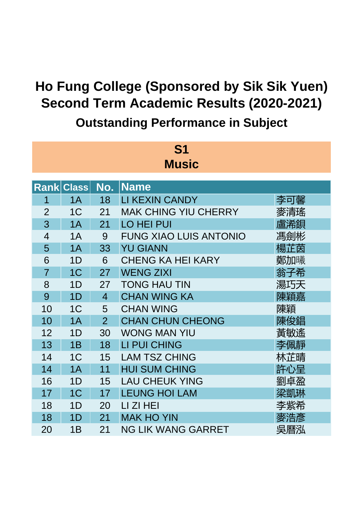| <b>S1</b>      |                   |                |                               |     |  |  |  |
|----------------|-------------------|----------------|-------------------------------|-----|--|--|--|
| <b>Music</b>   |                   |                |                               |     |  |  |  |
|                |                   |                |                               |     |  |  |  |
|                | <b>Rank Class</b> | No.            | <b>Name</b>                   |     |  |  |  |
| 1              | 1A                | 18             | LI KEXIN CANDY                | 李可馨 |  |  |  |
| $\overline{2}$ | 1 <sup>C</sup>    | 21             | <b>MAK CHING YIU CHERRY</b>   | 麥清瑤 |  |  |  |
| 3              | 1A                | 21             | <b>LO HEI PUI</b>             | 盧浠鋇 |  |  |  |
| 4              | 1A                | 9              | <b>FUNG XIAO LUIS ANTONIO</b> | 馮劍彬 |  |  |  |
| 5              | 1A                | 33             | <b>YU GIANN</b>               | 楊芷茵 |  |  |  |
| 6              | 1D                | 6              | <b>CHENG KA HEI KARY</b>      | 鄭加曦 |  |  |  |
| $\overline{7}$ | 1 <sup>C</sup>    | 27             | <b>WENG ZIXI</b>              | 翁子希 |  |  |  |
| 8              | 1 <sub>D</sub>    | 27             | <b>TONG HAU TIN</b>           | 湯巧天 |  |  |  |
| 9              | 1D                | $\overline{4}$ | <b>CHAN WING KA</b>           | 陳穎嘉 |  |  |  |
| 10             | 1 <sup>C</sup>    | 5              | <b>CHAN WING</b>              | 陳穎  |  |  |  |
| 10             | 1A                | $\overline{2}$ | <b>CHAN CHUN CHEONG</b>       | 陳俊錩 |  |  |  |
| 12             | 1D                | 30             | <b>WONG MAN YIU</b>           | 黃敏遙 |  |  |  |
| 13             | 1B                | 18             | <b>LI PUI CHING</b>           | 李佩靜 |  |  |  |
| 14             | 1 <sup>C</sup>    | 15             | <b>LAM TSZ CHING</b>          | 林芷晴 |  |  |  |
| 14             | 1A                | 11             | <b>HUI SUM CHING</b>          | 許心呈 |  |  |  |
| 16             | 1D                | 15             | <b>LAU CHEUK YING</b>         | 劉卓盈 |  |  |  |
| 17             | 1 <sup>C</sup>    | 17             | <b>LEUNG HOI LAM</b>          | 梁凱琳 |  |  |  |
| 18             | 1D                | 20             | LI ZI HEI                     | 李紫希 |  |  |  |
| 18             | 1 <sub>D</sub>    | 21             | <b>MAK HO YIN</b>             | 麥浩彥 |  |  |  |
| 20             | 1B                | 21             | NG LIK WANG GARRET            | 吳曆泓 |  |  |  |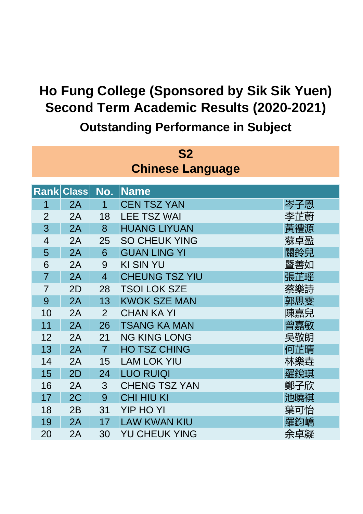| S <sub>2</sub>          |       |                |                       |     |  |  |  |
|-------------------------|-------|----------------|-----------------------|-----|--|--|--|
| <b>Chinese Language</b> |       |                |                       |     |  |  |  |
|                         |       |                |                       |     |  |  |  |
| <b>Rank</b>             | Class | No.            | <b>Name</b>           |     |  |  |  |
| 1                       | 2A    | $\mathbf 1$    | <b>CEN TSZ YAN</b>    | 岑子恩 |  |  |  |
| $\overline{2}$          | 2A    | 18             | <b>LEE TSZ WAI</b>    | 李芷蔚 |  |  |  |
| 3                       | 2A    | 8              | <b>HUANG LIYUAN</b>   | 黃禮源 |  |  |  |
| 4                       | 2A    | 25             | <b>SO CHEUK YING</b>  | 蘇卓盈 |  |  |  |
| 5                       | 2A    | 6              | <b>GUAN LING YI</b>   | 關鈴兒 |  |  |  |
| 6                       | 2A    | 9              | <b>KI SIN YU</b>      | 暨善如 |  |  |  |
| $\overline{7}$          | 2A    | $\overline{4}$ | <b>CHEUNG TSZ YIU</b> | 張芷瑶 |  |  |  |
| $\overline{7}$          | 2D    | 28             | <b>TSOI LOK SZE</b>   | 蔡樂詩 |  |  |  |
| 9                       | 2A    | 13             | <b>KWOK SZE MAN</b>   | 郭思雯 |  |  |  |
| 10                      | 2A    | 2              | <b>CHAN KA YI</b>     | 陳嘉兒 |  |  |  |
| 11                      | 2A    | 26             | <b>TSANG KA MAN</b>   | 曾嘉敏 |  |  |  |
| 12                      | 2A    | 21             | <b>NG KING LONG</b>   | 吳敬朗 |  |  |  |
| 13                      | 2A    | $\overline{7}$ | <b>HO TSZ CHING</b>   | 何芷晴 |  |  |  |
| 14                      | 2A    | 15             | <b>LAM LOK YIU</b>    | 林樂垚 |  |  |  |
| 15                      | 2D    | 24             | <b>LUO RUIQI</b>      | 羅銳琪 |  |  |  |
| 16                      | 2A    | 3              | <b>CHENG TSZ YAN</b>  | 鄭子欣 |  |  |  |
| 17                      | 2C    | 9              | <b>CHI HIU KI</b>     | 池曉祺 |  |  |  |
| 18                      | 2B    | 31             | <b>YIP HO YI</b>      | 葉可怡 |  |  |  |
| 19                      | 2A    | 17             | <b>LAW KWAN KIU</b>   | 羅鈞嶠 |  |  |  |
| 20                      | 2A    | 30             | <b>YU CHEUK YING</b>  | 余卓凝 |  |  |  |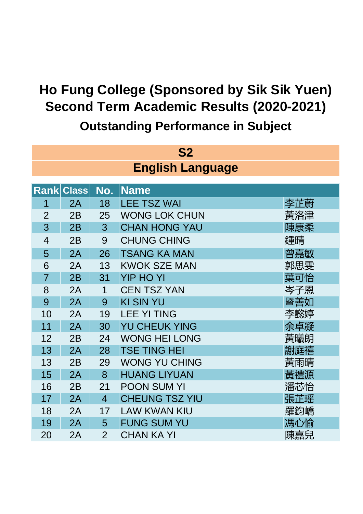| S <sub>2</sub>          |       |                |                       |     |  |  |  |
|-------------------------|-------|----------------|-----------------------|-----|--|--|--|
| <b>English Language</b> |       |                |                       |     |  |  |  |
|                         |       |                |                       |     |  |  |  |
| <b>Rank</b>             | Class | No.            | <b>Name</b>           |     |  |  |  |
| 1                       | 2A    | 18             | <b>LEE TSZ WAI</b>    | 李芷蔚 |  |  |  |
| $\overline{2}$          | 2B    | 25             | <b>WONG LOK CHUN</b>  | 黃洛津 |  |  |  |
| 3                       | 2B    | 3              | <b>CHAN HONG YAU</b>  | 陳康柔 |  |  |  |
| $\overline{4}$          | 2B    | 9              | <b>CHUNG CHING</b>    | 鍾晴  |  |  |  |
| 5                       | 2A    | 26             | <b>TSANG KA MAN</b>   | 曾嘉敏 |  |  |  |
| 6                       | 2A    | 13             | <b>KWOK SZE MAN</b>   | 郭思雯 |  |  |  |
| $\overline{7}$          | 2B    | 31             | <b>YIP HO YI</b>      | 葉可怡 |  |  |  |
| 8                       | 2A    | 1              | <b>CEN TSZ YAN</b>    | 岑子恩 |  |  |  |
| 9                       | 2A    | 9              | <b>KI SIN YU</b>      | 暨善如 |  |  |  |
| 10                      | 2A    | 19             | <b>LEE YI TING</b>    | 李懿婷 |  |  |  |
| 11                      | 2A    | 30             | <b>YU CHEUK YING</b>  | 余卓凝 |  |  |  |
| 12                      | 2B    | 24             | <b>WONG HEI LONG</b>  | 黃曦朗 |  |  |  |
| 13                      | 2A    | 28             | <b>TSE TING HEI</b>   | 謝庭禧 |  |  |  |
| 13                      | 2B    | 29             | <b>WONG YU CHING</b>  | 黃雨晴 |  |  |  |
| 15                      | 2A    | 8              | <b>HUANG LIYUAN</b>   | 黃禮源 |  |  |  |
| 16                      | 2B    | 21             | <b>POON SUM YI</b>    | 潘芯怡 |  |  |  |
| 17                      | 2A    | $\overline{4}$ | <b>CHEUNG TSZ YIU</b> | 張芷瑶 |  |  |  |
| 18                      | 2A    | 17             | <b>LAW KWAN KIU</b>   | 羅鈞嶠 |  |  |  |
| 19                      | 2A    | 5              | <b>FUNG SUM YU</b>    | 馮心愉 |  |  |  |
| 20                      | 2A    | $\overline{2}$ | <b>CHAN KA YI</b>     | 陳嘉兒 |  |  |  |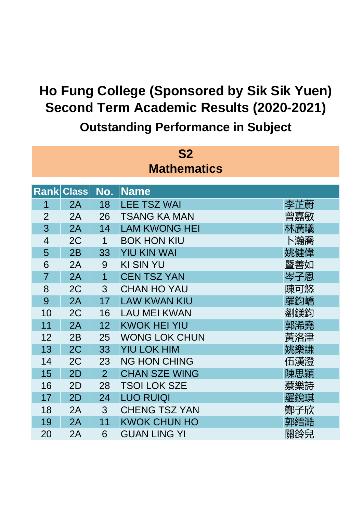| <b>S2</b>          |              |                |                      |     |  |  |  |  |
|--------------------|--------------|----------------|----------------------|-----|--|--|--|--|
| <b>Mathematics</b> |              |                |                      |     |  |  |  |  |
|                    |              |                |                      |     |  |  |  |  |
| <b>Rank</b>        | <b>Class</b> | No.            | <b>Name</b>          |     |  |  |  |  |
| 1                  | 2A           | 18             | <b>LEE TSZ WAI</b>   | 李芷蔚 |  |  |  |  |
| $\overline{2}$     | 2A           | 26             | <b>TSANG KA MAN</b>  | 曾嘉敏 |  |  |  |  |
| 3                  | 2A           | 14             | <b>LAM KWONG HEI</b> | 林廣曦 |  |  |  |  |
| $\overline{4}$     | 2C           | 1              | <b>BOK HON KIU</b>   | ト瀚喬 |  |  |  |  |
| 5                  | 2B           | 33             | <b>YIU KIN WAI</b>   | 姚健偉 |  |  |  |  |
| 6                  | 2A           | 9              | <b>KI SIN YU</b>     | 暨善如 |  |  |  |  |
| $\overline{7}$     | 2A           | $\overline{1}$ | <b>CEN TSZ YAN</b>   | 岑子恩 |  |  |  |  |
| 8                  | 2C           | 3              | <b>CHAN HO YAU</b>   | 陳可悠 |  |  |  |  |
| 9                  | 2A           | 17             | <b>LAW KWAN KIU</b>  | 羅鈞嶠 |  |  |  |  |
| 10                 | 2C           | 16             | <b>LAU MEI KWAN</b>  | 劉鎂鈞 |  |  |  |  |
| 11                 | 2A           | 12             | <b>KWOK HEI YIU</b>  | 郭浠堯 |  |  |  |  |
| 12                 | 2B           | 25             | <b>WONG LOK CHUN</b> | 黃洛津 |  |  |  |  |
| 13                 | 2C           | 33             | <b>YIU LOK HIM</b>   | 姚樂謙 |  |  |  |  |
| 14                 | 2C           | 23             | <b>NG HON CHING</b>  | 伍漢澄 |  |  |  |  |
| 15                 | 2D           | $\overline{2}$ | <b>CHAN SZE WING</b> | 陳思穎 |  |  |  |  |
| 16                 | 2D           | 28             | <b>TSOI LOK SZE</b>  | 蔡樂詩 |  |  |  |  |
| 17                 | 2D           | 24             | <b>LUO RUIQI</b>     | 羅銳琪 |  |  |  |  |
| 18                 | 2A           | 3              | <b>CHENG TSZ YAN</b> | 鄭子欣 |  |  |  |  |
| 19                 | 2A           | 11             | <b>KWOK CHUN HO</b>  | 郭縉澔 |  |  |  |  |
| 20                 | 2A           | 6              | <b>GUAN LING YI</b>  | 關鈴兒 |  |  |  |  |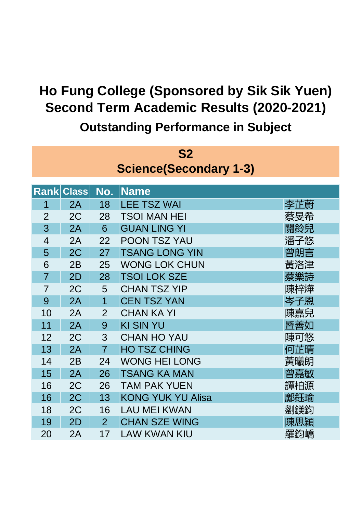| S <sub>2</sub> |                               |                |                          |     |  |  |  |
|----------------|-------------------------------|----------------|--------------------------|-----|--|--|--|
|                | <b>Science(Secondary 1-3)</b> |                |                          |     |  |  |  |
|                |                               |                |                          |     |  |  |  |
|                | <b>Rank Class</b>             | No.            | <b>Name</b>              |     |  |  |  |
| 1              | 2A                            | 18             | <b>LEE TSZ WAI</b>       | 李芷蔚 |  |  |  |
| $\overline{2}$ | 2C                            | 28             | <b>TSOI MAN HEI</b>      | 蔡旻希 |  |  |  |
| 3              | 2A                            | 6              | <b>GUAN LING YI</b>      | 關鈴兒 |  |  |  |
| $\overline{4}$ | 2A                            | 22             | <b>POON TSZ YAU</b>      | 潘子悠 |  |  |  |
| 5              | 2C                            | 27             | <b>TSANG LONG YIN</b>    | 曾朗言 |  |  |  |
| 6              | 2B                            | 25             | <b>WONG LOK CHUN</b>     | 黃洛津 |  |  |  |
| $\overline{7}$ | 2D                            | 28             | <b>TSOI LOK SZE</b>      | 蔡樂詩 |  |  |  |
| $\overline{7}$ | 2C                            | 5              | <b>CHAN TSZ YIP</b>      | 陳梓燁 |  |  |  |
| 9              | 2A                            | 1              | <b>CEN TSZ YAN</b>       | 岑子恩 |  |  |  |
| 10             | 2A                            | $\overline{2}$ | <b>CHAN KA YI</b>        | 陳嘉兒 |  |  |  |
| 11             | 2A                            | 9              | <b>KI SIN YU</b>         | 暨善如 |  |  |  |
| 12             | 2C                            | 3              | <b>CHAN HO YAU</b>       | 陳可悠 |  |  |  |
| 13             | 2A                            | $\overline{7}$ | <b>HO TSZ CHING</b>      | 何芷晴 |  |  |  |
| 14             | 2B                            | 24             | <b>WONG HEI LONG</b>     | 黃曦朗 |  |  |  |
| 15             | 2A                            | 26             | <b>TSANG KA MAN</b>      | 曾嘉敏 |  |  |  |
| 16             | 2C                            | 26             | <b>TAM PAK YUEN</b>      | 譚柏源 |  |  |  |
| 16             | 2C                            | 13             | <b>KONG YUK YU Alisa</b> | 鄺鈺瑜 |  |  |  |
| 18             | 2C                            | 16             | <b>LAU MEI KWAN</b>      | 劉鎂鈞 |  |  |  |
| 19             | 2D                            | $\overline{2}$ | <b>CHAN SZE WING</b>     | 陳思穎 |  |  |  |
| 20             | 2A                            | 17             | <b>LAW KWAN KIU</b>      | 羅鈞嶠 |  |  |  |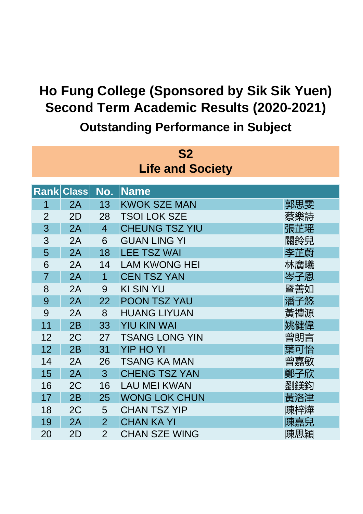| <b>S2</b>      |                         |                |                       |     |  |  |  |  |
|----------------|-------------------------|----------------|-----------------------|-----|--|--|--|--|
|                | <b>Life and Society</b> |                |                       |     |  |  |  |  |
|                |                         |                |                       |     |  |  |  |  |
| <b>Rank</b>    | <b>Class</b>            | No.            | <b>Name</b>           |     |  |  |  |  |
| 1              | 2A                      | 13             | <b>KWOK SZE MAN</b>   | 郭思雯 |  |  |  |  |
| $\overline{2}$ | 2D                      | 28             | <b>TSOI LOK SZE</b>   | 蔡樂詩 |  |  |  |  |
| 3              | 2A                      | $\overline{4}$ | <b>CHEUNG TSZ YIU</b> | 張芷瑶 |  |  |  |  |
| 3              | 2A                      | 6              | <b>GUAN LING YI</b>   | 關鈴兒 |  |  |  |  |
| 5              | 2A                      | 18             | <b>LEE TSZ WAI</b>    | 李芷蔚 |  |  |  |  |
| 6              | 2A                      | 14             | <b>LAM KWONG HEI</b>  | 林廣曦 |  |  |  |  |
| $\overline{7}$ | 2A                      | 1              | <b>CEN TSZ YAN</b>    | 岑子恩 |  |  |  |  |
| 8              | 2A                      | 9              | <b>KI SIN YU</b>      | 暨善如 |  |  |  |  |
| 9              | 2A                      | 22             | <b>POON TSZ YAU</b>   | 潘子悠 |  |  |  |  |
| 9              | 2A                      | 8              | <b>HUANG LIYUAN</b>   | 黃禮源 |  |  |  |  |
| 11             | 2B                      | 33             | <b>YIU KIN WAI</b>    | 姚健偉 |  |  |  |  |
| 12             | 2C                      | 27             | <b>TSANG LONG YIN</b> | 曾朗言 |  |  |  |  |
| 12             | 2B                      | 31             | <b>YIP HO YI</b>      | 葉可怡 |  |  |  |  |
| 14             | 2A                      | 26             | <b>TSANG KA MAN</b>   | 曾嘉敏 |  |  |  |  |
| 15             | 2A                      | 3              | <b>CHENG TSZ YAN</b>  | 鄭子欣 |  |  |  |  |
| 16             | 2C                      | 16             | <b>LAU MEI KWAN</b>   | 劉鎂鈞 |  |  |  |  |
| 17             | 2B                      | 25             | <b>WONG LOK CHUN</b>  | 黃洛津 |  |  |  |  |
| 18             | 2C                      | 5              | <b>CHAN TSZ YIP</b>   | 陳梓燁 |  |  |  |  |
| 19             | 2A                      | $\overline{2}$ | <b>CHAN KA YI</b>     | 陳嘉兒 |  |  |  |  |
| 20             | 2D                      | $\overline{2}$ | <b>CHAN SZE WING</b>  | 陳思穎 |  |  |  |  |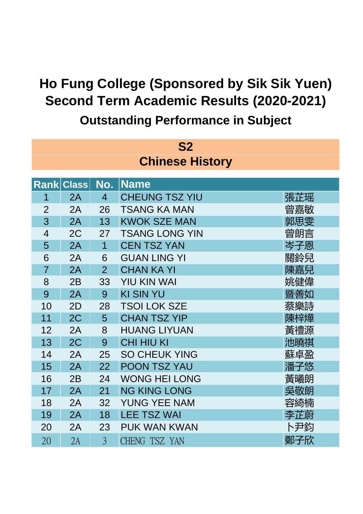| S <sub>2</sub> |                        |                |                       |     |  |  |  |
|----------------|------------------------|----------------|-----------------------|-----|--|--|--|
|                | <b>Chinese History</b> |                |                       |     |  |  |  |
|                |                        |                |                       |     |  |  |  |
| <b>Rank</b>    | Class                  | No.            | <b>Name</b>           |     |  |  |  |
| 1              | 2A                     | $\overline{4}$ | <b>CHEUNG TSZ YIU</b> | 張芷瑶 |  |  |  |
| $\overline{2}$ | 2A                     | 26             | <b>TSANG KA MAN</b>   | 曾嘉敏 |  |  |  |
| 3              | 2A                     | 13             | <b>KWOK SZE MAN</b>   | 郭思雯 |  |  |  |
| $\overline{4}$ | 2C                     | 27             | <b>TSANG LONG YIN</b> | 曾朗言 |  |  |  |
| 5              | 2A                     | 1              | <b>CEN TSZ YAN</b>    | 岑子恩 |  |  |  |
| 6              | 2A                     | 6              | <b>GUAN LING YI</b>   | 關鈴兒 |  |  |  |
| $\overline{7}$ | 2A                     | $\overline{2}$ | <b>CHAN KA YI</b>     | 陳嘉兒 |  |  |  |
| 8              | 2B                     | 33             | <b>YIU KIN WAI</b>    | 姚健偉 |  |  |  |
| 9              | 2A                     | 9              | <b>KI SIN YU</b>      | 暨善如 |  |  |  |
| 10             | 2D                     | 28             | <b>TSOI LOK SZE</b>   | 蔡樂詩 |  |  |  |
| 11             | 2C                     | 5              | <b>CHAN TSZ YIP</b>   | 陳梓燁 |  |  |  |
| 12             | 2A                     | 8              | <b>HUANG LIYUAN</b>   | 黃禮源 |  |  |  |
| 13             | 2C                     | 9              | <b>CHI HIU KI</b>     | 池曉祺 |  |  |  |
| 14             | 2A                     | 25             | <b>SO CHEUK YING</b>  | 蘇卓盈 |  |  |  |
| 15             | 2A                     | 22             | <b>POON TSZ YAU</b>   | 潘子悠 |  |  |  |
| 16             | 2B                     | 24             | <b>WONG HEI LONG</b>  | 黃曦朗 |  |  |  |
| 17             | 2A                     | 21             | <b>NG KING LONG</b>   | 吳敬朗 |  |  |  |
| 18             | 2A                     | 32             | <b>YUNG YEE NAM</b>   | 容綺楠 |  |  |  |
| 19             | 2A                     | 18             | <b>LEE TSZ WAI</b>    | 李芷蔚 |  |  |  |
| 20             | 2A                     | 23             | <b>PUK WAN KWAN</b>   | ト尹鈞 |  |  |  |
| 20             | 2A                     | $\overline{3}$ | CHENG TSZ YAN         | 鄭子欣 |  |  |  |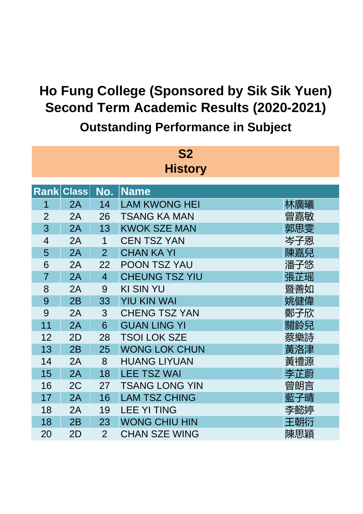| <b>S2</b>      |       |                |                       |     |  |  |  |  |
|----------------|-------|----------------|-----------------------|-----|--|--|--|--|
| <b>History</b> |       |                |                       |     |  |  |  |  |
|                |       |                |                       |     |  |  |  |  |
| <b>Rank</b>    | Class | No.            | <b>Name</b>           |     |  |  |  |  |
| 1              | 2A    | 14             | <b>LAM KWONG HEI</b>  | 林廣曦 |  |  |  |  |
| $\overline{2}$ | 2A    | 26             | <b>TSANG KA MAN</b>   | 曾嘉敏 |  |  |  |  |
| 3              | 2A    | 13             | <b>KWOK SZE MAN</b>   | 郭思雯 |  |  |  |  |
| $\overline{4}$ | 2A    | $\mathbf 1$    | <b>CEN TSZ YAN</b>    | 岑子恩 |  |  |  |  |
| 5              | 2A    | $\overline{2}$ | <b>CHAN KA YI</b>     | 陳嘉兒 |  |  |  |  |
| 6              | 2A    | 22             | <b>POON TSZ YAU</b>   | 潘子悠 |  |  |  |  |
| $\overline{7}$ | 2A    | $\overline{4}$ | <b>CHEUNG TSZ YIU</b> | 張芷瑶 |  |  |  |  |
| 8              | 2A    | 9              | <b>KI SIN YU</b>      | 暨善如 |  |  |  |  |
| 9              | 2B    | 33             | <b>YIU KIN WAI</b>    | 姚健偉 |  |  |  |  |
| 9              | 2A    | 3              | <b>CHENG TSZ YAN</b>  | 鄭子欣 |  |  |  |  |
| 11             | 2A    | 6              | <b>GUAN LING YI</b>   | 關鈴兒 |  |  |  |  |
| 12             | 2D    | 28             | <b>TSOI LOK SZE</b>   | 蔡樂詩 |  |  |  |  |
| 13             | 2B    | 25             | <b>WONG LOK CHUN</b>  | 黃洛津 |  |  |  |  |
| 14             | 2A    | 8              | <b>HUANG LIYUAN</b>   | 黃禮源 |  |  |  |  |
| 15             | 2A    | 18             | <b>LEE TSZ WAI</b>    | 李芷蔚 |  |  |  |  |
| 16             | 2C    | 27             | <b>TSANG LONG YIN</b> | 曾朗言 |  |  |  |  |
| 17             | 2A    | 16             | <b>LAM TSZ CHING</b>  | 藍子晴 |  |  |  |  |
| 18             | 2A    | 19             | <b>LEE YI TING</b>    | 李懿婷 |  |  |  |  |
| 18             | 2B    | 23             | <b>WONG CHIU HIN</b>  | 王朝衍 |  |  |  |  |
| 20             | 2D    | $\overline{2}$ | <b>CHAN SZE WING</b>  | 陳思穎 |  |  |  |  |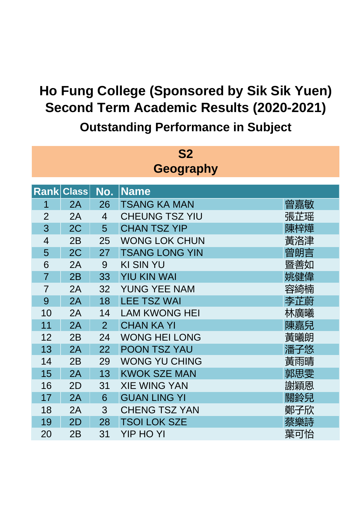| <b>S2</b>      |              |                |                       |     |  |  |  |  |
|----------------|--------------|----------------|-----------------------|-----|--|--|--|--|
| Geography      |              |                |                       |     |  |  |  |  |
|                |              |                |                       |     |  |  |  |  |
| <b>Rank</b>    | <b>Class</b> | No.            | <b>Name</b>           |     |  |  |  |  |
| 1              | 2A           | 26             | <b>TSANG KA MAN</b>   | 曾嘉敏 |  |  |  |  |
| $\overline{2}$ | 2A           | $\overline{4}$ | <b>CHEUNG TSZ YIU</b> | 張芷瑶 |  |  |  |  |
| 3              | 2C           | 5              | <b>CHAN TSZ YIP</b>   | 陳梓燁 |  |  |  |  |
| $\overline{4}$ | 2B           | 25             | <b>WONG LOK CHUN</b>  | 黃洛津 |  |  |  |  |
| 5              | 2C           | 27             | <b>TSANG LONG YIN</b> | 曾朗言 |  |  |  |  |
| 6              | 2A           | 9              | <b>KI SIN YU</b>      | 暨善如 |  |  |  |  |
| $\overline{7}$ | 2B           | 33             | <b>YIU KIN WAI</b>    | 姚健偉 |  |  |  |  |
| $\overline{7}$ | 2A           | 32             | <b>YUNG YEE NAM</b>   | 容綺楠 |  |  |  |  |
| 9              | 2A           | 18             | <b>LEE TSZ WAI</b>    | 李芷蔚 |  |  |  |  |
| 10             | 2A           | 14             | <b>LAM KWONG HEI</b>  | 林廣曦 |  |  |  |  |
| 11             | 2A           | $\overline{2}$ | <b>CHAN KA YI</b>     | 陳嘉兒 |  |  |  |  |
| 12             | 2B           | 24             | <b>WONG HEI LONG</b>  | 黃曦朗 |  |  |  |  |
| 13             | 2A           | 22             | <b>POON TSZ YAU</b>   | 潘子悠 |  |  |  |  |
| 14             | 2B           | 29             | <b>WONG YU CHING</b>  | 黃雨晴 |  |  |  |  |
| 15             | 2A           | 13             | <b>KWOK SZE MAN</b>   | 郭思雯 |  |  |  |  |
| 16             | 2D           | 31             | <b>XIE WING YAN</b>   | 謝穎恩 |  |  |  |  |
| 17             | 2A           | 6              | <b>GUAN LING YI</b>   | 關鈴兒 |  |  |  |  |
| 18             | 2A           | 3              | <b>CHENG TSZ YAN</b>  | 鄭子欣 |  |  |  |  |
| 19             | 2D           | 28             | <b>TSOI LOK SZE</b>   | 蔡樂詩 |  |  |  |  |
| 20             | 2B           | 31             | <b>YIP HO YI</b>      | 葉可怡 |  |  |  |  |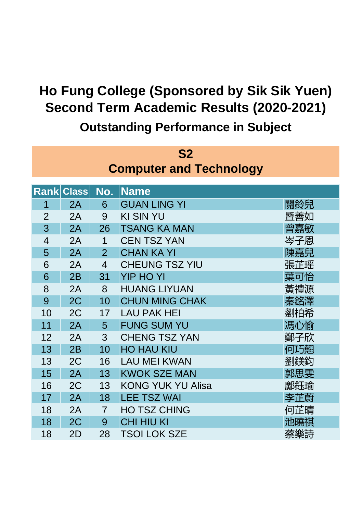| <b>S2</b>                      |       |                |                          |     |  |  |  |  |
|--------------------------------|-------|----------------|--------------------------|-----|--|--|--|--|
| <b>Computer and Technology</b> |       |                |                          |     |  |  |  |  |
|                                |       |                |                          |     |  |  |  |  |
| <b>Rank</b>                    | Class | No.            | <b>Name</b>              |     |  |  |  |  |
| 1                              | 2A    | 6              | <b>GUAN LING YI</b>      | 關鈴兒 |  |  |  |  |
| $\overline{2}$                 | 2A    | 9              | <b>KI SIN YU</b>         | 暨善如 |  |  |  |  |
| 3                              | 2A    | 26             | <b>TSANG KA MAN</b>      | 曾嘉敏 |  |  |  |  |
| $\overline{4}$                 | 2A    | $\overline{1}$ | <b>CEN TSZ YAN</b>       | 岑子恩 |  |  |  |  |
| 5                              | 2A    | $\overline{2}$ | <b>CHAN KA YI</b>        | 陳嘉兒 |  |  |  |  |
| 6                              | 2A    | $\overline{4}$ | <b>CHEUNG TSZ YIU</b>    | 張芷瑶 |  |  |  |  |
| 6                              | 2B    | 31             | <b>YIP HO YI</b>         | 葉可怡 |  |  |  |  |
| 8                              | 2A    | 8              | <b>HUANG LIYUAN</b>      | 黃禮源 |  |  |  |  |
| 9                              | 2C    | 10             | <b>CHUN MING CHAK</b>    | 秦銘澤 |  |  |  |  |
| 10                             | 2C    | 17             | <b>LAU PAK HEI</b>       | 劉柏希 |  |  |  |  |
| 11                             | 2A    | 5              | <b>FUNG SUM YU</b>       | 馮心愉 |  |  |  |  |
| 12                             | 2A    | 3              | <b>CHENG TSZ YAN</b>     | 鄭子欣 |  |  |  |  |
| 13                             | 2B    | 10             | <b>HO HAU KIU</b>        | 何巧翹 |  |  |  |  |
| 13                             | 2C    | 16             | <b>LAU MEI KWAN</b>      | 劉鎂鈞 |  |  |  |  |
| 15                             | 2A    | 13             | <b>KWOK SZE MAN</b>      | 郭思雯 |  |  |  |  |
| 16                             | 2C    | 13             | <b>KONG YUK YU Alisa</b> | 鄺鈺瑜 |  |  |  |  |
| 17                             | 2A    | 18             | <b>LEE TSZ WAI</b>       | 李芷蔚 |  |  |  |  |
| 18                             | 2A    | $\overline{7}$ | <b>HO TSZ CHING</b>      | 何芷晴 |  |  |  |  |
| 18                             | 2C    | 9              | <b>CHI HIU KI</b>        | 池曉祺 |  |  |  |  |
| 18                             | 2D    | 28             | <b>TSOI LOK SZE</b>      | 蔡樂詩 |  |  |  |  |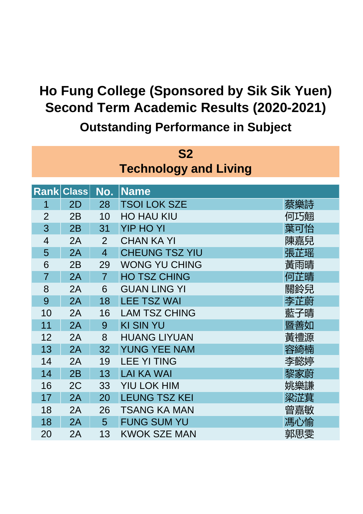| S <sub>2</sub> |                              |                |                       |     |  |  |  |  |
|----------------|------------------------------|----------------|-----------------------|-----|--|--|--|--|
|                | <b>Technology and Living</b> |                |                       |     |  |  |  |  |
|                |                              |                |                       |     |  |  |  |  |
|                | <b>Rank Class</b>            | No.            | <b>Name</b>           |     |  |  |  |  |
| 1              | 2D                           | 28             | <b>TSOI LOK SZE</b>   | 蔡樂詩 |  |  |  |  |
| $\overline{2}$ | 2B                           | 10             | <b>HO HAU KIU</b>     | 何巧翹 |  |  |  |  |
| 3              | 2B                           | 31             | <b>YIP HO YI</b>      | 葉可怡 |  |  |  |  |
| $\overline{4}$ | 2A                           | $\overline{2}$ | <b>CHAN KA YI</b>     | 陳嘉兒 |  |  |  |  |
| 5              | 2A                           | $\overline{4}$ | <b>CHEUNG TSZ YIU</b> | 張芷瑶 |  |  |  |  |
| 6              | 2B                           | 29             | <b>WONG YU CHING</b>  | 黃雨晴 |  |  |  |  |
| $\overline{7}$ | 2A                           | $\overline{7}$ | <b>HO TSZ CHING</b>   | 何芷晴 |  |  |  |  |
| 8              | 2A                           | 6              | <b>GUAN LING YI</b>   | 關鈴兒 |  |  |  |  |
| 9              | 2A                           | 18             | <b>LEE TSZ WAI</b>    | 李芷蔚 |  |  |  |  |
| 10             | 2A                           | 16             | <b>LAM TSZ CHING</b>  | 藍子晴 |  |  |  |  |
| 11             | 2A                           | 9              | <b>KI SIN YU</b>      | 暨善如 |  |  |  |  |
| 12             | 2A                           | 8              | <b>HUANG LIYUAN</b>   | 黃禮源 |  |  |  |  |
| 13             | 2A                           | 32             | <b>YUNG YEE NAM</b>   | 容綺楠 |  |  |  |  |
| 14             | 2A                           | 19             | <b>LEE YI TING</b>    | 李懿婷 |  |  |  |  |
| 14             | 2B                           | 13             | <b>LAI KA WAI</b>     | 黎家蔚 |  |  |  |  |
| 16             | 2C                           | 33             | <b>YIU LOK HIM</b>    | 姚樂謙 |  |  |  |  |
| 17             | 2A                           | 20             | <b>LEUNG TSZ KEI</b>  | 梁淽萁 |  |  |  |  |
| 18             | 2A                           | 26             | <b>TSANG KA MAN</b>   | 曾嘉敏 |  |  |  |  |
| 18             | 2A                           | 5              | <b>FUNG SUM YU</b>    | 馮心愉 |  |  |  |  |
| 20             | 2A                           | 13             | <b>KWOK SZE MAN</b>   | 郭思雯 |  |  |  |  |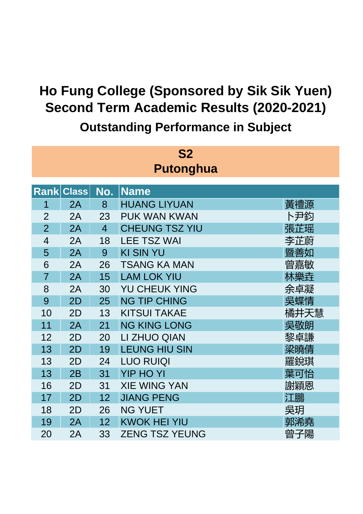| <b>S2</b>        |              |                |                       |      |  |
|------------------|--------------|----------------|-----------------------|------|--|
| <b>Putonghua</b> |              |                |                       |      |  |
|                  |              |                |                       |      |  |
| <u>Rankl</u>     | <b>Class</b> | No.            | <b>Name</b>           |      |  |
| 1                | 2A           | 8              | <b>HUANG LIYUAN</b>   | 黃禮源  |  |
| $\overline{2}$   | 2A           | 23             | PUK WAN KWAN          | ト尹鈞  |  |
| $\overline{2}$   | 2A           | $\overline{4}$ | <b>CHEUNG TSZ YIU</b> | 張芷瑶  |  |
| $\overline{4}$   | 2A           | 18             | <b>LEE TSZ WAI</b>    | 李芷蔚  |  |
| 5                | 2A           | 9              | <b>KI SIN YU</b>      | 暨善如  |  |
| 6                | 2A           | 26             | <b>TSANG KA MAN</b>   | 曾嘉敏  |  |
| $\overline{7}$   | 2A           | 15             | <b>LAM LOK YIU</b>    | 林樂垚  |  |
| 8                | 2A           | 30             | <b>YU CHEUK YING</b>  | 余卓凝  |  |
| 9                | 2D           | 25             | <b>NG TIP CHING</b>   | 吳蝶情  |  |
| 10               | 2D           | 13             | <b>KITSUI TAKAE</b>   | 橘井天慧 |  |
| 11               | 2A           | 21             | <b>NG KING LONG</b>   | 吳敬朗  |  |
| 12               | 2D           | 20             | LI ZHUO QIAN          | 黎卓謙  |  |
| 13               | 2D           | 19             | <b>LEUNG HIU SIN</b>  | 梁曉倩  |  |
| 13               | 2D           | 24             | <b>LUO RUIQI</b>      | 羅銳琪  |  |
| 13               | 2B           | 31             | <b>YIP HO YI</b>      | 葉可怡  |  |
| 16               | 2D           | 31             | <b>XIE WING YAN</b>   | 謝穎恩  |  |
| 17               | 2D           | 12             | <b>JIANG PENG</b>     | 江鵬   |  |
| 18               | 2D           | 26             | <b>NG YUET</b>        | 吳玥   |  |
| 19               | 2A           | 12             | <b>KWOK HEI YIU</b>   | 郭浠堯  |  |
| 20               | 2A           | 33             | <b>ZENG TSZ YEUNG</b> | 曾子陽  |  |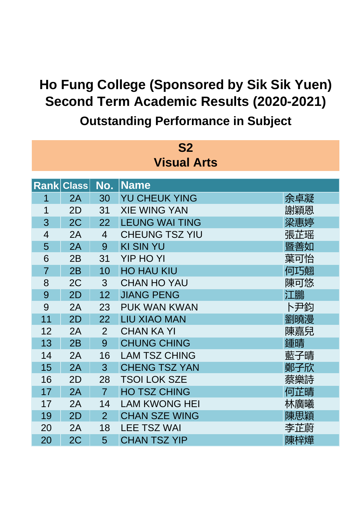| S <sub>2</sub>     |                   |                |                       |     |  |
|--------------------|-------------------|----------------|-----------------------|-----|--|
| <b>Visual Arts</b> |                   |                |                       |     |  |
|                    | <b>Rank Class</b> | No.            | <b>Name</b>           |     |  |
| 1                  | 2A                | 30             | <b>YU CHEUK YING</b>  | 余卓凝 |  |
| 1                  | 2D                | 31             | <b>XIE WING YAN</b>   | 謝穎恩 |  |
| 3                  | 2C                | 22             | <b>LEUNG WAI TING</b> | 梁惠婷 |  |
| $\overline{4}$     | 2A                | $\overline{4}$ | <b>CHEUNG TSZ YIU</b> | 張芷瑶 |  |
| 5                  | 2A                | 9              | <b>KI SIN YU</b>      | 暨善如 |  |
| 6                  | 2B                | 31             | <b>YIP HO YI</b>      | 葉可怡 |  |
| $\overline{7}$     | 2B                | 10             | <b>HO HAU KIU</b>     | 何巧翹 |  |
| 8                  | 2C                | 3              | <b>CHAN HO YAU</b>    | 陳可悠 |  |
| 9                  | 2D                | 12             | <b>JIANG PENG</b>     | 江鵬  |  |
| 9                  | 2A                | 23             | <b>PUK WAN KWAN</b>   | ト尹鈞 |  |
| 11                 | 2D                | 22             | <b>LIU XIAO MAN</b>   | 劉曉漫 |  |
| 12                 | 2A                | $\overline{2}$ | <b>CHAN KA YI</b>     | 陳嘉兒 |  |
| 13                 | 2B                | 9              | <b>CHUNG CHING</b>    | 鍾晴  |  |
| 14                 | 2A                | 16             | <b>LAM TSZ CHING</b>  | 藍子晴 |  |
| 15                 | 2A                | 3              | <b>CHENG TSZ YAN</b>  | 鄭子欣 |  |
| 16                 | 2D                | 28             | <b>TSOI LOK SZE</b>   | 蔡樂詩 |  |
| 17                 | 2A                | $\overline{7}$ | <b>HO TSZ CHING</b>   | 何芷晴 |  |
| 17                 | 2A                | 14             | <b>LAM KWONG HEI</b>  | 林廣曦 |  |
| 19                 | 2D                | $\overline{2}$ | <b>CHAN SZE WING</b>  | 陳思穎 |  |
| 20                 | 2A                | 18             | <b>LEE TSZ WAI</b>    | 李芷蔚 |  |
| 20                 | 2C                | 5              | <b>CHAN TSZ YIP</b>   | 陳梓燁 |  |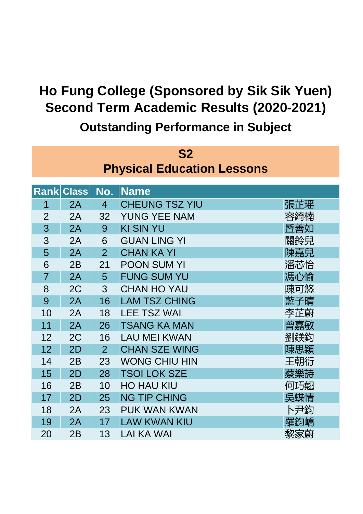| <b>S2</b>                         |              |                |                       |     |  |  |
|-----------------------------------|--------------|----------------|-----------------------|-----|--|--|
| <b>Physical Education Lessons</b> |              |                |                       |     |  |  |
|                                   |              |                |                       |     |  |  |
| <b>Rank</b>                       | <b>Class</b> | No.            | <b>Name</b>           |     |  |  |
| 1                                 | 2A           | $\overline{4}$ | <b>CHEUNG TSZ YIU</b> | 張芷瑶 |  |  |
| $\overline{2}$                    | 2A           | 32             | <b>YUNG YEE NAM</b>   | 容綺楠 |  |  |
| 3                                 | 2A           | 9              | <b>KI SIN YU</b>      | 暨善如 |  |  |
| 3                                 | 2A           | 6              | <b>GUAN LING YI</b>   | 關鈴兒 |  |  |
| 5                                 | 2A           | $\overline{2}$ | <b>CHAN KA YI</b>     | 陳嘉兒 |  |  |
| 6                                 | 2B           | 21             | <b>POON SUM YI</b>    | 潘芯怡 |  |  |
| $\overline{7}$                    | 2A           | 5              | <b>FUNG SUM YU</b>    | 馮心愉 |  |  |
| 8                                 | 2C           | 3              | <b>CHAN HO YAU</b>    | 陳可悠 |  |  |
| 9                                 | 2A           | 16             | <b>LAM TSZ CHING</b>  | 藍子晴 |  |  |
| 10                                | 2A           | 18             | <b>LEE TSZ WAI</b>    | 李芷蔚 |  |  |
| 11                                | 2A           | 26             | <b>TSANG KA MAN</b>   | 曾嘉敏 |  |  |
| 12                                | 2C           | 16             | <b>LAU MEI KWAN</b>   | 劉鎂鈞 |  |  |
| 12                                | 2D           | $\overline{2}$ | <b>CHAN SZE WING</b>  | 陳思穎 |  |  |
| 14                                | 2B           | 23             | <b>WONG CHIU HIN</b>  | 王朝衍 |  |  |
| 15                                | 2D           | 28             | <b>TSOI LOK SZE</b>   | 蔡樂詩 |  |  |
| 16                                | 2B           | 10             | <b>HO HAU KIU</b>     | 何巧翹 |  |  |
| 17                                | 2D           | 25             | <b>NG TIP CHING</b>   | 吳蝶情 |  |  |
| 18                                | 2A           | 23             | PUK WAN KWAN          | 卜尹鈞 |  |  |
| 19                                | 2A           | 17             | <b>LAW KWAN KIU</b>   | 羅鈞嶠 |  |  |
| 20                                | 2B           | 13             | <b>LAI KA WAI</b>     | 黎家蔚 |  |  |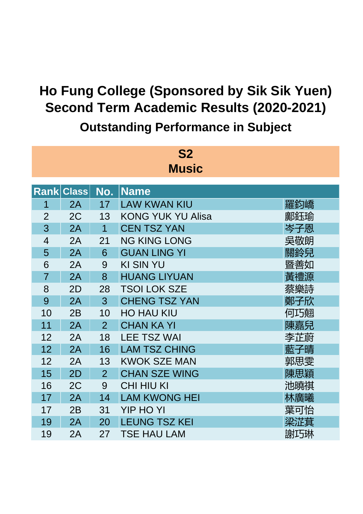| S <sub>2</sub><br><b>Music</b> |                   |                |                          |     |  |
|--------------------------------|-------------------|----------------|--------------------------|-----|--|
|                                | <b>Rank Class</b> | No.            | <b>Name</b>              |     |  |
| 1                              | 2A                | 17             | <b>LAW KWAN KIU</b>      | 羅鈞嶠 |  |
| $\overline{2}$                 | 2C                | 13             | <b>KONG YUK YU Alisa</b> | 鄺鈺瑜 |  |
| 3                              | 2A                | $\mathbf 1$    | <b>CEN TSZ YAN</b>       | 岑子恩 |  |
| $\overline{4}$                 | 2A                | 21             | <b>NG KING LONG</b>      | 吳敬朗 |  |
| 5                              | 2A                | 6              | <b>GUAN LING YI</b>      | 關鈴兒 |  |
| 6                              | 2A                | 9              | <b>KI SIN YU</b>         | 暨善如 |  |
| $\overline{7}$                 | 2A                | 8              | <b>HUANG LIYUAN</b>      | 黃禮源 |  |
| 8                              | 2D                | 28             | <b>TSOI LOK SZE</b>      | 蔡樂詩 |  |
| 9                              | 2A                | 3              | <b>CHENG TSZ YAN</b>     | 鄭子欣 |  |
| 10                             | 2B                | 10             | <b>HO HAU KIU</b>        | 何巧翹 |  |
| 11                             | 2A                | $\overline{2}$ | <b>CHAN KA YI</b>        | 陳嘉兒 |  |
| 12                             | 2A                | 18             | <b>LEE TSZ WAI</b>       | 李芷蔚 |  |
| 12                             | 2A                | 16             | <b>LAM TSZ CHING</b>     | 藍子晴 |  |
| 12                             | 2A                | 13             | <b>KWOK SZE MAN</b>      | 郭思雯 |  |
| 15                             | 2D                | $\overline{2}$ | <b>CHAN SZE WING</b>     | 陳思穎 |  |
| 16                             | 2C                | 9              | <b>CHI HIU KI</b>        | 池曉祺 |  |
| 17                             | 2A                | 14             | <b>LAM KWONG HEI</b>     | 林廣曦 |  |
| 17                             | 2B                | 31             | <b>YIP HO YI</b>         | 葉可怡 |  |
| 19                             | 2A                | 20             | <b>LEUNG TSZ KEI</b>     | 梁淽萁 |  |
| 19                             | 2A                | 27             | <b>TSE HAU LAM</b>       | 謝巧琳 |  |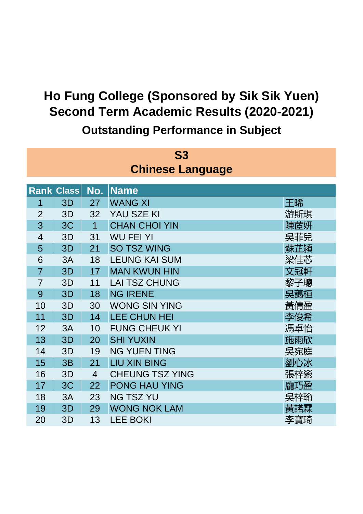| <b>S3</b><br><b>Chinese Language</b> |                   |                |                        |     |  |
|--------------------------------------|-------------------|----------------|------------------------|-----|--|
|                                      | <b>Rank Class</b> | No.            | <b>Name</b>            |     |  |
| 1                                    | 3D                | 27             | <b>WANG XI</b>         | 王晞  |  |
| $\overline{2}$                       | 3D                | 32             | YAU SZE KI             | 游斯琪 |  |
| 3                                    | 3C                | $\overline{1}$ | <b>CHAN CHOI YIN</b>   | 陳茝妍 |  |
| $\overline{4}$                       | 3D                | 31             | <b>WU FEI YI</b>       | 吳菲兒 |  |
| 5                                    | 3D                | 21             | <b>SO TSZ WING</b>     | 蘇芷潁 |  |
| 6                                    | 3A                | 18             | <b>LEUNG KAI SUM</b>   | 梁佳芯 |  |
| $\overline{7}$                       | 3D                | 17             | <b>MAN KWUN HIN</b>    | 文冠軒 |  |
| $\overline{7}$                       | 3D                | 11             | <b>LAI TSZ CHUNG</b>   | 黎子聰 |  |
| 9                                    | 3D                | 18             | <b>NG IRENE</b>        | 吳藹桓 |  |
| 10                                   | 3D                | 30             | <b>WONG SIN YING</b>   | 黃倩盈 |  |
| 11                                   | 3D                | 14             | <b>LEE CHUN HEI</b>    | 李俊希 |  |
| 12                                   | 3A                | 10             | <b>FUNG CHEUK YI</b>   | 馮卓怡 |  |
| 13                                   | 3D                | 20             | <b>SHI YUXIN</b>       | 施雨欣 |  |
| 14                                   | 3D                | 19             | <b>NG YUEN TING</b>    | 吳宛庭 |  |
| 15                                   | 3B                | 21             | <b>LIU XIN BING</b>    | 劉心冰 |  |
| 16                                   | 3D                | $\overline{4}$ | <b>CHEUNG TSZ YING</b> | 張梓縈 |  |
| 17                                   | 3C                | 22             | <b>PONG HAU YING</b>   | 龐巧盈 |  |
| 18                                   | 3A                | 23             | <b>NG TSZ YU</b>       | 吳梓瑜 |  |
| 19                                   | 3D                | 29             | <b>WONG NOK LAM</b>    | 黃諾霖 |  |
| 20                                   | 3D                | 13             | <b>LEE BOKI</b>        | 李寶琦 |  |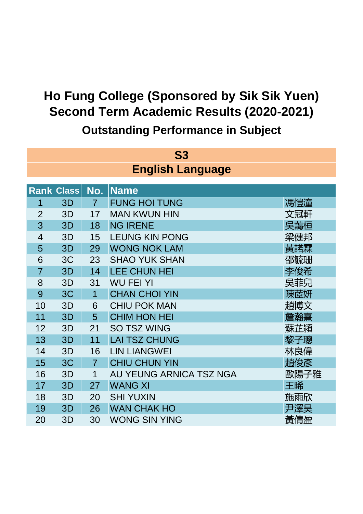| <b>S3</b>               |                   |                |                         |      |  |  |  |
|-------------------------|-------------------|----------------|-------------------------|------|--|--|--|
| <b>English Language</b> |                   |                |                         |      |  |  |  |
|                         |                   |                |                         |      |  |  |  |
|                         | <b>Rank Class</b> | No.            | <b>Name</b>             |      |  |  |  |
| 1                       | 3D                | $\overline{7}$ | <b>FUNG HOI TUNG</b>    | 馮愷潼  |  |  |  |
| $\overline{2}$          | 3D                | 17             | <b>MAN KWUN HIN</b>     | 文冠軒  |  |  |  |
| 3                       | 3D                | 18             | <b>NG IRENE</b>         | 吳藹桓  |  |  |  |
| $\overline{4}$          | 3D                | 15             | <b>LEUNG KIN PONG</b>   | 梁健邦  |  |  |  |
| 5                       | 3D                | 29             | <b>WONG NOK LAM</b>     | 黃諾霖  |  |  |  |
| 6                       | 3C                | 23             | <b>SHAO YUK SHAN</b>    | 邵毓珊  |  |  |  |
| $\overline{7}$          | 3D                | 14             | <b>LEE CHUN HEI</b>     | 李俊希  |  |  |  |
| 8                       | 3D                | 31             | <b>WU FEI YI</b>        | 吳菲兒  |  |  |  |
| 9                       | 3C                | $\overline{1}$ | <b>CHAN CHOI YIN</b>    | 陳茝妍  |  |  |  |
| 10                      | 3D                | 6              | <b>CHIU POK MAN</b>     | 趙博文  |  |  |  |
| 11                      | 3D                | 5              | <b>CHIM HON HEI</b>     | 詹瀚熹  |  |  |  |
| 12                      | 3D                | 21             | <b>SO TSZ WING</b>      | 蘇芷潁  |  |  |  |
| 13                      | 3D                | 11             | <b>LAI TSZ CHUNG</b>    | 黎子聰  |  |  |  |
| 14                      | 3D                | 16             | <b>LIN LIANGWEI</b>     | 林良偉  |  |  |  |
| 15                      | 3C                | $\overline{7}$ | <b>CHIU CHUN YIN</b>    | 趙俊彥  |  |  |  |
| 16                      | 3D                | 1              | AU YEUNG ARNICA TSZ NGA | 歐陽子雅 |  |  |  |
| 17                      | 3D                | 27             | <b>WANG XI</b>          | 王晞   |  |  |  |
| 18                      | 3D                | 20             | <b>SHI YUXIN</b>        | 施雨欣  |  |  |  |
| 19                      | 3D                | 26             | <b>WAN CHAK HO</b>      | 尹澤昊  |  |  |  |
| 20                      | 3D                | 30             | <b>WONG SIN YING</b>    | 黃倩盈  |  |  |  |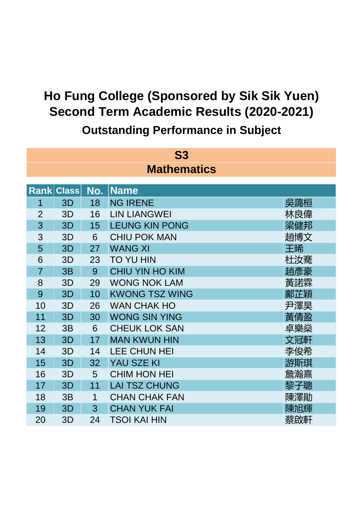| <b>S3</b>          |                   |     |                        |     |  |  |
|--------------------|-------------------|-----|------------------------|-----|--|--|
| <b>Mathematics</b> |                   |     |                        |     |  |  |
|                    | <b>Rank Class</b> | No. | <b>Name</b>            |     |  |  |
| 1                  | 3D                | 18  | <b>NG IRENE</b>        | 吳藹桓 |  |  |
| $\overline{2}$     | 3D                | 16  | <b>LIN LIANGWEI</b>    | 林良偉 |  |  |
| 3                  | 3D                | 15  | <b>LEUNG KIN PONG</b>  | 梁健邦 |  |  |
| 3                  | 3D                | 6   | <b>CHIU POK MAN</b>    | 趙博文 |  |  |
| 5                  | 3D                | 27  | <b>WANG XI</b>         | 王晞  |  |  |
| 6                  | 3D                | 23  | <b>TO YU HIN</b>       | 杜汝騫 |  |  |
| $\overline{7}$     | 3B                | 9   | <b>CHIU YIN HO KIM</b> | 趙彥豪 |  |  |
| 8                  | 3D                | 29  | <b>WONG NOK LAM</b>    | 黃諾霖 |  |  |
| 9                  | 3D                | 10  | <b>KWONG TSZ WING</b>  | 鄺芷穎 |  |  |
| 10                 | 3D                | 26  | <b>WAN CHAK HO</b>     | 尹澤昊 |  |  |
| 11                 | 3D                | 30  | <b>WONG SIN YING</b>   | 黃倩盈 |  |  |
| 12                 | 3B                | 6   | <b>CHEUK LOK SAN</b>   | 卓樂燊 |  |  |
| 13                 | 3D                | 17  | <b>MAN KWUN HIN</b>    | 文冠軒 |  |  |
| 14                 | 3D                | 14  | <b>LEE CHUN HEI</b>    | 李俊希 |  |  |
| 15                 | 3D                | 32  | <b>YAU SZE KI</b>      | 游斯琪 |  |  |
| 16                 | 3D                | 5   | <b>CHIM HON HEI</b>    | 詹瀚熹 |  |  |
| 17                 | 3D                | 11  | <b>LAI TSZ CHUNG</b>   | 黎子聰 |  |  |
| 18                 | 3B                | 1   | <b>CHAN CHAK FAN</b>   | 陳澤勛 |  |  |
| 19                 | 3D                | 3   | <b>CHAN YUK FAI</b>    | 陳旭輝 |  |  |
| 20                 | 3D                | 24  | <b>TSOI KAI HIN</b>    | 蔡啟軒 |  |  |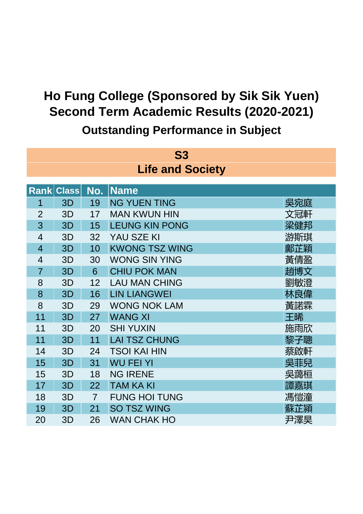| <b>S3</b>               |                   |                |                       |     |  |  |
|-------------------------|-------------------|----------------|-----------------------|-----|--|--|
| <b>Life and Society</b> |                   |                |                       |     |  |  |
|                         |                   |                |                       |     |  |  |
|                         | <b>Rank Class</b> | No.            | <b>Name</b>           |     |  |  |
| 1                       | 3D                | 19             | <b>NG YUEN TING</b>   | 吳宛庭 |  |  |
| $\overline{2}$          | 3D                | 17             | <b>MAN KWUN HIN</b>   | 文冠軒 |  |  |
| 3                       | 3D                | 15             | <b>LEUNG KIN PONG</b> | 梁健邦 |  |  |
| $\overline{4}$          | 3D                | 32             | YAU SZE KI            | 游斯琪 |  |  |
| $\overline{4}$          | 3D                | 10             | <b>KWONG TSZ WING</b> | 鄺芷穎 |  |  |
| $\overline{4}$          | 3D                | 30             | <b>WONG SIN YING</b>  | 黃倩盈 |  |  |
| $\overline{7}$          | 3D                | 6              | <b>CHIU POK MAN</b>   | 趙博文 |  |  |
| 8                       | 3D                | 12             | <b>LAU MAN CHING</b>  | 劉敏澄 |  |  |
| 8                       | 3D                | 16             | <b>LIN LIANGWEI</b>   | 林良偉 |  |  |
| 8                       | 3D                | 29             | <b>WONG NOK LAM</b>   | 黃諾霖 |  |  |
| 11                      | 3D                | 27             | <b>WANG XI</b>        | 王晞  |  |  |
| 11                      | 3D                | 20             | <b>SHI YUXIN</b>      | 施雨欣 |  |  |
| 11                      | 3D                | 11             | <b>LAI TSZ CHUNG</b>  | 黎子聰 |  |  |
| 14                      | 3D                | 24             | <b>TSOI KAI HIN</b>   | 蔡啟軒 |  |  |
| 15                      | 3D                | 31             | <b>WU FEI YI</b>      | 吳菲兒 |  |  |
| 15                      | 3D                | 18             | <b>NG IRENE</b>       | 吳藹桓 |  |  |
| 17                      | 3D                | 22             | <b>TAM KA KI</b>      | 譚嘉琪 |  |  |
| 18                      | 3D                | $\overline{7}$ | <b>FUNG HOI TUNG</b>  | 馮愷潼 |  |  |
| 19                      | 3D                | 21             | <b>SO TSZ WING</b>    | 蘇芷潁 |  |  |
| 20                      | 3D                | 26             | <b>WAN CHAK HO</b>    | 尹澤昊 |  |  |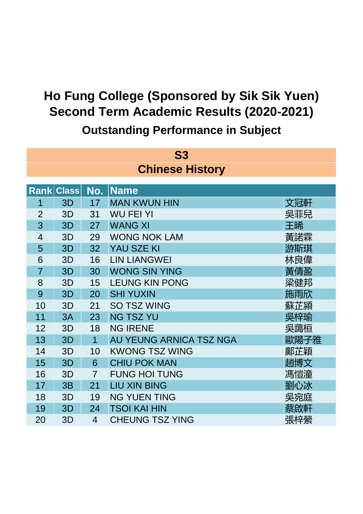|                        | <b>S3</b>         |                |                         |      |  |  |
|------------------------|-------------------|----------------|-------------------------|------|--|--|
| <b>Chinese History</b> |                   |                |                         |      |  |  |
|                        | <b>Rank Class</b> | No.            | <b>Name</b>             |      |  |  |
| 1                      | 3D                | 17             | <b>MAN KWUN HIN</b>     | 文冠軒  |  |  |
| $\overline{2}$         | 3D                | 31             | <b>WU FEI YI</b>        | 吳菲兒  |  |  |
| 3                      | 3D                | 27             | <b>WANG XI</b>          | 王晞   |  |  |
| $\overline{4}$         | 3D                | 29             | <b>WONG NOK LAM</b>     | 黃諾霖  |  |  |
| 5                      | 3D                | 32             | YAU SZE KI              | 游斯琪  |  |  |
| 6                      | 3D                | 16             | <b>LIN LIANGWEI</b>     | 林良偉  |  |  |
| $\overline{7}$         | 3D                | 30             | <b>WONG SIN YING</b>    | 黃倩盈  |  |  |
| 8                      | 3D                | 15             | <b>LEUNG KIN PONG</b>   | 梁健邦  |  |  |
| 9                      | 3D                | 20             | <b>SHI YUXIN</b>        | 施雨欣  |  |  |
| 10                     | 3D                | 21             | <b>SO TSZ WING</b>      | 蘇芷潁  |  |  |
| 11                     | 3A                | 23             | <b>NG TSZ YU</b>        | 吳梓瑜  |  |  |
| 12                     | 3D                | 18             | <b>NG IRENE</b>         | 吳藹桓  |  |  |
| 13                     | 3D                | $\overline{1}$ | AU YEUNG ARNICA TSZ NGA | 歐陽子雅 |  |  |
| 14                     | 3D                | 10             | <b>KWONG TSZ WING</b>   | 鄺芷穎  |  |  |
| 15                     | 3D                | 6              | <b>CHIU POK MAN</b>     | 趙博文  |  |  |
| 16                     | 3D                | $\overline{7}$ | <b>FUNG HOI TUNG</b>    | 馮愷潼  |  |  |
| 17                     | 3B                | 21             | <b>LIU XIN BING</b>     | 劉心冰  |  |  |
| 18                     | 3D                | 19             | <b>NG YUEN TING</b>     | 吳宛庭  |  |  |
| 19                     | 3D                | 24             | <b>TSOI KAI HIN</b>     | 蔡啟軒  |  |  |
| 20                     | 3D                | $\overline{4}$ | <b>CHEUNG TSZ YING</b>  | 張梓縈  |  |  |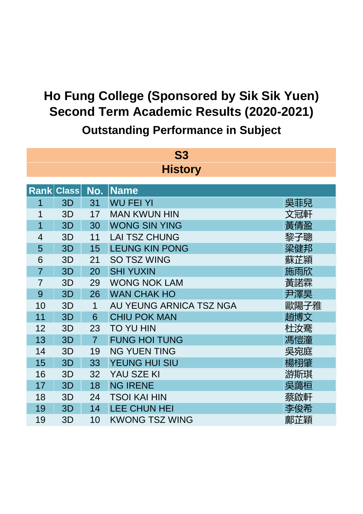| <b>S3</b><br><b>History</b> |                   |                |                         |      |  |  |  |
|-----------------------------|-------------------|----------------|-------------------------|------|--|--|--|
|                             |                   |                |                         |      |  |  |  |
|                             | <b>Rank Class</b> | No.            | Name                    |      |  |  |  |
| 1                           | 3D                | 31             | <b>WU FEI YI</b>        | 吳菲兒  |  |  |  |
| 1                           | 3D                | 17             | <b>MAN KWUN HIN</b>     | 文冠軒  |  |  |  |
| 1                           | 3D                | 30             | <b>WONG SIN YING</b>    | 黃倩盈  |  |  |  |
| $\overline{4}$              | 3D                | 11             | <b>LAI TSZ CHUNG</b>    | 黎子聰  |  |  |  |
| 5                           | 3D                | 15             | <b>LEUNG KIN PONG</b>   | 梁健邦  |  |  |  |
| 6                           | 3D                | 21             | <b>SO TSZ WING</b>      | 蘇芷潁  |  |  |  |
| $\overline{7}$              | 3D                | 20             | <b>SHI YUXIN</b>        | 施雨欣  |  |  |  |
| $\overline{7}$              | 3D                | 29             | <b>WONG NOK LAM</b>     | 黃諾霖  |  |  |  |
| 9                           | 3D                | 26             | <b>WAN CHAK HO</b>      | 尹澤昊  |  |  |  |
| 10                          | 3D                | 1              | AU YEUNG ARNICA TSZ NGA | 歐陽子雅 |  |  |  |
| 11                          | 3D                | 6              | <b>CHIU POK MAN</b>     | 趙博文  |  |  |  |
| 12                          | 3D                | 23             | <b>TO YU HIN</b>        | 杜汝騫  |  |  |  |
| 13                          | 3D                | $\overline{7}$ | <b>FUNG HOI TUNG</b>    | 馮愷潼  |  |  |  |
| 14                          | 3D                | 19             | <b>NG YUEN TING</b>     | 吳宛庭  |  |  |  |
| 15                          | 3D                | 33             | YEUNG HUI SIU           | 楊栩肇  |  |  |  |
| 16                          | 3D                | 32             | YAU SZE KI              | 游斯琪  |  |  |  |
| 17                          | 3D                | 18             | <b>NG IRENE</b>         | 吳藹桓  |  |  |  |
| 18                          | 3D                | 24             | <b>TSOI KAI HIN</b>     | 蔡啟軒  |  |  |  |
| 19                          | 3D                | 14             | <b>LEE CHUN HEI</b>     | 李俊希  |  |  |  |
| 19                          | 3D                | 10             | <b>KWONG TSZ WING</b>   | 鄺芷穎  |  |  |  |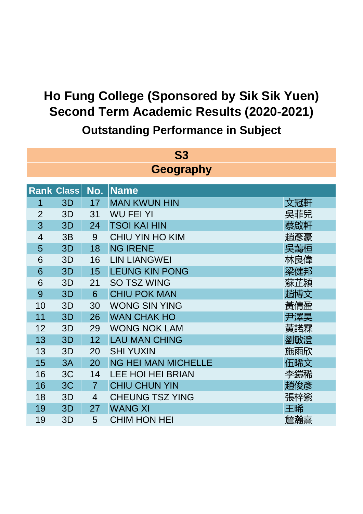| <b>S3</b>      |                   |                |                            |     |  |  |
|----------------|-------------------|----------------|----------------------------|-----|--|--|
| Geography      |                   |                |                            |     |  |  |
|                | <b>Rank Class</b> | No.            | <b>Name</b>                |     |  |  |
| 1              | 3D                | 17             | <b>MAN KWUN HIN</b>        | 文冠軒 |  |  |
| $\overline{2}$ | 3D                | 31             | <b>WU FEI YI</b>           | 吳菲兒 |  |  |
| 3              | 3D                | 24             | <b>TSOI KAI HIN</b>        | 蔡啟軒 |  |  |
| $\overline{4}$ | 3B                | 9              | <b>CHIU YIN HO KIM</b>     | 趙彥豪 |  |  |
| 5              | 3D                | 18             | <b>NG IRENE</b>            | 吳藹桓 |  |  |
| 6              | 3D                | 16             | <b>LIN LIANGWEI</b>        | 林良偉 |  |  |
| 6              | 3D                | 15             | <b>LEUNG KIN PONG</b>      | 梁健邦 |  |  |
| 6              | 3D                | 21             | <b>SO TSZ WING</b>         | 蘇芷潁 |  |  |
| 9              | 3D                | 6              | <b>CHIU POK MAN</b>        | 趙博文 |  |  |
| 10             | 3D                | 30             | <b>WONG SIN YING</b>       | 黃倩盈 |  |  |
| 11             | 3D                | 26             | <b>WAN CHAK HO</b>         | 尹澤昊 |  |  |
| 12             | 3D                | 29             | <b>WONG NOK LAM</b>        | 黃諾霖 |  |  |
| 13             | 3D                | 12             | <b>LAU MAN CHING</b>       | 劉敏澄 |  |  |
| 13             | 3D                | 20             | <b>SHI YUXIN</b>           | 施雨欣 |  |  |
| 15             | 3A                | 20             | <b>NG HEI MAN MICHELLE</b> | 伍晞文 |  |  |
| 16             | 3C                | 14             | <b>LEE HOI HEI BRIAN</b>   | 李鎧稀 |  |  |
| 16             | 3C                | $\overline{7}$ | <b>CHIU CHUN YIN</b>       | 趙俊彥 |  |  |
| 18             | 3D                | $\overline{4}$ | <b>CHEUNG TSZ YING</b>     | 張梓縈 |  |  |
| 19             | 3D                | 27             | <b>WANG XI</b>             | 王晞  |  |  |
| 19             | 3D                | 5              | <b>CHIM HON HEI</b>        | 詹瀚熹 |  |  |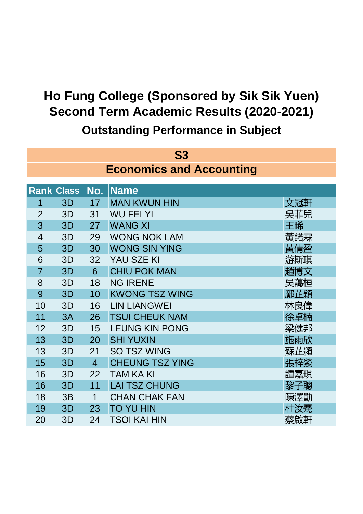**S3 Rank Class No.** 1 3D 17 MAN KWUN HIN 2000 2000 文冠軒 2 3D 31 WU FEI YI 吴菲兒 3 3D 27 WANG XI 王晞 4 3D 29 WONG NOK LAM 黃諾霖 5 3D 30 WONG SIN YING 黃倩盈 6 3D 32 YAU SZE KI 游斯琪 7 3D 6 CHIU POK MAN 2000 1000 1000 111 封博文 8 3D 18 NG IRENE 吴藹桓 9 3D 10 KWONG TSZ WING 20 20 20 20 10 10 KWONG TSZ WING 10 3D 16 LIN LIANGWEI 2000 2000 林良偉 11 3A 26 TSUI CHEUK NAM 20 20 20 0 0 0 0 1 余卓楠 12 3D 15 LEUNG KIN PONG 梁健邦 13 3D 20 SHI YUXIN 施雨欣 13 3D 21 SO TSZ WING 蘇芷潁 15 3D 4 CHEUNG TSZ YING 2000 2000 00 張梓縈 16 3D 22 TAM KA KI 譚嘉琪 16 3D 11 LAI TSZ CHUNG 2000 2000 2000 黎子聰 18 3B 1 CHAN CHAK FAN 陳澤勛 19 3D 23 TO YU HIN And The Total Transit Transit Transit Transit Transit Transit T 20 3D 24 TSOI KAI HIN 20 本慈的軒 **Name Economics and Accounting**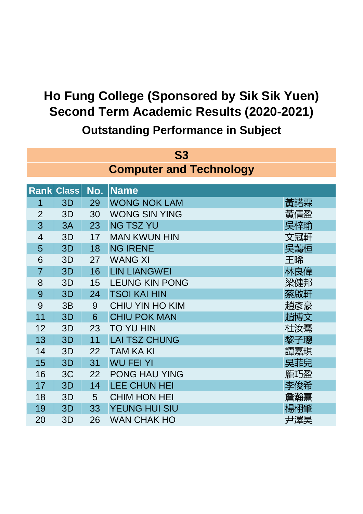**S3 Rank Class No.** 1 3D 29 WONG NOK LAM 黃諾霖 2 3D 30 WONG SIN YING 黃倩盈 3 3A 23 NG TSZ YU 20 20 20 20 21 22 22 23 24 25 26 27 27 28 29 20 21 22 22 23 24 25 26 27 27 27 27 27 27 27 27 4 3D 17 MAN KWUN HIN 文冠軒 5 3D 18 NG IRENE 2000 2000 2000 吴藹桓 6 3D 27 WANG XI 王晞 7 3D 16 LIN LIANGWEI 林良偉 8 3D 15 LEUNG KIN PONG インファイル 梁健邦 9 3D 24 TSOI KAI HIN 2008 2009 12:00 秦啟軒 9 3B 9 CHIU YIN HO KIM 趙彥豪 11 3D 6 CHIU POK MAN 2000 2000 11 封博文 12 3D 23 TO YU HIN 杜汝騫 13 3D 11 LAI TSZ CHUNG TELERATION TAG 聚子聰 14 3D 22 TAM KA KI 譚嘉琪 15 3D 31 WU FEI YI 吴菲兒 16 3C 22 PONG HAU YING 龐巧盈 17 3D 14 LEE CHUN HEI 李俊希 18 3D 5 CHIM HON HEI 詹瀚熹 19 3D 33 YEUNG HUI SIU 楊栩肇 20 3D 26 WAN CHAK HO 尹澤昊 **Name Computer and Technology**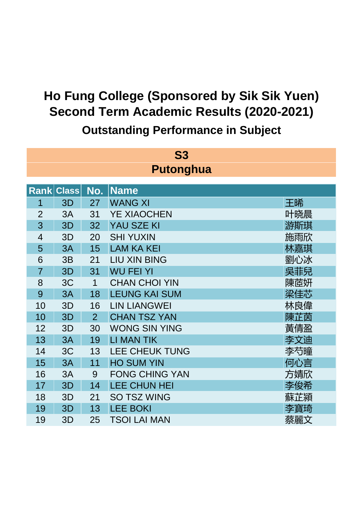| <b>S3</b><br><b>Putonghua</b> |                   |                |                       |     |  |
|-------------------------------|-------------------|----------------|-----------------------|-----|--|
|                               | <b>Rank Class</b> | No.            | <b>Name</b>           |     |  |
| 1                             | 3D                | 27             | <b>WANG XI</b>        | 王晞  |  |
| $\overline{2}$                | 3A                | 31             | <b>YE XIAOCHEN</b>    | 叶晓晨 |  |
| 3                             | 3D                | 32             | YAU SZE KI            | 游斯琪 |  |
| $\overline{4}$                | 3D                | 20             | <b>SHI YUXIN</b>      | 施雨欣 |  |
| 5                             | 3A                | 15             | <b>LAM KA KEI</b>     |     |  |
| 6                             |                   |                | <b>LIU XIN BING</b>   | 林嘉琪 |  |
|                               | 3B                | 21             |                       | 劉心冰 |  |
| $\overline{7}$                | 3D                | 31             | <b>WU FEI YI</b>      | 吳菲兒 |  |
| 8                             | 3C                | $\mathbf 1$    | <b>CHAN CHOI YIN</b>  | 陳茝妍 |  |
| 9                             | 3A                | 18             | <b>LEUNG KAI SUM</b>  | 梁佳芯 |  |
| 10                            | 3D                | 16             | <b>LIN LIANGWEI</b>   | 林良偉 |  |
| 10                            | 3D                | $\overline{2}$ | <b>CHAN TSZ YAN</b>   | 陳芷茵 |  |
| 12                            | 3D                | 30             | <b>WONG SIN YING</b>  | 黃倩盈 |  |
| 13                            | 3A                | 19             | <b>LI MAN TIK</b>     | 李文迪 |  |
| 14                            | 3C                | 13             | <b>LEE CHEUK TUNG</b> | 李芍瞳 |  |
| 15                            | 3A                | 11             | <b>HO SUM YIN</b>     | 何心言 |  |
| 16                            | 3A                | 9              | <b>FONG CHING YAN</b> | 方婧欣 |  |
| 17                            | 3D                | 14             | LEE CHUN HEI          | 李俊希 |  |
| 18                            | 3D                | 21             | <b>SO TSZ WING</b>    | 蘇芷潁 |  |
| 19                            | 3D                | 13             | <b>LEE BOKI</b>       | 李寶琦 |  |
| 19                            | 3D                | 25             | <b>TSOI LAI MAN</b>   | 蔡麗文 |  |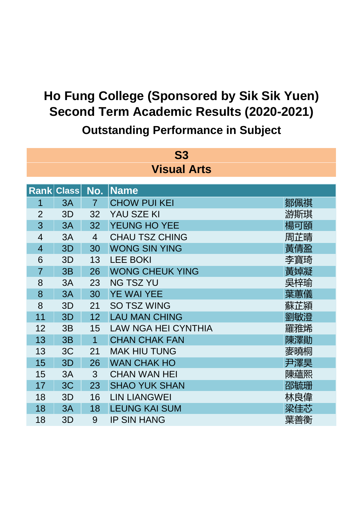| <b>S3</b>          |                   |                |                            |     |  |  |
|--------------------|-------------------|----------------|----------------------------|-----|--|--|
| <b>Visual Arts</b> |                   |                |                            |     |  |  |
|                    | <b>Rank Class</b> | No.            | <b>Name</b>                |     |  |  |
| 1                  | 3A                | $\overline{7}$ | <b>CHOW PUI KEI</b>        | 鄒佩祺 |  |  |
| $\overline{2}$     | 3D                | 32             | YAU SZE KI                 | 游斯琪 |  |  |
| 3                  | 3A                | 32             | YEUNG HO YEE               | 楊可頤 |  |  |
| $\overline{4}$     | 3A                | $\overline{4}$ | <b>CHAU TSZ CHING</b>      | 周芷晴 |  |  |
| $\overline{4}$     | 3D                | 30             | <b>WONG SIN YING</b>       | 黃倩盈 |  |  |
| 6                  | 3D                | 13             | <b>LEE BOKI</b>            | 李寶琦 |  |  |
| $\overline{7}$     | 3B                | 26             | <b>WONG CHEUK YING</b>     | 黃婥凝 |  |  |
| 8                  | 3A                | 23             | <b>NG TSZ YU</b>           | 吳梓瑜 |  |  |
| 8                  | 3A                | 30             | <b>YE WAI YEE</b>          | 葉蕙儀 |  |  |
| 8                  | 3D                | 21             | <b>SO TSZ WING</b>         | 蘇芷潁 |  |  |
| 11                 | 3D                | 12             | <b>LAU MAN CHING</b>       | 劉敏澄 |  |  |
| 12                 | 3B                | 15             | <b>LAW NGA HEI CYNTHIA</b> | 羅雅烯 |  |  |
| 13                 | 3B                | $\overline{1}$ | <b>CHAN CHAK FAN</b>       | 陳澤勛 |  |  |
| 13                 | 3C                | 21             | <b>MAK HIU TUNG</b>        | 麥曉桐 |  |  |
| 15                 | 3D                | 26             | <b>WAN CHAK HO</b>         | 尹澤昊 |  |  |
| 15                 | 3A                | 3              | <b>CHAN WAN HEI</b>        | 陳蘊熙 |  |  |
| 17                 | 3C                | 23             | <b>SHAO YUK SHAN</b>       | 邵毓珊 |  |  |
| 18                 | 3D                | 16             | <b>LIN LIANGWEI</b>        | 林良偉 |  |  |
| 18                 | 3A                | 18             | <b>LEUNG KAI SUM</b>       | 梁佳芯 |  |  |
| 18                 | 3D                | 9              | <b>IP SIN HANG</b>         | 葉善衡 |  |  |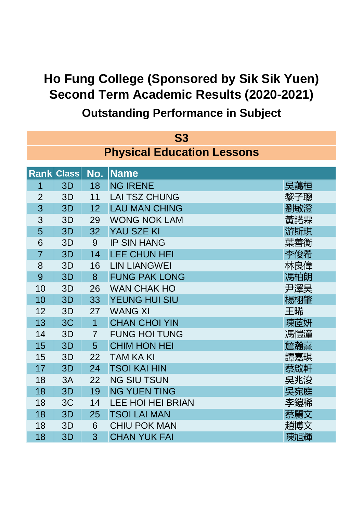| <b>S3</b>                         |                   |                |                          |     |  |
|-----------------------------------|-------------------|----------------|--------------------------|-----|--|
| <b>Physical Education Lessons</b> |                   |                |                          |     |  |
|                                   |                   |                |                          |     |  |
|                                   | <b>Rank Class</b> | No.            | Name                     |     |  |
| 1                                 | 3D                | 18             | <b>NG IRENE</b>          | 吳藹桓 |  |
| $\overline{2}$                    | 3D                | 11             | <b>LAI TSZ CHUNG</b>     | 黎子聰 |  |
| 3                                 | 3D                | 12             | <b>LAU MAN CHING</b>     | 劉敏澄 |  |
| 3                                 | 3D                | 29             | <b>WONG NOK LAM</b>      | 黃諾霖 |  |
| 5                                 | 3D                | 32             | <b>YAU SZE KI</b>        | 游斯琪 |  |
| 6                                 | 3D                | 9              | <b>IP SIN HANG</b>       | 葉善衡 |  |
| $\overline{7}$                    | 3D                | 14             | <b>LEE CHUN HEI</b>      | 李俊希 |  |
| 8                                 | 3D                | 16             | <b>LIN LIANGWEI</b>      | 林良偉 |  |
| 9                                 | 3D                | 8              | <b>FUNG PAK LONG</b>     | 馮柏朗 |  |
| 10                                | 3D                | 26             | <b>WAN CHAK HO</b>       | 尹澤昊 |  |
| 10                                | 3D                | 33             | <b>YEUNG HUI SIU</b>     | 楊栩肇 |  |
| 12                                | 3D                | 27             | <b>WANG XI</b>           | 王晞  |  |
| 13                                | 3C                | $\overline{1}$ | <b>CHAN CHOI YIN</b>     | 陳茝妍 |  |
| 14                                | 3D                | $\overline{7}$ | <b>FUNG HOI TUNG</b>     | 馮愷潼 |  |
| 15                                | 3D                | 5              | <b>CHIM HON HEI</b>      | 詹瀚熹 |  |
| 15                                | 3D                | 22             | <b>TAM KA KI</b>         | 譚嘉琪 |  |
| 17                                | 3D                | 24             | <b>TSOI KAI HIN</b>      | 蔡啟軒 |  |
| 18                                | 3A                | 22             | <b>NG SIU TSUN</b>       | 吳兆浚 |  |
| 18                                | 3D                | 19             | <b>NG YUEN TING</b>      | 吳宛庭 |  |
| 18                                | 3C                | 14             | <b>LEE HOI HEI BRIAN</b> | 李鎧稀 |  |
| 18                                | 3D                | 25             | <b>TSOI LAI MAN</b>      | 蔡麗文 |  |
| 18                                | 3D                | 6              | <b>CHIU POK MAN</b>      | 趙博文 |  |
| 18                                | 3D                | 3              | <b>CHAN YUK FAI</b>      | 陳旭輝 |  |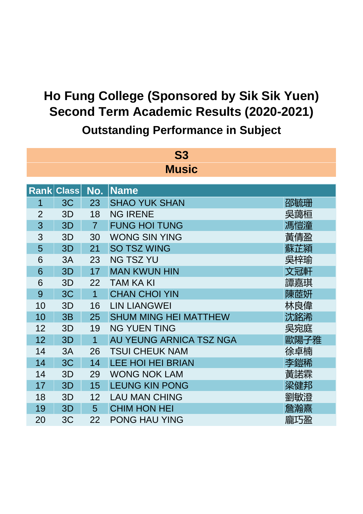| <b>S3</b><br><b>Music</b> |                   |                |                              |      |  |  |
|---------------------------|-------------------|----------------|------------------------------|------|--|--|
|                           | <b>Rank Class</b> | No.            | <b>Name</b>                  |      |  |  |
| 1                         | 3C                | 23             | <b>SHAO YUK SHAN</b>         | 邵毓珊  |  |  |
| $\overline{2}$            | 3D                | 18             | <b>NG IRENE</b>              | 吳藹桓  |  |  |
| 3                         | 3D                | $\overline{7}$ | <b>FUNG HOI TUNG</b>         | 馮愷潼  |  |  |
| 3                         | 3D                | 30             | <b>WONG SIN YING</b>         | 黃倩盈  |  |  |
| 5                         | 3D                | 21             | <b>SO TSZ WING</b>           | 蘇芷潁  |  |  |
| 6                         | 3A                | 23             | <b>NG TSZ YU</b>             | 吳梓瑜  |  |  |
| 6                         | 3D                | 17             | <b>MAN KWUN HIN</b>          | 文冠軒  |  |  |
| 6                         | 3D                | 22             | <b>TAM KA KI</b>             | 譚嘉琪  |  |  |
| 9                         | 3C                | $\overline{1}$ | <b>CHAN CHOI YIN</b>         | 陳茝妍  |  |  |
| 10                        | 3D                | 16             | <b>LIN LIANGWEI</b>          | 林良偉  |  |  |
| 10                        | 3B                | 25             | <b>SHUM MING HEI MATTHEW</b> | 沈銘浠  |  |  |
| 12                        | 3D                | 19             | <b>NG YUEN TING</b>          | 吳宛庭  |  |  |
| 12                        | 3D                | $\overline{1}$ | AU YEUNG ARNICA TSZ NGA      | 歐陽子雅 |  |  |
| 14                        | 3A                | 26             | <b>TSUI CHEUK NAM</b>        | 徐卓楠  |  |  |
| 14                        | 3C                | 14             | <b>LEE HOI HEI BRIAN</b>     | 李鎧稀  |  |  |
| 14                        | 3D                | 29             | <b>WONG NOK LAM</b>          | 黃諾霖  |  |  |
| 17                        | 3D                | 15             | <b>LEUNG KIN PONG</b>        | 梁健邦  |  |  |
| 18                        | 3D                | 12             | <b>LAU MAN CHING</b>         | 劉敏澄  |  |  |
| 19                        | 3D                | 5              | <b>CHIM HON HEI</b>          | 詹瀚熹  |  |  |
| 20                        | 3C                | 22             | <b>PONG HAU YING</b>         | 龐巧盈  |  |  |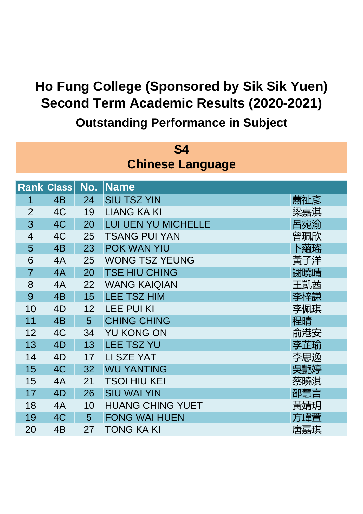| S4                      |                   |     |                         |     |  |  |
|-------------------------|-------------------|-----|-------------------------|-----|--|--|
| <b>Chinese Language</b> |                   |     |                         |     |  |  |
|                         | <b>Rank Class</b> | No. | <b>Name</b>             |     |  |  |
| 1                       | 4 <sub>B</sub>    | 24  | <b>SIU TSZ YIN</b>      | 蕭祉彥 |  |  |
| $\overline{2}$          | 4C                | 19  | <b>LIANG KA KI</b>      | 梁嘉淇 |  |  |
| 3                       | 4C                | 20  | LUI UEN YU MICHELLE     | 呂宛渝 |  |  |
| $\overline{4}$          | 4C                | 25  | <b>TSANG PUI YAN</b>    | 曾珮欣 |  |  |
| 5                       | 4 <sub>B</sub>    | 23  | POK WAN YIU             | 卜蘊瑤 |  |  |
| 6                       | 4A                | 25  | <b>WONG TSZ YEUNG</b>   | 黃子洋 |  |  |
| $\overline{7}$          | 4A                | 20  | <b>TSE HIU CHING</b>    | 謝曉晴 |  |  |
| 8                       | 4A                | 22  | <b>WANG KAIQIAN</b>     | 王凱茜 |  |  |
| 9                       | 4 <sub>B</sub>    | 15  | <b>LEE TSZ HIM</b>      | 李梓謙 |  |  |
| 10                      | 4D                | 12  | <b>LEE PUI KI</b>       | 李佩琪 |  |  |
| 11                      | 4 <sub>B</sub>    | 5   | <b>CHING CHING</b>      | 程晴  |  |  |
| 12                      | 4C                | 34  | <b>YU KONG ON</b>       | 俞港安 |  |  |
| 13                      | 4D                | 13  | <b>LEE TSZ YU</b>       | 李芷瑜 |  |  |
| 14                      | 4D                | 17  | LI SZE YAT              | 李思逸 |  |  |
| 15                      | 4C                | 32  | <b>WU YANTING</b>       | 吳艷婷 |  |  |
| 15                      | 4A                | 21  | <b>TSOI HIU KEI</b>     | 蔡曉淇 |  |  |
| 17                      | 4D                | 26  | <b>SIU WAI YIN</b>      | 邵慧言 |  |  |
| 18                      | 4A                | 10  | <b>HUANG CHING YUET</b> | 黃婧玥 |  |  |
| 19                      | 4C                | 5   | <b>FONG WAI HUEN</b>    | 方瑋菅 |  |  |
| 20                      | 4B                | 27  | <b>TONG KA KI</b>       | 唐嘉琪 |  |  |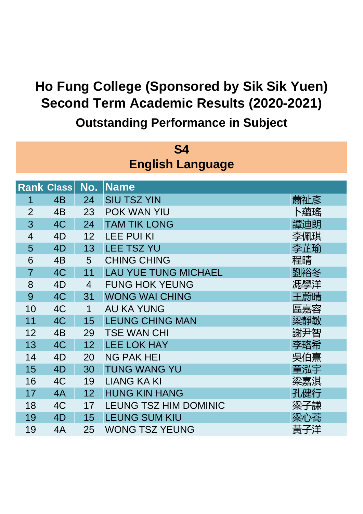| S4             |                   |                |                              |     |  |  |  |
|----------------|-------------------|----------------|------------------------------|-----|--|--|--|
|                |                   |                | <b>English Language</b>      |     |  |  |  |
|                |                   |                |                              |     |  |  |  |
|                | <b>Rank Class</b> | No.            | <b>Name</b>                  |     |  |  |  |
| 1              | 4 <sub>B</sub>    | 24             | <b>SIU TSZ YIN</b>           | 蕭祉彥 |  |  |  |
| $\overline{2}$ | 4 <sub>B</sub>    | 23             | POK WAN YIU                  | 卜蘊瑤 |  |  |  |
| 3              | 4C                | 24             | <b>TAM TIK LONG</b>          | 譚迪朗 |  |  |  |
| $\overline{4}$ | 4D                | 12             | <b>LEE PUI KI</b>            | 李佩琪 |  |  |  |
| 5              | 4D                | 13             | <b>LEE TSZ YU</b>            | 李芷瑜 |  |  |  |
| 6              | 4B                | 5              | <b>CHING CHING</b>           | 程晴  |  |  |  |
| $\overline{7}$ | 4C                | 11             | <b>LAU YUE TUNG MICHAEL</b>  | 劉裕冬 |  |  |  |
| 8              | 4D                | $\overline{4}$ | <b>FUNG HOK YEUNG</b>        | 馮學洋 |  |  |  |
| 9              | 4C                | 31             | <b>WONG WAI CHING</b>        | 王蔚晴 |  |  |  |
| 10             | 4C                | 1              | <b>AU KA YUNG</b>            | 區嘉容 |  |  |  |
| 11             | 4C                | 15             | <b>LEUNG CHING MAN</b>       | 梁靜敏 |  |  |  |
| 12             | 4B                | 29             | <b>TSE WAN CHI</b>           | 謝尹智 |  |  |  |
| 13             | 4C                | 12             | <b>LEE LOK HAY</b>           | 李珞希 |  |  |  |
| 14             | 4D                | 20             | <b>NG PAK HEI</b>            | 吳伯熹 |  |  |  |
| 15             | 4D                | 30             | <b>TUNG WANG YU</b>          | 童泓宇 |  |  |  |
| 16             | 4C                | 19             | <b>LIANG KA KI</b>           | 梁嘉淇 |  |  |  |
| 17             | 4A                | 12             | <b>HUNG KIN HANG</b>         | 孔健行 |  |  |  |
| 18             | 4C                | 17             | <b>LEUNG TSZ HIM DOMINIC</b> | 梁子謙 |  |  |  |
| 19             | 4D                | 15             | <b>LEUNG SUM KIU</b>         | 梁心蕎 |  |  |  |
| 19             | 4A                | 25             | <b>WONG TSZ YEUNG</b>        | 黃子洋 |  |  |  |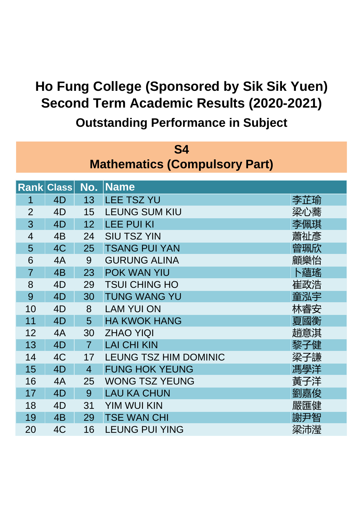| <b>S4</b>                            |                |                |                              |     |  |  |  |
|--------------------------------------|----------------|----------------|------------------------------|-----|--|--|--|
| <b>Mathematics (Compulsory Part)</b> |                |                |                              |     |  |  |  |
| <b>Rank Class</b>                    |                |                |                              |     |  |  |  |
|                                      |                | No.            | <b>Name</b>                  |     |  |  |  |
| 1                                    | 4D             | 13             | <b>LEE TSZ YU</b>            | 李芷瑜 |  |  |  |
| $\overline{2}$                       | 4D             | 15             | <b>LEUNG SUM KIU</b>         | 梁心蕎 |  |  |  |
| 3                                    | 4D             | 12             | <b>LEE PUI KI</b>            | 李佩琪 |  |  |  |
| $\overline{4}$                       | 4B             | 24             | <b>SIU TSZ YIN</b>           | 蕭祉彥 |  |  |  |
| 5                                    | 4C             | 25             | <b>TSANG PUI YAN</b>         | 曾珮欣 |  |  |  |
| 6                                    | 4A             | 9              | <b>GURUNG ALINA</b>          | 顧樂怡 |  |  |  |
| $\overline{7}$                       | 4 <sub>B</sub> | 23             | POK WAN YIU                  | 卜蘊瑤 |  |  |  |
| 8                                    | 4D             | 29             | <b>TSUI CHING HO</b>         | 崔政浩 |  |  |  |
| 9                                    | 4D             | 30             | <b>TUNG WANG YU</b>          | 童泓宇 |  |  |  |
| 10                                   | 4D             | 8              | <b>LAM YUI ON</b>            | 林睿安 |  |  |  |
| 11                                   | 4D             | 5              | <b>HA KWOK HANG</b>          | 夏國衡 |  |  |  |
| 12                                   | 4A             | 30             | <b>ZHAO YIQI</b>             | 趙意淇 |  |  |  |
| 13                                   | 4D             | $\overline{7}$ | <b>LAI CHI KIN</b>           | 黎子健 |  |  |  |
| 14                                   | 4C             | 17             | <b>LEUNG TSZ HIM DOMINIC</b> | 梁子謙 |  |  |  |
| 15                                   | 4D             | $\overline{4}$ | <b>FUNG HOK YEUNG</b>        | 馮學洋 |  |  |  |
| 16                                   | 4A             | 25             | <b>WONG TSZ YEUNG</b>        | 黃子洋 |  |  |  |
| 17                                   | 4D             | 9              | <b>LAU KA CHUN</b>           | 劉嘉俊 |  |  |  |
| 18                                   | 4D             | 31             | <b>YIM WUI KIN</b>           | 嚴匯健 |  |  |  |
| 19                                   | 4B             | 29             | <b>TSE WAN CHI</b>           | 謝尹智 |  |  |  |
| 20                                   | 4C             | 16             | <b>LEUNG PUI YING</b>        | 梁沛瀅 |  |  |  |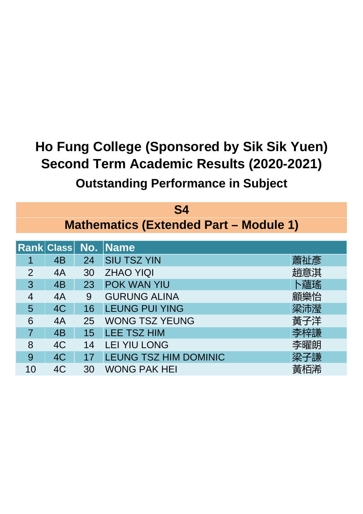| S4             |                     |    |                                               |     |  |  |  |
|----------------|---------------------|----|-----------------------------------------------|-----|--|--|--|
|                |                     |    | <b>Mathematics (Extended Part - Module 1)</b> |     |  |  |  |
|                | Rank Class No. Name |    |                                               |     |  |  |  |
|                |                     |    |                                               |     |  |  |  |
| 1              | 4B                  | 24 | <b>SIU TSZ YIN</b>                            | 蕭祉彥 |  |  |  |
| $\mathcal{P}$  | 4A                  | 30 | <b>ZHAO YIQI</b>                              | 趙意淇 |  |  |  |
| 3              | 4B                  | 23 | <b>POK WAN YIU</b>                            | 卜蘊瑤 |  |  |  |
| 4              | 4A                  | 9  | <b>GURUNG ALINA</b>                           | 顧樂怡 |  |  |  |
| 5              | 4C                  | 16 | <b>LEUNG PUI YING</b>                         | 梁沛瀅 |  |  |  |
| 6              | 4A                  | 25 | <b>WONG TSZ YEUNG</b>                         | 黃子洋 |  |  |  |
| $\overline{7}$ | 4B                  | 15 | <b>LEE TSZ HIM</b>                            | 李梓謙 |  |  |  |
| 8              | 4C                  | 14 | <b>LEI YIU LONG</b>                           | 李曜朗 |  |  |  |
| 9              | 4C                  | 17 | <b>LEUNG TSZ HIM DOMINIC</b>                  | 梁子謙 |  |  |  |
| 10             | 4C                  | 30 | <b>WONG PAK HEI</b>                           |     |  |  |  |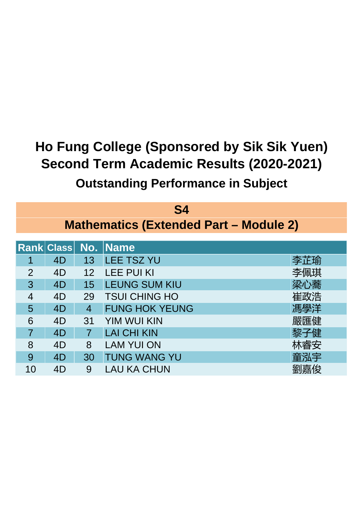| S4             |    |                |                                               |     |  |
|----------------|----|----------------|-----------------------------------------------|-----|--|
|                |    |                | <b>Mathematics (Extended Part - Module 2)</b> |     |  |
|                |    |                | <b>Rank Class No. Name</b>                    |     |  |
| 1              | 4D | 13             | <b>LEE TSZ YU</b>                             | 李芷瑜 |  |
| 2              | 4D | 12             | <b>LEE PUI KI</b>                             | 李佩琪 |  |
| 3              | 4D | 15             | <b>LEUNG SUM KIU</b>                          | 梁心蕎 |  |
| 4              | 4D | 29             | <b>TSUI CHING HO</b>                          | 崔政浩 |  |
| 5              | 4D | $\overline{4}$ | <b>FUNG HOK YEUNG</b>                         | 馮學洋 |  |
| 6              | 4D | 31             | <b>YIM WUI KIN</b>                            | 嚴匯健 |  |
| $\overline{7}$ | 4D | $\overline{7}$ | <b>LAI CHI KIN</b>                            | 黎子健 |  |
| 8              | 4D | 8              | <b>LAM YUI ON</b>                             | 林睿安 |  |
| 9              | 4D | 30             | <b>TUNG WANG YU</b>                           | 童泓宇 |  |
| 10             | 4D | 9              | <b>LAU KA CHUN</b>                            | 劉嘉俊 |  |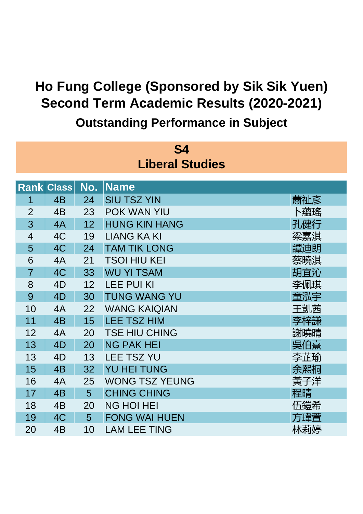| S4                     |                   |     |                       |     |  |  |  |  |
|------------------------|-------------------|-----|-----------------------|-----|--|--|--|--|
| <b>Liberal Studies</b> |                   |     |                       |     |  |  |  |  |
|                        |                   |     |                       |     |  |  |  |  |
|                        | <b>Rank Class</b> | No. | Name                  |     |  |  |  |  |
| 1                      | 4B                | 24  | <b>SIU TSZ YIN</b>    | 蕭祉彥 |  |  |  |  |
| $\overline{2}$         | 4 <sub>B</sub>    | 23  | POK WAN YIU           | 卜蘊瑤 |  |  |  |  |
| 3                      | 4A                | 12  | <b>HUNG KIN HANG</b>  | 孔健行 |  |  |  |  |
| $\overline{4}$         | 4C                | 19  | <b>LIANG KA KI</b>    | 梁嘉淇 |  |  |  |  |
| 5                      | 4C                | 24  | <b>TAM TIK LONG</b>   | 譚迪朗 |  |  |  |  |
| 6                      | 4A                | 21  | <b>TSOI HIU KEI</b>   | 蔡曉淇 |  |  |  |  |
| $\overline{7}$         | 4C                | 33  | <b>WU YI TSAM</b>     | 胡宜沁 |  |  |  |  |
| 8                      | 4D                | 12  | <b>LEE PUI KI</b>     | 李佩琪 |  |  |  |  |
| 9                      | 4D                | 30  | <b>TUNG WANG YU</b>   | 童泓宇 |  |  |  |  |
| 10                     | 4A                | 22  | <b>WANG KAIQIAN</b>   | 王凱茜 |  |  |  |  |
| 11                     | 4 <sub>B</sub>    | 15  | <b>LEE TSZ HIM</b>    | 李梓謙 |  |  |  |  |
| 12                     | 4A                | 20  | <b>TSE HIU CHING</b>  | 謝曉晴 |  |  |  |  |
| 13                     | 4D                | 20  | <b>NG PAK HEI</b>     | 吳伯熹 |  |  |  |  |
| 13                     | 4D                | 13  | <b>LEE TSZ YU</b>     | 李芷瑜 |  |  |  |  |
| 15                     | 4 <sub>B</sub>    | 32  | <b>YU HEI TUNG</b>    | 余熙桐 |  |  |  |  |
| 16                     | 4A                | 25  | <b>WONG TSZ YEUNG</b> | 黃子洋 |  |  |  |  |
| 17                     | 4 <sub>B</sub>    | 5   | <b>CHING CHING</b>    | 程晴  |  |  |  |  |
| 18                     | 4B                | 20  | <b>NG HOI HEI</b>     | 伍鎧希 |  |  |  |  |
| 19                     | 4C                | 5   | <b>FONG WAI HUEN</b>  | 方瑋萱 |  |  |  |  |
| 20                     | 4B                | 10  | <b>LAM LEE TING</b>   | 林莉婷 |  |  |  |  |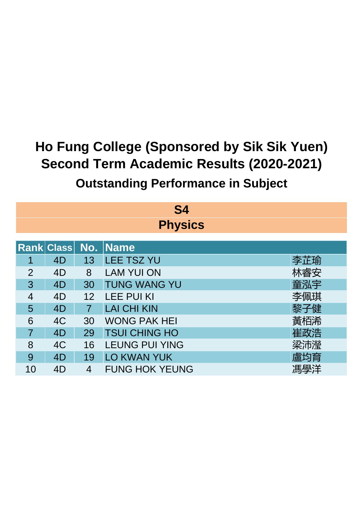| S4             |                            |                |                       |     |  |  |  |
|----------------|----------------------------|----------------|-----------------------|-----|--|--|--|
|                | <b>Physics</b>             |                |                       |     |  |  |  |
|                | <b>Rank Class No. Name</b> |                |                       |     |  |  |  |
|                | 4D                         | 13             | <b>LEE TSZ YU</b>     | 李芷瑜 |  |  |  |
| $\overline{2}$ | 4D                         | 8              | <b>LAM YUI ON</b>     | 林睿安 |  |  |  |
| 3              | 4D                         | 30             | <b>TUNG WANG YU</b>   | 童泓宇 |  |  |  |
| 4              | 4D                         | 12             | <b>LEE PUI KI</b>     | 李佩琪 |  |  |  |
| 5              | 4D                         | $\overline{7}$ | <b>LAI CHI KIN</b>    | 黎子健 |  |  |  |
| 6              | 4C                         | 30             | <b>WONG PAK HEI</b>   | 黃栢浠 |  |  |  |
| $\overline{7}$ | 4D                         | 29             | <b>TSUI CHING HO</b>  | 崔政浩 |  |  |  |
| 8              | 4C                         | 16             | <b>LEUNG PUI YING</b> | 梁沛瀅 |  |  |  |
| 9              | 4D                         | 19             | <b>LO KWAN YUK</b>    | 盧均育 |  |  |  |
| 10             | 4D                         | 4              | <b>FUNG HOK YEUNG</b> | 馮學洋 |  |  |  |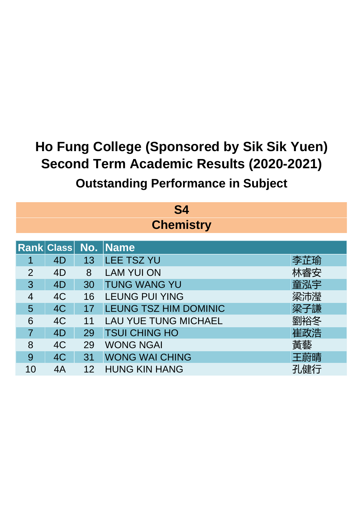| S4             |                  |    |                              |     |  |  |  |
|----------------|------------------|----|------------------------------|-----|--|--|--|
|                | <b>Chemistry</b> |    |                              |     |  |  |  |
|                |                  |    |                              |     |  |  |  |
|                |                  |    | <b>Rank Class No. Name</b>   |     |  |  |  |
|                | 4D               | 13 | <b>LEE TSZ YU</b>            | 李芷瑜 |  |  |  |
| 2              | 4D               | 8  | <b>LAM YUI ON</b>            | 林睿安 |  |  |  |
| 3              | 4D               | 30 | <b>TUNG WANG YU</b>          | 童泓宇 |  |  |  |
| $\overline{4}$ | 4C               | 16 | <b>LEUNG PUI YING</b>        | 梁沛瀅 |  |  |  |
| 5              | 4C               | 17 | <b>LEUNG TSZ HIM DOMINIC</b> | 梁子謙 |  |  |  |
| 6              | 4C               | 11 | <b>LAU YUE TUNG MICHAEL</b>  | 劉裕冬 |  |  |  |
| $\overline{7}$ | 4D               | 29 | <b>TSUI CHING HO</b>         | 崔政浩 |  |  |  |
| 8              | 4C               | 29 | <b>WONG NGAI</b>             | 黃藝  |  |  |  |
| 9              | 4C               | 31 | <b>WONG WAI CHING</b>        | 王蔚晴 |  |  |  |
| 10             | 4A               | 12 | <b>HUNG KIN HANG</b>         | 孔健行 |  |  |  |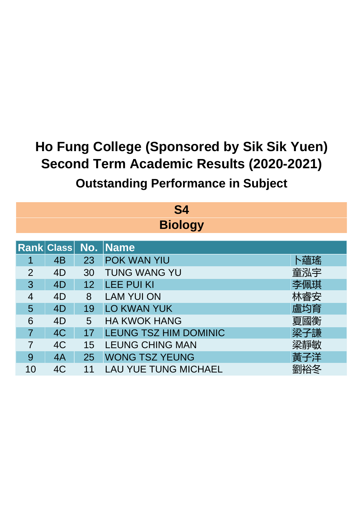| S4             |                               |    |                             |     |  |  |  |  |
|----------------|-------------------------------|----|-----------------------------|-----|--|--|--|--|
| <b>Biology</b> |                               |    |                             |     |  |  |  |  |
|                | Rank Class No.<br><b>Name</b> |    |                             |     |  |  |  |  |
|                | 4B                            | 23 | <b>POK WAN YIU</b>          | 卜蘊瑤 |  |  |  |  |
| $\overline{2}$ | 4D                            | 30 | <b>TUNG WANG YU</b>         | 童泓宇 |  |  |  |  |
| 3              | 4D                            | 12 | <b>LEE PUI KI</b>           | 李佩琪 |  |  |  |  |
| 4              | 4D                            | 8  | <b>LAM YUI ON</b>           | 林睿安 |  |  |  |  |
| 5              | 4D                            | 19 | <b>LO KWAN YUK</b>          | 盧均育 |  |  |  |  |
| 6              | 4D                            | 5  | <b>HA KWOK HANG</b>         | 夏國衡 |  |  |  |  |
| $\overline{7}$ | 4C                            | 17 | LEUNG TSZ HIM DOMINIC       | 梁子謙 |  |  |  |  |
| 7              | 4C                            | 15 | <b>LEUNG CHING MAN</b>      | 梁靜敏 |  |  |  |  |
| 9              | 4A                            | 25 | <b>WONG TSZ YEUNG</b>       | 黃子洋 |  |  |  |  |
| 10             | 4C                            | 11 | <b>LAU YUE TUNG MICHAEL</b> |     |  |  |  |  |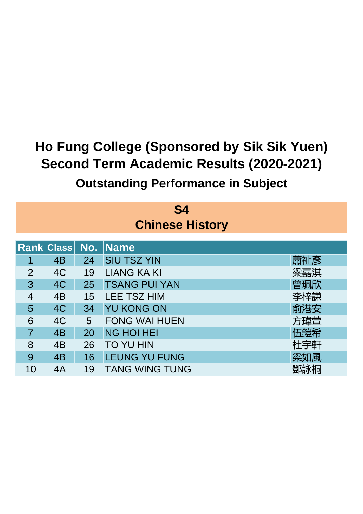| S4<br><b>Chinese History</b> |    |    |                            |     |  |
|------------------------------|----|----|----------------------------|-----|--|
|                              |    |    | <b>Rank Class No. Name</b> |     |  |
| 1                            | 4B | 24 | <b>SIU TSZ YIN</b>         | 蕭祉彥 |  |
| $\overline{2}$               | 4C | 19 | <b>LIANG KA KI</b>         | 梁嘉淇 |  |
| 3                            | 4C | 25 | <b>TSANG PUI YAN</b>       | 曾珮欣 |  |
| 4                            | 4B | 15 | <b>LEE TSZ HIM</b>         | 李梓謙 |  |
| 5                            | 4C | 34 | <b>YU KONG ON</b>          | 俞港安 |  |
| 6                            | 4C | 5  | <b>FONG WAI HUEN</b>       | 方瑋萱 |  |
| $\overline{7}$               | 4B | 20 | <b>NG HOI HEI</b>          | 伍鎧希 |  |
| 8                            | 4B | 26 | <b>TO YU HIN</b>           | 杜宇軒 |  |
| 9                            | 4B | 16 | <b>LEUNG YU FUNG</b>       | 梁如風 |  |
| 10                           | 4A | 19 | <b>TANG WING TUNG</b>      | 鄧詠桐 |  |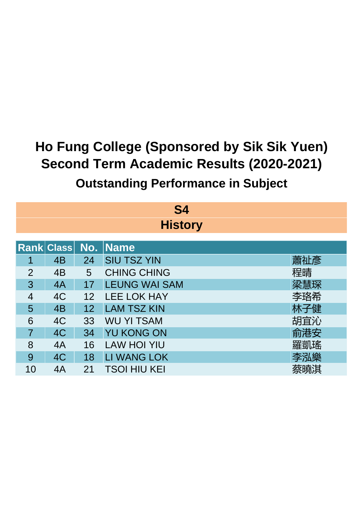| S4             |                                           |    |                      |     |  |  |  |
|----------------|-------------------------------------------|----|----------------------|-----|--|--|--|
|                | <b>History</b>                            |    |                      |     |  |  |  |
|                | <b>Rank Class</b><br>  No.<br><b>Name</b> |    |                      |     |  |  |  |
| 1              | 4 <sub>B</sub>                            | 24 | <b>SIU TSZ YIN</b>   | 蕭祉彥 |  |  |  |
| $\overline{2}$ | 4B                                        | 5  | <b>CHING CHING</b>   | 程晴  |  |  |  |
| 3              | 4A                                        | 17 | <b>LEUNG WAI SAM</b> | 梁慧琛 |  |  |  |
| $\overline{4}$ | 4C                                        | 12 | <b>LEE LOK HAY</b>   | 李珞希 |  |  |  |
| 5              | 4B                                        | 12 | <b>LAM TSZ KIN</b>   | 林子健 |  |  |  |
| 6              | 4C                                        | 33 | <b>WU YI TSAM</b>    | 胡宜沁 |  |  |  |
| $\overline{7}$ | 4C                                        | 34 | <b>YU KONG ON</b>    | 俞港安 |  |  |  |
| 8              | 4A                                        | 16 | <b>LAW HOI YIU</b>   | 羅凱瑤 |  |  |  |
| 9              | 4C                                        | 18 | <b>LI WANG LOK</b>   | 李泓樂 |  |  |  |
| 10             | 4A                                        | 21 | TSOI HIU KEI         | 蔡曉淇 |  |  |  |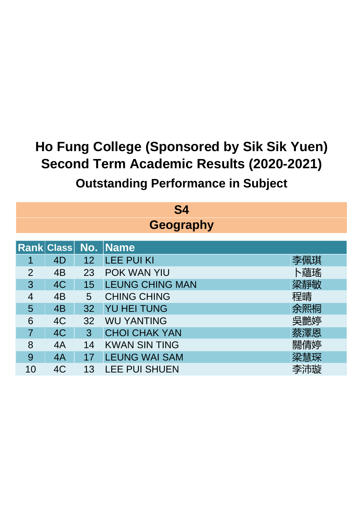| S4             |                  |    |                        |     |  |  |  |
|----------------|------------------|----|------------------------|-----|--|--|--|
|                | <b>Geography</b> |    |                        |     |  |  |  |
|                | Rank Class No.   |    | <b>Name</b>            |     |  |  |  |
|                | 4D               | 12 | <b>LEE PUI KI</b>      | 李佩琪 |  |  |  |
| $\overline{2}$ | 4B               | 23 | <b>POK WAN YIU</b>     | 卜蘊瑤 |  |  |  |
| 3              | 4C               | 15 | <b>LEUNG CHING MAN</b> | 梁靜敏 |  |  |  |
| 4              | 4B               | 5  | <b>CHING CHING</b>     | 程晴  |  |  |  |
| 5              | 4B               | 32 | <b>YU HEI TUNG</b>     | 余熙桐 |  |  |  |
| 6              | 4C               | 32 | <b>WU YANTING</b>      | 吳艷婷 |  |  |  |
| 7              | 4C               | 3  | <b>CHOI CHAK YAN</b>   | 蔡澤恩 |  |  |  |
| 8              | 4A               | 14 | <b>KWAN SIN TING</b>   | 關倩婷 |  |  |  |
| 9              | 4A               | 17 | <b>LEUNG WAI SAM</b>   | 梁慧琛 |  |  |  |
| 10             | 4C               | 13 | <b>LEE PUI SHUEN</b>   | 李沛璇 |  |  |  |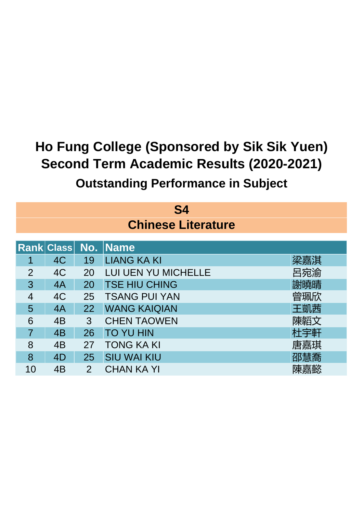| S4<br><b>Chinese Literature</b> |                       |                |                            |     |  |
|---------------------------------|-----------------------|----------------|----------------------------|-----|--|
|                                 | <b>Rank Class No.</b> |                | <b>Name</b>                |     |  |
| 1                               | 4C                    | 19             | <b>LIANG KA KI</b>         | 梁嘉淇 |  |
| $\overline{2}$                  | 4C                    | 20             | <b>LUI UEN YU MICHELLE</b> | 呂宛渝 |  |
| 3                               | 4A                    | 20             | <b>TSE HIU CHING</b>       | 謝曉晴 |  |
| 4                               | 4C                    | 25             | <b>TSANG PUI YAN</b>       | 曾珮欣 |  |
| 5                               | 4A                    | 22             | <b>WANG KAIQIAN</b>        | 王凱茜 |  |
| 6                               | 4B                    | 3              | <b>CHEN TAOWEN</b>         | 陳韜文 |  |
| $\overline{7}$                  | 4B                    | 26             | <b>TO YU HIN</b>           | 杜宇軒 |  |
| 8                               | 4B                    | 27             | <b>TONG KA KI</b>          | 唐嘉琪 |  |
| 8                               | 4D                    | 25             | <b>SIU WAI KIU</b>         | 邵慧喬 |  |
| 10                              | 4B                    | $\overline{2}$ | <b>CHAN KA YI</b>          | 陳嘉懿 |  |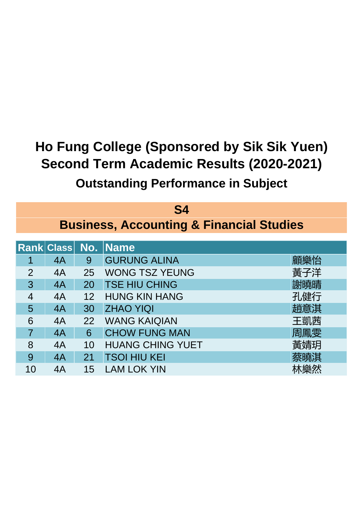| S4                                   |                                                     |    |                         |     |  |  |  |
|--------------------------------------|-----------------------------------------------------|----|-------------------------|-----|--|--|--|
|                                      | <b>Business, Accounting &amp; Financial Studies</b> |    |                         |     |  |  |  |
| <b>Rank Class No.</b><br><b>Name</b> |                                                     |    |                         |     |  |  |  |
| 1                                    | 4A                                                  | 9  | <b>GURUNG ALINA</b>     | 顧樂怡 |  |  |  |
| 2                                    | 4A                                                  | 25 | <b>WONG TSZ YEUNG</b>   | 黃子洋 |  |  |  |
| 3                                    | 4A                                                  | 20 | <b>TSE HIU CHING</b>    | 謝曉晴 |  |  |  |
| 4                                    | 4A                                                  | 12 | <b>HUNG KIN HANG</b>    | 孔健行 |  |  |  |
| 5                                    | 4A                                                  | 30 | <b>ZHAO YIQI</b>        | 趙意淇 |  |  |  |
| 6                                    | 4A                                                  | 22 | <b>WANG KAIQIAN</b>     | 王凱茜 |  |  |  |
| $\overline{7}$                       | 4A                                                  | 6  | <b>CHOW FUNG MAN</b>    | 周鳳雯 |  |  |  |
| 8                                    | 4A                                                  | 10 | <b>HUANG CHING YUET</b> | 黃婧玥 |  |  |  |
| 9                                    | 4A                                                  | 21 | <b>TSOI HIU KEI</b>     | 蔡曉淇 |  |  |  |
| 10                                   | 4A                                                  | 15 | <b>LAM LOK YIN</b>      | 沐樂然 |  |  |  |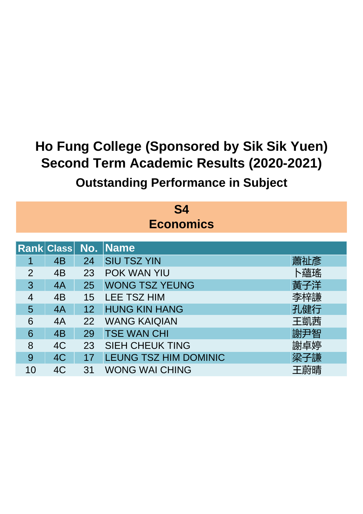| S4               |                                   |    |                              |     |  |  |  |  |
|------------------|-----------------------------------|----|------------------------------|-----|--|--|--|--|
| <b>Economics</b> |                                   |    |                              |     |  |  |  |  |
|                  | <b>Name</b><br>No.<br> Rank Class |    |                              |     |  |  |  |  |
| 1                | 4B                                | 24 | <b>SIU TSZ YIN</b>           | 蕭祉彥 |  |  |  |  |
| $\overline{2}$   | 4B                                | 23 | <b>POK WAN YIU</b>           | 卜蘊瑤 |  |  |  |  |
| 3                | 4A                                | 25 | <b>WONG TSZ YEUNG</b>        | 黃子洋 |  |  |  |  |
| $\overline{4}$   | 4 <sub>B</sub>                    | 15 | <b>LEE TSZ HIM</b>           | 李梓謙 |  |  |  |  |
| 5                | 4A                                | 12 | <b>HUNG KIN HANG</b>         | 孔健行 |  |  |  |  |
| 6                | 4A                                | 22 | <b>WANG KAIQIAN</b>          | 王凱茜 |  |  |  |  |
| 6                | 4B                                | 29 | <b>TSE WAN CHI</b>           | 謝尹智 |  |  |  |  |
| 8                | 4C                                | 23 | <b>SIEH CHEUK TING</b>       | 謝卓婷 |  |  |  |  |
| 9                | 4C                                | 17 | <b>LEUNG TSZ HIM DOMINIC</b> | 梁子謙 |  |  |  |  |
| 10               | 4C                                | 31 | <b>WONG WAI CHING</b>        | 王蔚晴 |  |  |  |  |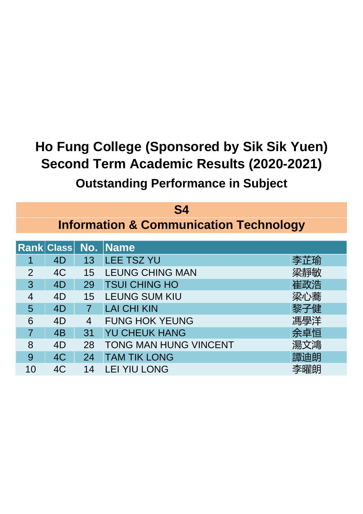| S4             |                                                   |    |                              |     |  |  |
|----------------|---------------------------------------------------|----|------------------------------|-----|--|--|
|                | <b>Information &amp; Communication Technology</b> |    |                              |     |  |  |
|                | <b>Rank Class No.</b>                             |    | <b>Name</b>                  |     |  |  |
|                | 4D                                                | 13 | <b>LEE TSZ YU</b>            | 李芷瑜 |  |  |
| $\overline{2}$ | 4C                                                | 15 | <b>LEUNG CHING MAN</b>       | 梁靜敏 |  |  |
| 3              | 4D                                                | 29 | <b>TSUI CHING HO</b>         | 崔政浩 |  |  |
| 4              | 4D                                                | 15 | <b>LEUNG SUM KIU</b>         | 梁心蕎 |  |  |
| 5              | 4D                                                |    | <b>LAI CHI KIN</b>           | 黎子健 |  |  |
| 6              | 4D                                                | 4  | <b>FUNG HOK YEUNG</b>        | 馮學洋 |  |  |
| $\overline{7}$ | 4B                                                | 31 | <b>YU CHEUK HANG</b>         | 余卓恒 |  |  |
| 8              | 4D                                                | 28 | <b>TONG MAN HUNG VINCENT</b> | 湯文鴻 |  |  |
| 9              | 4C                                                | 24 | <b>TAM TIK LONG</b>          | 譚迪朗 |  |  |
| 10             | 4C                                                | 14 | <b>LEI YIU LONG</b>          | 李曜朗 |  |  |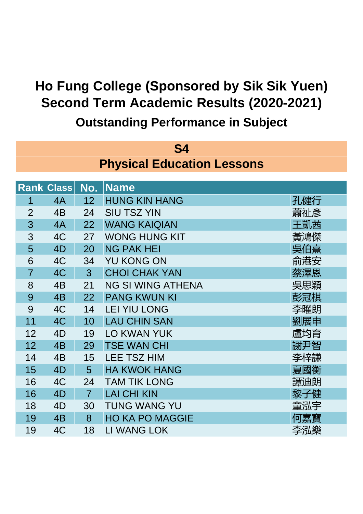| <b>S4</b>                         |                   |                |                          |     |  |  |
|-----------------------------------|-------------------|----------------|--------------------------|-----|--|--|
| <b>Physical Education Lessons</b> |                   |                |                          |     |  |  |
|                                   | <b>Rank Class</b> | No.            | <b>Name</b>              |     |  |  |
| 1                                 | 4A                | 12             | <b>HUNG KIN HANG</b>     | 孔健行 |  |  |
| $\overline{2}$                    | 4B                | 24             | <b>SIU TSZ YIN</b>       | 蕭祉彥 |  |  |
| 3                                 | 4A                | 22             | <b>WANG KAIQIAN</b>      | 王凱茜 |  |  |
| 3                                 | 4C                | 27             | <b>WONG HUNG KIT</b>     | 黃鴻傑 |  |  |
| 5                                 | 4D                | 20             | <b>NG PAK HEI</b>        | 吳伯熹 |  |  |
| 6                                 | 4C                | 34             | <b>YU KONG ON</b>        | 俞港安 |  |  |
| $\overline{7}$                    | 4C                | 3 <sup>1</sup> | <b>CHOI CHAK YAN</b>     | 蔡澤恩 |  |  |
| 8                                 | 4B                | 21             | <b>NG SI WING ATHENA</b> | 吳思穎 |  |  |
| 9                                 | 4B                | 22             | <b>PANG KWUN KI</b>      | 彭冠棋 |  |  |
| 9                                 | 4C                | 14             | <b>LEI YIU LONG</b>      | 李曜朗 |  |  |
| 11                                | 4C                | 10             | <b>LAU CHIN SAN</b>      | 劉展申 |  |  |
| 12                                | 4D                | 19             | <b>LO KWAN YUK</b>       | 盧均育 |  |  |
| 12                                | 4 <sub>B</sub>    | 29             | <b>TSE WAN CHI</b>       | 謝尹智 |  |  |
| 14                                | 4B                | 15             | <b>LEE TSZ HIM</b>       | 李梓謙 |  |  |
| 15                                | 4D                | 5              | <b>HA KWOK HANG</b>      | 夏國衡 |  |  |
| 16                                | 4C                | 24             | <b>TAM TIK LONG</b>      | 譚迪朗 |  |  |
| 16                                | 4D                | $\overline{7}$ | <b>LAI CHI KIN</b>       | 黎子健 |  |  |
| 18                                | 4D                | 30             | <b>TUNG WANG YU</b>      | 童泓宇 |  |  |
| 19                                | 4 <sub>B</sub>    | 8              | <b>HO KA PO MAGGIE</b>   | 何嘉寶 |  |  |
| 19                                | 4C                | 18             | <b>LI WANG LOK</b>       | 李泓樂 |  |  |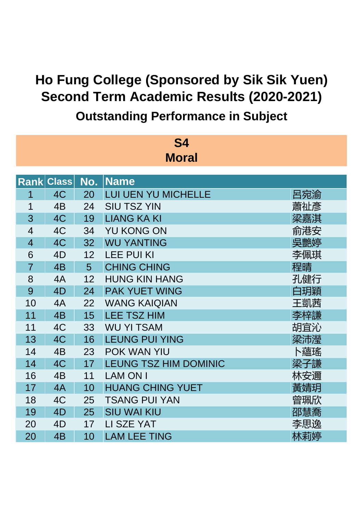**Outstanding Performance in Subject**

| <b>S4</b>      |              |     |                              |     |  |  |  |
|----------------|--------------|-----|------------------------------|-----|--|--|--|
| <b>Moral</b>   |              |     |                              |     |  |  |  |
|                |              |     |                              |     |  |  |  |
| <b>Rank</b>    | <b>Class</b> | No. | <b>Name</b>                  |     |  |  |  |
| 1              | 4C           | 20  | <b>LUI UEN YU MICHELLE</b>   | 呂宛渝 |  |  |  |
| 1              | 4B           | 24  | <b>SIU TSZ YIN</b>           | 蕭祉彥 |  |  |  |
| 3              | 4C           | 19  | <b>LIANG KA KI</b>           | 梁嘉淇 |  |  |  |
| $\overline{4}$ | 4C           | 34  | YU KONG ON                   | 俞港安 |  |  |  |
| $\overline{4}$ | 4C           | 32  | <b>WU YANTING</b>            | 吳艷婷 |  |  |  |
| 6              | 4D           | 12  | <b>LEE PUI KI</b>            | 李佩琪 |  |  |  |
| $\overline{7}$ | 4B           | 5   | <b>CHING CHING</b>           | 程晴  |  |  |  |
| 8              | 4A           | 12  | <b>HUNG KIN HANG</b>         | 孔健行 |  |  |  |
| 9              | 4D           | 24  | <b>PAK YUET WING</b>         | 白玥穎 |  |  |  |
| 10             | 4A           | 22  | <b>WANG KAIQIAN</b>          | 王凱茜 |  |  |  |
| 11             | 4B           | 15  | <b>LEE TSZ HIM</b>           | 李梓謙 |  |  |  |
| 11             | 4C           | 33  | <b>WU YI TSAM</b>            | 胡宜沁 |  |  |  |
| 13             | 4C           | 16  | <b>LEUNG PUI YING</b>        | 梁沛瀅 |  |  |  |
| 14             | 4B           | 23  | <b>POK WAN YIU</b>           | 卜蘊瑤 |  |  |  |
| 14             | 4C           | 17  | <b>LEUNG TSZ HIM DOMINIC</b> | 梁子謙 |  |  |  |
| 16             | 4B           | 11  | <b>LAM ON I</b>              | 林安邇 |  |  |  |
| 17             | 4A           | 10  | <b>HUANG CHING YUET</b>      | 黃婧玥 |  |  |  |
| 18             | 4C           | 25  | <b>TSANG PUI YAN</b>         | 曾珮欣 |  |  |  |
| 19             | 4D           | 25  | <b>SIU WAI KIU</b>           | 邵慧喬 |  |  |  |
| 20             | 4D           | 17  | LI SZE YAT                   | 李思逸 |  |  |  |
| 20             | 4B           | 10  | <b>LAM LEE TING</b>          | 林莉婷 |  |  |  |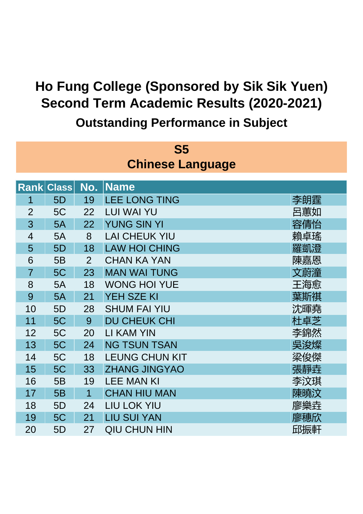| S5                      |                   |                |                       |     |  |  |
|-------------------------|-------------------|----------------|-----------------------|-----|--|--|
| <b>Chinese Language</b> |                   |                |                       |     |  |  |
|                         | <b>Rank Class</b> | No.            | <b>Name</b>           |     |  |  |
| 1                       | 5D                | 19             | <b>LEE LONG TING</b>  | 李朗霆 |  |  |
| $\overline{2}$          | 5C                | 22             | <b>LUI WAI YU</b>     | 呂蕙如 |  |  |
| 3                       | 5A                | 22             | <b>YUNG SIN YI</b>    | 容倩怡 |  |  |
| 4                       | 5A                | 8              | <b>LAI CHEUK YIU</b>  | 賴卓瑤 |  |  |
| 5                       | 5D                | 18             | <b>LAW HOI CHING</b>  | 羅凱澄 |  |  |
| 6                       | 5B                | $\overline{2}$ | <b>CHAN KA YAN</b>    | 陳嘉恩 |  |  |
| $\overline{7}$          | 5C                | 23             | <b>MAN WAI TUNG</b>   | 文蔚潼 |  |  |
| 8                       | 5A                | 18             | <b>WONG HOI YUE</b>   | 王海愈 |  |  |
| 9                       | 5A                | 21             | <b>YEH SZE KI</b>     | 葉斯祺 |  |  |
| 10                      | 5D                | 28             | <b>SHUM FAI YIU</b>   | 沈暉堯 |  |  |
| 11                      | 5C                | 9              | <b>DU CHEUK CHI</b>   | 杜卓芝 |  |  |
| 12                      | 5C                | 20             | <b>LI KAM YIN</b>     | 李錦然 |  |  |
| 13                      | 5C                | 24             | <b>NG TSUN TSAN</b>   | 吳浚燦 |  |  |
| 14                      | 5C                | 18             | <b>LEUNG CHUN KIT</b> | 梁俊傑 |  |  |
| 15                      | 5C                | 33             | <b>ZHANG JINGYAO</b>  | 張靜垚 |  |  |
| 16                      | 5B                | 19             | <b>LEE MAN KI</b>     | 李汶琪 |  |  |
| 17                      | 5B                | 1              | <b>CHAN HIU MAN</b>   | 陳曉汶 |  |  |
| 18                      | 5D                | 24             | LIU LOK YIU           | 廖樂垚 |  |  |
| 19                      | 5C                | 21             | <b>LIU SUI YAN</b>    | 廖穗欣 |  |  |
| 20                      | 5D                | 27             | <b>QIU CHUN HIN</b>   | 邱振軒 |  |  |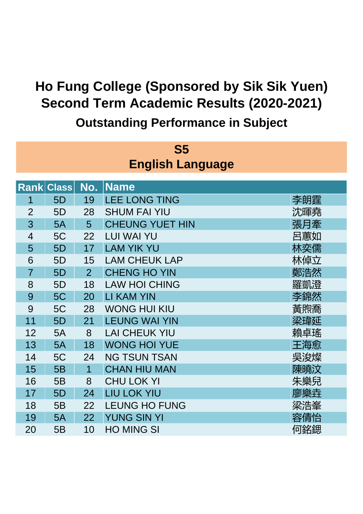| S5                      |                   |                |                        |     |  |  |  |  |
|-------------------------|-------------------|----------------|------------------------|-----|--|--|--|--|
| <b>English Language</b> |                   |                |                        |     |  |  |  |  |
|                         |                   |                |                        |     |  |  |  |  |
|                         | <b>Rank Class</b> | No.            | <b>Name</b>            |     |  |  |  |  |
| 1                       | 5D                | 19             | <b>LEE LONG TING</b>   | 李朗霆 |  |  |  |  |
| $\overline{2}$          | 5D                | 28             | <b>SHUM FAI YIU</b>    | 沈暉堯 |  |  |  |  |
| 3                       | 5A                | 5              | <b>CHEUNG YUET HIN</b> | 張月牽 |  |  |  |  |
| $\overline{4}$          | 5C                | 22             | <b>LUI WAI YU</b>      | 呂蕙如 |  |  |  |  |
| 5                       | 5D                | 17             | <b>LAM YIK YU</b>      | 林奕儒 |  |  |  |  |
| 6                       | 5D                | 15             | <b>LAM CHEUK LAP</b>   | 林倬立 |  |  |  |  |
| $\overline{7}$          | 5D                | 2              | <b>CHENG HO YIN</b>    | 鄭浩然 |  |  |  |  |
| 8                       | 5D                | 18             | <b>LAW HOI CHING</b>   | 羅凱澄 |  |  |  |  |
| 9                       | 5C                | 20             | <b>LI KAM YIN</b>      | 李錦然 |  |  |  |  |
| 9                       | 5C                | 28             | <b>WONG HUI KIU</b>    | 黃煦喬 |  |  |  |  |
| 11                      | 5D                | 21             | <b>LEUNG WAI YIN</b>   | 梁瑋延 |  |  |  |  |
| 12                      | 5A                | 8              | <b>LAI CHEUK YIU</b>   | 賴卓瑤 |  |  |  |  |
| 13                      | 5A                | 18             | <b>WONG HOI YUE</b>    | 王海愈 |  |  |  |  |
| 14                      | 5C                | 24             | <b>NG TSUN TSAN</b>    | 吳浚燦 |  |  |  |  |
| 15                      | 5B                | $\overline{1}$ | <b>CHAN HIU MAN</b>    | 陳曉汶 |  |  |  |  |
| 16                      | 5B                | 8              | <b>CHU LOK YI</b>      | 朱樂兒 |  |  |  |  |
| 17                      | 5D                | 24             | <b>LIU LOK YIU</b>     | 廖樂垚 |  |  |  |  |
| 18                      | 5B                | 22             | <b>LEUNG HO FUNG</b>   | 梁浩峯 |  |  |  |  |
| 19                      | 5A                | 22             | <b>YUNG SIN YI</b>     | 容倩怡 |  |  |  |  |
| 20                      | 5B                | 10             | <b>HO MING SI</b>      | 何銘鍶 |  |  |  |  |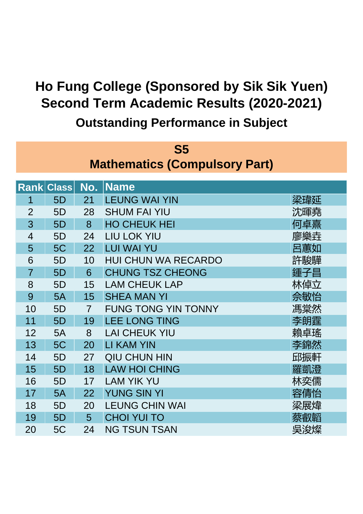| <b>S5</b>                            |                   |                |                            |     |  |
|--------------------------------------|-------------------|----------------|----------------------------|-----|--|
| <b>Mathematics (Compulsory Part)</b> |                   |                |                            |     |  |
|                                      |                   |                |                            |     |  |
|                                      | <b>Rank Class</b> | No.            | <b>Name</b>                |     |  |
| 1                                    | 5D                | 21             | <b>LEUNG WAI YIN</b>       | 梁瑋延 |  |
| $\overline{2}$                       | 5D                | 28             | <b>SHUM FAI YIU</b>        | 沈暉堯 |  |
| 3                                    | 5D                | 8              | <b>HO CHEUK HEI</b>        | 何卓熹 |  |
| $\overline{4}$                       | 5D                | 24             | <b>LIU LOK YIU</b>         | 廖樂垚 |  |
| 5                                    | 5C                | 22             | <b>LUI WAI YU</b>          | 呂蕙如 |  |
| 6                                    | 5D                | 10             | <b>HUI CHUN WA RECARDO</b> | 許駿驊 |  |
| $\overline{7}$                       | 5 <sub>D</sub>    | 6              | <b>CHUNG TSZ CHEONG</b>    | 鍾子昌 |  |
| 8                                    | 5D                | 15             | <b>LAM CHEUK LAP</b>       | 林倬立 |  |
| 9                                    | 5A                | 15             | <b>SHEA MAN YI</b>         | 佘敏怡 |  |
| 10                                   | 5D                | $\overline{7}$ | <b>FUNG TONG YIN TONNY</b> | 馮棠然 |  |
| 11                                   | 5D                | 19             | <b>LEE LONG TING</b>       | 李朗霆 |  |
| 12                                   | 5A                | 8              | <b>LAI CHEUK YIU</b>       | 賴卓瑤 |  |
| 13                                   | 5C                | 20             | <b>LI KAM YIN</b>          | 李錦然 |  |
| 14                                   | 5D                | 27             | <b>QIU CHUN HIN</b>        | 邱振軒 |  |
| 15                                   | 5D                | 18             | <b>LAW HOI CHING</b>       | 羅凱澄 |  |
| 16                                   | 5D                | 17             | <b>LAM YIK YU</b>          | 林奕儒 |  |
| 17                                   | 5A                | 22             | <b>YUNG SIN YI</b>         | 容倩怡 |  |
| 18                                   | 5D                | 20             | <b>LEUNG CHIN WAI</b>      | 梁展煒 |  |
| 19                                   | 5D                | 5              | <b>CHOI YUI TO</b>         | 蔡叡韜 |  |
| 20                                   | 5C                | 24             | <b>NG TSUN TSAN</b>        | 吳浚燦 |  |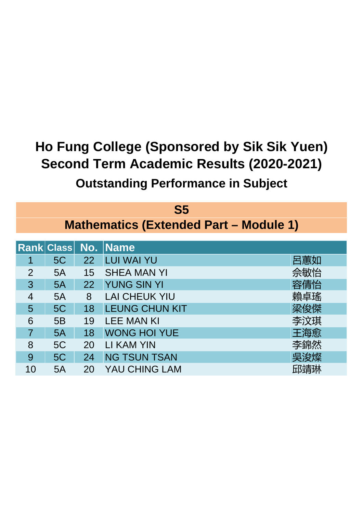|                | S <sub>5</sub>             |    |                                               |     |  |  |
|----------------|----------------------------|----|-----------------------------------------------|-----|--|--|
|                |                            |    | <b>Mathematics (Extended Part - Module 1)</b> |     |  |  |
|                | <b>Rank Class No. Name</b> |    |                                               |     |  |  |
|                |                            |    |                                               |     |  |  |
|                | 5C                         | 22 | <b>LUI WAI YU</b>                             | 呂蕙如 |  |  |
| 2              | 5A                         | 15 | <b>SHEA MAN YI</b>                            | 佘敏怡 |  |  |
| 3              | 5A                         | 22 | <b>YUNG SIN YI</b>                            | 容倩怡 |  |  |
| 4              | 5A                         | 8  | <b>LAI CHEUK YIU</b>                          | 賴卓瑤 |  |  |
| 5              | 5C                         | 18 | <b>LEUNG CHUN KIT</b>                         | 梁俊傑 |  |  |
| 6              | 5B                         | 19 | <b>LEE MAN KI</b>                             | 李汶琪 |  |  |
| $\overline{7}$ | 5A                         | 18 | <b>WONG HOI YUE</b>                           | 王海愈 |  |  |
| 8              | 5C                         | 20 | LI KAM YIN                                    | 李錦然 |  |  |
| 9              | 5C                         | 24 | <b>NG TSUN TSAN</b>                           | 吳浚燦 |  |  |
| 10             | 5A                         | 20 | <b>YAU CHING LAM</b>                          | 邱靖琳 |  |  |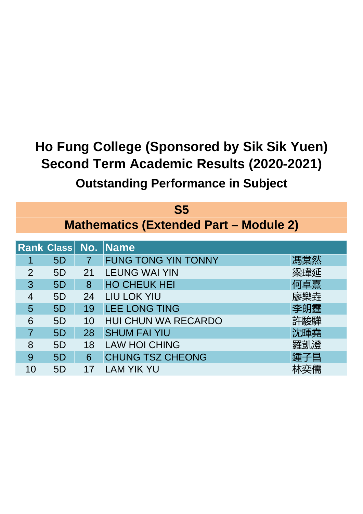|                | S <sub>5</sub>                                |                |                            |     |  |  |
|----------------|-----------------------------------------------|----------------|----------------------------|-----|--|--|
|                | <b>Mathematics (Extended Part - Module 2)</b> |                |                            |     |  |  |
|                |                                               |                | <b>Rank Class No. Name</b> |     |  |  |
|                | 5D                                            | $\overline{7}$ | <b>FUNG TONG YIN TONNY</b> | 馮棠然 |  |  |
| 2              | 5D                                            | 21             | <b>LEUNG WAI YIN</b>       | 梁瑋延 |  |  |
| 3              | 5D                                            | 8              | <b>HO CHEUK HEI</b>        | 何卓熹 |  |  |
| 4              | 5D                                            | 24             | <b>LIU LOK YIU</b>         | 廖樂垚 |  |  |
| 5              | 5D                                            | 19             | <b>LEE LONG TING</b>       | 李朗霆 |  |  |
| 6              | 5D                                            | 10             | <b>HUI CHUN WA RECARDO</b> | 許駿驊 |  |  |
| $\overline{7}$ | 5D                                            | 28             | <b>SHUM FAI YIU</b>        | 沈暉堯 |  |  |
| 8              | 5D                                            | 18             | <b>LAW HOI CHING</b>       | 羅凱澄 |  |  |
| 9              | 5D                                            | 6              | <b>CHUNG TSZ CHEONG</b>    | 鍾子昌 |  |  |
| 10             | 5D                                            | 17             | <b>LAM YIK YU</b>          |     |  |  |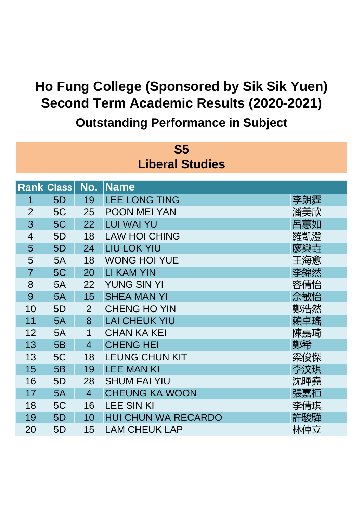| S5             |                        |                |                            |     |  |  |  |
|----------------|------------------------|----------------|----------------------------|-----|--|--|--|
|                | <b>Liberal Studies</b> |                |                            |     |  |  |  |
|                |                        |                |                            |     |  |  |  |
|                | <b>Rank Class</b>      | No.            | <b>Name</b>                |     |  |  |  |
| 1              | 5D                     | 19             | <b>LEE LONG TING</b>       | 李朗霆 |  |  |  |
| $\overline{2}$ | 5C                     | 25             | <b>POON MEI YAN</b>        | 潘美欣 |  |  |  |
| 3              | 5C                     | 22             | <b>LUI WAI YU</b>          | 呂蕙如 |  |  |  |
| $\overline{4}$ | 5D                     | 18             | <b>LAW HOI CHING</b>       | 羅凱澄 |  |  |  |
| 5              | 5D                     | 24             | <b>LIU LOK YIU</b>         | 廖樂垚 |  |  |  |
| 5              | 5A                     | 18             | <b>WONG HOI YUE</b>        | 王海愈 |  |  |  |
| $\overline{7}$ | 5C                     | 20             | <b>LI KAM YIN</b>          | 李錦然 |  |  |  |
| 8              | 5A                     | 22             | <b>YUNG SIN YI</b>         | 容倩怡 |  |  |  |
| 9              | 5A                     | 15             | <b>SHEA MAN YI</b>         | 佘敏怡 |  |  |  |
| 10             | 5D                     | $\overline{2}$ | <b>CHENG HO YIN</b>        | 鄭浩然 |  |  |  |
| 11             | 5A                     | 8              | <b>LAI CHEUK YIU</b>       | 賴卓瑤 |  |  |  |
| 12             | 5A                     | $\mathbf 1$    | <b>CHAN KA KEI</b>         | 陳嘉琦 |  |  |  |
| 13             | 5B                     | $\overline{4}$ | <b>CHENG HEI</b>           | 鄭希  |  |  |  |
| 13             | 5C                     | 18             | <b>LEUNG CHUN KIT</b>      | 梁俊傑 |  |  |  |
| 15             | 5B                     | 19             | <b>LEE MAN KI</b>          | 李汶琪 |  |  |  |
| 16             | 5D                     | 28             | <b>SHUM FAI YIU</b>        | 沈暉堯 |  |  |  |
| 17             | 5A                     | $\overline{4}$ | <b>CHEUNG KA WOON</b>      | 張嘉桓 |  |  |  |
| 18             | 5C                     | 16             | <b>LEE SIN KI</b>          | 李倩琪 |  |  |  |
| 19             | 5D                     | 10             | <b>HUI CHUN WA RECARDO</b> | 許駿驊 |  |  |  |
| 20             | 5D                     | 15             | <b>LAM CHEUK LAP</b>       | 林倬立 |  |  |  |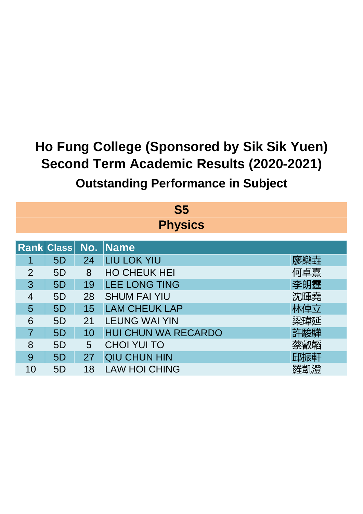| S <sub>5</sub> |                                         |    |                            |     |  |  |  |
|----------------|-----------------------------------------|----|----------------------------|-----|--|--|--|
|                | <b>Physics</b>                          |    |                            |     |  |  |  |
|                | <b>Rank Class</b><br>No.<br><b>Name</b> |    |                            |     |  |  |  |
|                | 5D                                      | 24 | <b>LIU LOK YIU</b>         | 廖樂垚 |  |  |  |
| $\overline{2}$ | 5D                                      | 8  | <b>HO CHEUK HEI</b>        | 何卓熹 |  |  |  |
| 3              | 5D                                      | 19 | <b>LEE LONG TING</b>       | 李朗霆 |  |  |  |
| 4              | 5D                                      | 28 | <b>SHUM FAI YIU</b>        | 沈暉堯 |  |  |  |
| 5              | 5D                                      | 15 | <b>LAM CHEUK LAP</b>       | 林倬立 |  |  |  |
| 6              | 5D                                      | 21 | <b>LEUNG WAI YIN</b>       | 梁瑋延 |  |  |  |
| $\overline{7}$ | 5 <sub>D</sub>                          | 10 | <b>HUI CHUN WA RECARDO</b> | 許駿驊 |  |  |  |
| 8              | 5 <sub>D</sub>                          | 5  | <b>CHOI YUI TO</b>         | 蔡叡韜 |  |  |  |
| 9              | 5D                                      | 27 | <b>QIU CHUN HIN</b>        | 邱振軒 |  |  |  |
| 10             | 5D                                      | 18 | <b>LAW HOI CHING</b>       | 羅凱澄 |  |  |  |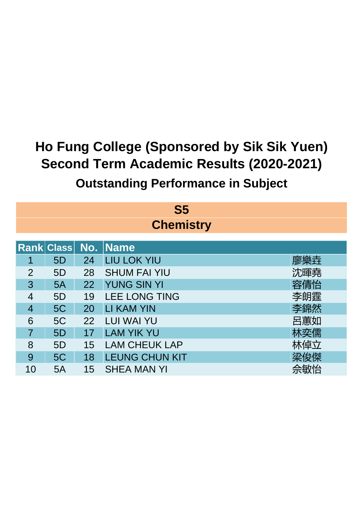| $\mathbf{S}5$  |                  |    |                            |     |  |  |
|----------------|------------------|----|----------------------------|-----|--|--|
|                | <b>Chemistry</b> |    |                            |     |  |  |
|                |                  |    |                            |     |  |  |
|                |                  |    | <b>Rank Class No. Name</b> |     |  |  |
|                | 5 <sub>D</sub>   | 24 | <b>LIU LOK YIU</b>         | 廖樂垚 |  |  |
| 2              | 5 <sub>D</sub>   | 28 | <b>SHUM FAI YIU</b>        | 沈暉堯 |  |  |
| 3              | 5A               | 22 | <b>YUNG SIN YI</b>         | 容倩怡 |  |  |
| $\overline{4}$ | 5 <sub>D</sub>   | 19 | <b>LEE LONG TING</b>       | 李朗霆 |  |  |
| 4              | 5C               | 20 | <b>LI KAM YIN</b>          | 李錦然 |  |  |
| 6              | 5C               | 22 | <b>LUI WAI YU</b>          | 呂蕙如 |  |  |
| $\overline{7}$ | 5D               | 17 | <b>LAM YIK YU</b>          | 林奕儒 |  |  |
| 8              | 5D               | 15 | <b>LAM CHEUK LAP</b>       | 林倬立 |  |  |
| 9              | 5C               | 18 | <b>LEUNG CHUN KIT</b>      | 梁俊傑 |  |  |
| 10             | 5A               | 15 | <b>SHEA MAN YI</b>         | 佘敏怡 |  |  |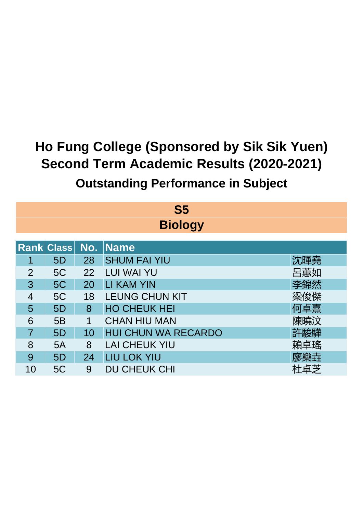| $\mathbf{S}5$  |                     |    |                            |     |  |  |  |  |
|----------------|---------------------|----|----------------------------|-----|--|--|--|--|
|                | <b>Biology</b>      |    |                            |     |  |  |  |  |
|                | Rank Class No. Name |    |                            |     |  |  |  |  |
|                | 5 <sub>D</sub>      | 28 | <b>SHUM FAI YIU</b>        | 沈暉堯 |  |  |  |  |
| $\overline{2}$ | 5C                  | 22 | <b>LUI WAI YU</b>          | 呂蕙如 |  |  |  |  |
| 3              | 5C                  | 20 | <b>LI KAM YIN</b>          | 李錦然 |  |  |  |  |
| 4              | 5C                  | 18 | <b>LEUNG CHUN KIT</b>      | 梁俊傑 |  |  |  |  |
| 5              | 5D                  | 8  | <b>HO CHEUK HEI</b>        | 何卓熹 |  |  |  |  |
| 6              | 5B                  | 1  | <b>CHAN HIU MAN</b>        | 陳曉汶 |  |  |  |  |
| $\overline{7}$ | 5D                  | 10 | <b>HUI CHUN WA RECARDO</b> | 許駿驊 |  |  |  |  |
| 8              | 5A                  | 8  | <b>LAI CHEUK YIU</b>       | 賴卓瑤 |  |  |  |  |
| 9              | 5D                  | 24 | <b>LIU LOK YIU</b>         | 廖樂垚 |  |  |  |  |
| 10             | 5C                  | 9  | <b>DU CHEUK CHI</b>        | 杜卓芝 |  |  |  |  |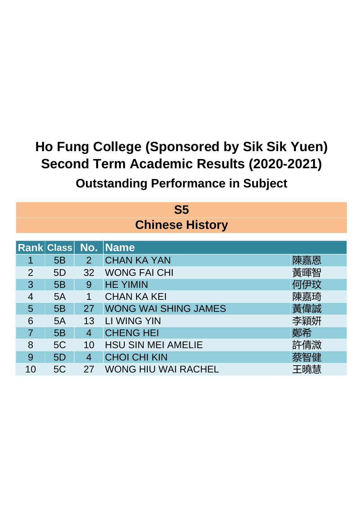| $\mathbf{S}5$  |                            |                |                             |     |  |  |  |
|----------------|----------------------------|----------------|-----------------------------|-----|--|--|--|
|                | <b>Chinese History</b>     |                |                             |     |  |  |  |
|                | <b>Rank Class No. Name</b> |                |                             |     |  |  |  |
|                |                            |                |                             |     |  |  |  |
| 1              | 5B                         | $\overline{2}$ | <b>CHAN KA YAN</b>          | 陳嘉恩 |  |  |  |
| $\overline{2}$ | 5D                         | 32             | <b>WONG FAI CHI</b>         | 黃暉智 |  |  |  |
| 3              | 5B                         | 9              | <b>HE YIMIN</b>             | 何伊玟 |  |  |  |
| 4              | 5A                         | 1              | <b>CHAN KA KEI</b>          | 陳嘉琦 |  |  |  |
| 5              | 5B                         | 27             | <b>WONG WAI SHING JAMES</b> | 黃偉誠 |  |  |  |
| 6              | 5A                         | 13             | LI WING YIN                 | 李穎妍 |  |  |  |
| 7              | 5B                         | 4              | <b>CHENG HEI</b>            | 鄭希  |  |  |  |
| 8              | 5C                         | 10             | <b>HSU SIN MEI AMELIE</b>   | 許倩溦 |  |  |  |
| 9              | 5D                         | 4              | <b>CHOI CHI KIN</b>         | 蔡智健 |  |  |  |
| 10             | 5C                         | 27             | <b>WONG HIU WAI RACHEL</b>  | 王曉慧 |  |  |  |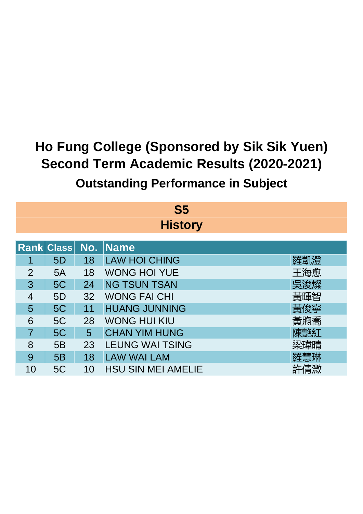| S <sub>5</sub> |                |    |                           |     |  |  |  |
|----------------|----------------|----|---------------------------|-----|--|--|--|
|                | <b>History</b> |    |                           |     |  |  |  |
|                |                |    | Rank Class No. Name       |     |  |  |  |
|                | 5D             | 18 | <b>LAW HOI CHING</b>      | 羅凱澄 |  |  |  |
| $\overline{2}$ | 5A             | 18 | <b>WONG HOI YUE</b>       | 王海愈 |  |  |  |
| 3              | 5C             | 24 | <b>NG TSUN TSAN</b>       | 吳浚燦 |  |  |  |
| 4              | 5D             | 32 | <b>WONG FAI CHI</b>       | 黃暉智 |  |  |  |
| 5              | 5C             | 11 | <b>HUANG JUNNING</b>      | 黃俊寧 |  |  |  |
| 6              | 5C             | 28 | <b>WONG HUI KIU</b>       | 黃煦喬 |  |  |  |
| $\overline{7}$ | 5C             | 5  | <b>CHAN YIM HUNG</b>      | 陳艷紅 |  |  |  |
| 8              | 5B             | 23 | <b>LEUNG WAI TSING</b>    | 梁瑋晴 |  |  |  |
| 9              | 5B             | 18 | <b>LAW WAI LAM</b>        | 羅慧琳 |  |  |  |
| 10             | 5C             | 10 | <b>HSU SIN MEI AMELIE</b> | 許倩溦 |  |  |  |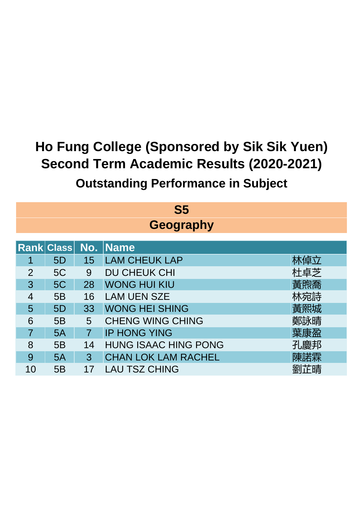|                | S <sub>5</sub>        |                |                             |     |  |  |
|----------------|-----------------------|----------------|-----------------------------|-----|--|--|
|                | <b>Geography</b>      |                |                             |     |  |  |
|                | <b>Rank Class No.</b> |                | <b>Name</b>                 |     |  |  |
|                | 5 <sub>D</sub>        | 15             | <b>LAM CHEUK LAP</b>        | 林倬立 |  |  |
| $\overline{2}$ | 5C                    | 9              | <b>DU CHEUK CHI</b>         | 杜卓芝 |  |  |
| 3              | 5C                    | 28             | <b>WONG HUI KIU</b>         | 黃煦喬 |  |  |
| 4              | 5B                    | 16             | <b>LAM UEN SZE</b>          | 林宛詩 |  |  |
| 5              | 5D                    | 33             | <b>WONG HEI SHING</b>       | 黃熙城 |  |  |
| 6              | 5B                    | 5              | <b>CHENG WING CHING</b>     | 鄭詠晴 |  |  |
| $\overline{7}$ | 5A                    | $\overline{7}$ | <b>IP HONG YING</b>         | 葉康盈 |  |  |
| 8              | 5B                    | 14             | <b>HUNG ISAAC HING PONG</b> | 孔慶邦 |  |  |
| 9              | 5A                    | 3              | <b>CHAN LOK LAM RACHEL</b>  | 陳諾霖 |  |  |
| 10             | 5B                    | 17             | LAU TSZ CHING               | 劉芷晴 |  |  |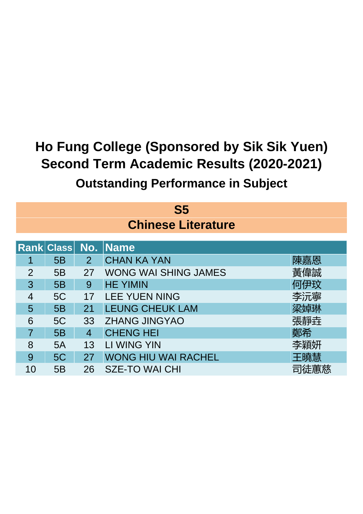| S <sub>5</sub><br><b>Chinese Literature</b> |                   |                |                             |     |  |
|---------------------------------------------|-------------------|----------------|-----------------------------|-----|--|
|                                             | <b>Rank Class</b> | No.            | <b>Name</b>                 |     |  |
| 1                                           | 5B                | $\overline{2}$ | <b>CHAN KA YAN</b>          | 陳嘉恩 |  |
| $\overline{2}$                              | 5B                | 27             | <b>WONG WAI SHING JAMES</b> | 黃偉誠 |  |
| 3                                           | 5B                | 9              | <b>HE YIMIN</b>             | 何伊玟 |  |
| 4                                           | 5C                | 17             | <b>LEE YUEN NING</b>        | 李沅寧 |  |
| 5                                           | 5B                | 21             | <b>LEUNG CHEUK LAM</b>      | 梁婥琳 |  |
| 6                                           | 5C                | 33             | <b>ZHANG JINGYAO</b>        | 張靜垚 |  |
| 7                                           | 5B                | $\overline{4}$ | <b>CHENG HEI</b>            | 鄭希  |  |
| 8                                           | 5A                | 13             | <b>LI WING YIN</b>          | 李穎妍 |  |
| 9                                           | 5C                | 27             | <b>WONG HIU WAI RACHEL</b>  | 王曉慧 |  |
| 10                                          | 5B                | 26             | <b>SZE-TO WAI CHI</b>       |     |  |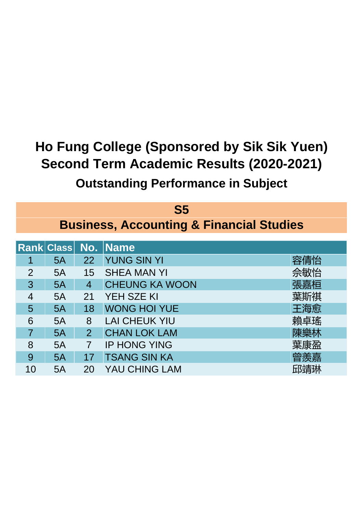| S <sub>5</sub>           |                                                     |                |                       |     |  |  |  |
|--------------------------|-----------------------------------------------------|----------------|-----------------------|-----|--|--|--|
|                          | <b>Business, Accounting &amp; Financial Studies</b> |                |                       |     |  |  |  |
|                          | Rank Class No.                                      |                | <b>Name</b>           |     |  |  |  |
|                          | 5A                                                  | 22             | <b>YUNG SIN YI</b>    | 容倩怡 |  |  |  |
| $\overline{2}$           | 5A                                                  | 15             | <b>SHEA MAN YI</b>    | 佘敏怡 |  |  |  |
| 3                        | 5A                                                  | $\overline{4}$ | <b>CHEUNG KA WOON</b> | 張嘉桓 |  |  |  |
| $\overline{\mathcal{A}}$ | 5A                                                  | 21             | <b>YEH SZE KI</b>     | 葉斯祺 |  |  |  |
| 5                        | 5A                                                  | 18             | <b>WONG HOI YUE</b>   | 王海愈 |  |  |  |
| 6                        | 5A                                                  | 8              | <b>LAI CHEUK YIU</b>  | 賴卓瑤 |  |  |  |
| $\overline{7}$           | 5A                                                  | $\overline{2}$ | <b>CHAN LOK LAM</b>   | 陳樂林 |  |  |  |
| 8                        | 5A                                                  | $\overline{7}$ | <b>IP HONG YING</b>   | 葉康盈 |  |  |  |
| 9                        | 5A                                                  | 17             | <b>TSANG SIN KA</b>   | 曾羨嘉 |  |  |  |
| 10                       | 5A                                                  | 20             | <b>YAU CHING LAM</b>  | 邱靖琳 |  |  |  |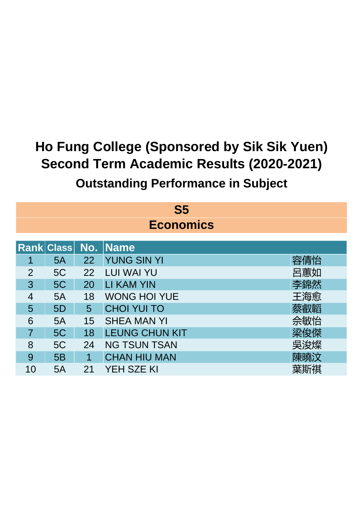| $\mathbf{S}5$  |                                      |    |                       |     |  |  |  |  |
|----------------|--------------------------------------|----|-----------------------|-----|--|--|--|--|
|                | <b>Economics</b>                     |    |                       |     |  |  |  |  |
|                | <b>Rank Class No.</b><br><b>Name</b> |    |                       |     |  |  |  |  |
|                | 5A                                   | 22 | <b>YUNG SIN YI</b>    | 容倩怡 |  |  |  |  |
| $\overline{2}$ | 5C                                   | 22 | <b>LUI WAI YU</b>     | 呂蕙如 |  |  |  |  |
| 3              | 5C                                   | 20 | <b>LI KAM YIN</b>     | 李錦然 |  |  |  |  |
| 4              | 5A                                   | 18 | <b>WONG HOI YUE</b>   | 王海愈 |  |  |  |  |
| 5              | 5D                                   | 5  | <b>CHOI YUI TO</b>    | 蔡叡韜 |  |  |  |  |
| 6              | 5A                                   | 15 | <b>SHEA MAN YI</b>    | 佘敏怡 |  |  |  |  |
| 7              | 5C                                   | 18 | <b>LEUNG CHUN KIT</b> | 梁俊傑 |  |  |  |  |
| 8              | 5C                                   | 24 | <b>NG TSUN TSAN</b>   | 吳浚燦 |  |  |  |  |
| 9              | 5B                                   | 1  | <b>CHAN HIU MAN</b>   | 陳曉汶 |  |  |  |  |
| 10             | 5A                                   | 21 | YEH SZE KI            | 葉斯祺 |  |  |  |  |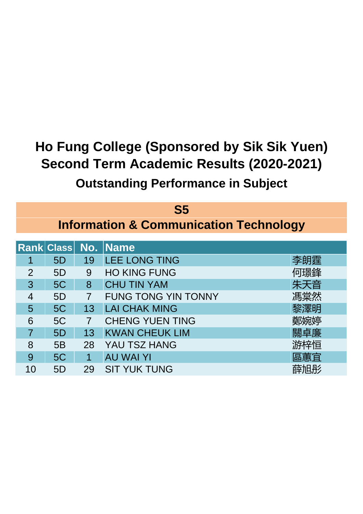|               | $\mathbf{S}5$ |                |                                                   |     |  |
|---------------|---------------|----------------|---------------------------------------------------|-----|--|
|               |               |                | <b>Information &amp; Communication Technology</b> |     |  |
|               |               |                | <b>Rank Class No. Name</b>                        |     |  |
|               | 5D            | 19             | <b>LEE LONG TING</b>                              | 李朗霆 |  |
| $\mathcal{P}$ | 5D            | 9              | <b>HO KING FUNG</b>                               | 何璟鋒 |  |
| 3             | 5C            | 8              | <b>CHU TIN YAM</b>                                | 朱天音 |  |
| 4             | 5D            | $\overline{7}$ | <b>FUNG TONG YIN TONNY</b>                        | 馮棠然 |  |
| 5             | 5C            | 13             | <b>LAI CHAK MING</b>                              | 黎澤明 |  |
| 6             | 5C            | $\overline{7}$ | <b>CHENG YUEN TING</b>                            | 鄭婉婷 |  |
| 7             | 5D            | 13             | <b>KWAN CHEUK LIM</b>                             | 關卓廉 |  |
| 8             | 5B            | 28             | YAU TSZ HANG                                      | 游梓恒 |  |
| 9             | 5C            | 1              | <b>AU WAI YI</b>                                  | 區蕙宜 |  |
| 10            | 5D            | 29             | <b>SIT YUK TUNG</b>                               | 薛旭彤 |  |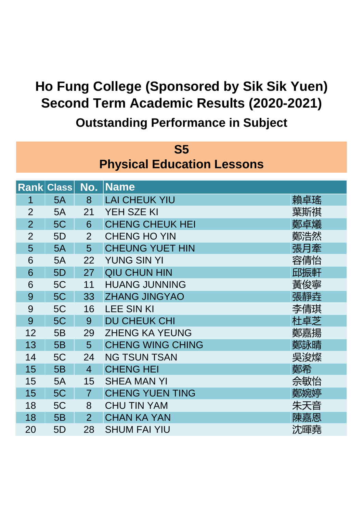| <b>S5</b>      |                                   |                |                         |     |  |  |  |
|----------------|-----------------------------------|----------------|-------------------------|-----|--|--|--|
|                | <b>Physical Education Lessons</b> |                |                         |     |  |  |  |
|                |                                   |                |                         |     |  |  |  |
|                | <b>Rank Class</b>                 | No.            | Name                    |     |  |  |  |
| 1              | 5A                                | 8              | <b>LAI CHEUK YIU</b>    | 賴卓瑤 |  |  |  |
| $\overline{2}$ | 5A                                | 21             | YEH SZE KI              | 葉斯祺 |  |  |  |
| $\overline{2}$ | 5C                                | 6              | <b>CHENG CHEUK HEI</b>  | 鄭卓爔 |  |  |  |
| $\overline{2}$ | 5 <sub>D</sub>                    | $\overline{2}$ | <b>CHENG HO YIN</b>     | 鄭浩然 |  |  |  |
| 5              | 5A                                | 5              | <b>CHEUNG YUET HIN</b>  | 張月牽 |  |  |  |
| 6              | 5A                                | 22             | <b>YUNG SIN YI</b>      | 容倩怡 |  |  |  |
| 6              | 5D                                | 27             | <b>QIU CHUN HIN</b>     | 邱振軒 |  |  |  |
| 6              | 5C                                | 11             | <b>HUANG JUNNING</b>    | 黃俊寧 |  |  |  |
| 9              | 5C                                | 33             | <b>ZHANG JINGYAO</b>    | 張靜垚 |  |  |  |
| 9              | 5C                                | 16             | <b>LEE SIN KI</b>       | 李倩琪 |  |  |  |
| 9              | 5C                                | 9              | <b>DU CHEUK CHI</b>     | 杜卓芝 |  |  |  |
| 12             | 5B                                | 29             | <b>ZHENG KA YEUNG</b>   | 鄭嘉揚 |  |  |  |
| 13             | 5B                                | 5              | <b>CHENG WING CHING</b> | 鄭詠晴 |  |  |  |
| 14             | 5C                                | 24             | <b>NG TSUN TSAN</b>     | 吳浚燦 |  |  |  |
| 15             | 5B                                | $\overline{4}$ | <b>CHENG HEI</b>        | 鄭希  |  |  |  |
| 15             | 5A                                | 15             | <b>SHEA MAN YI</b>      | 佘敏怡 |  |  |  |
| 15             | 5C                                | $\overline{7}$ | <b>CHENG YUEN TING</b>  | 鄭婉婷 |  |  |  |
| 18             | 5C                                | 8              | <b>CHU TIN YAM</b>      | 朱天音 |  |  |  |
| 18             | 5B                                | $\overline{2}$ | <b>CHAN KA YAN</b>      | 陳嘉恩 |  |  |  |
| 20             | 5D                                | 28             | <b>SHUM FAI YIU</b>     | 沈暉堯 |  |  |  |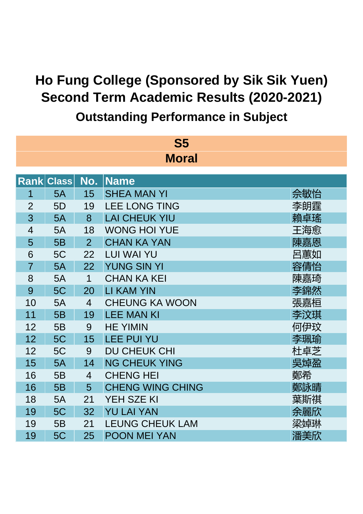**Outstanding Performance in Subject**

| <b>S5</b><br><b>Moral</b> |              |                |                         |     |
|---------------------------|--------------|----------------|-------------------------|-----|
|                           |              |                |                         |     |
| <b>Rank</b>               | <b>Class</b> | No.            | <b>Name</b>             |     |
| 1                         | 5A           | 15             | <b>SHEA MAN YI</b>      | 佘敏怡 |
| $\overline{2}$            | 5D           | 19             | <b>LEE LONG TING</b>    | 李朗霆 |
| 3                         | 5A           | 8              | <b>LAI CHEUK YIU</b>    | 賴卓瑤 |
| $\overline{4}$            | 5A           | 18             | <b>WONG HOI YUE</b>     | 王海愈 |
| 5                         | 5B           | $\overline{2}$ | <b>CHAN KA YAN</b>      | 陳嘉恩 |
| 6                         | 5C           | 22             | <b>LUI WAI YU</b>       | 呂蕙如 |
| $\overline{7}$            | 5A           | 22             | <b>YUNG SIN YI</b>      | 容倩怡 |
| 8                         | 5A           | 1              | <b>CHAN KA KEI</b>      | 陳嘉琦 |
| 9                         | 5C           | 20             | <b>LI KAM YIN</b>       | 李錦然 |
| 10                        | 5A           | $\overline{4}$ | <b>CHEUNG KA WOON</b>   | 張嘉桓 |
| 11                        | 5B           | 19             | <b>LEE MAN KI</b>       | 李汶琪 |
| 12                        | 5B           | 9              | <b>HE YIMIN</b>         | 何伊玟 |
| 12                        | 5C           | 15             | <b>LEE PUI YU</b>       | 李珮瑜 |
| 12                        | 5C           | 9              | <b>DU CHEUK CHI</b>     | 杜卓芝 |
| 15                        | 5A           | 14             | <b>NG CHEUK YING</b>    | 吳焯盈 |
| 16                        | 5B           | $\overline{4}$ | <b>CHENG HEI</b>        | 鄭希  |
| 16                        | 5B           | 5              | <b>CHENG WING CHING</b> | 鄭詠晴 |
| 18                        | 5A           | 21             | YEH SZE KI              | 葉斯祺 |
| 19                        | 5C           | 32             | <b>YU LAI YAN</b>       | 余麗欣 |
| 19                        | 5B           | 21             | <b>LEUNG CHEUK LAM</b>  | 梁婥琳 |
| 19                        | 5C           | 25             | <b>POON MEI YAN</b>     | 潘美欣 |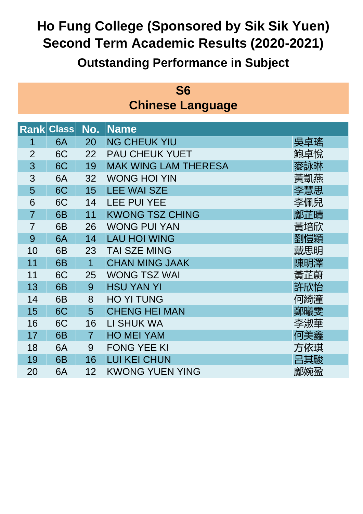| S <sub>6</sub> |                         |  |  |  |  |  |  |
|----------------|-------------------------|--|--|--|--|--|--|
|                | <b>Chinese Language</b> |  |  |  |  |  |  |

|                | <b>Rank Class</b> | No.            | <b>Name</b>                 |     |
|----------------|-------------------|----------------|-----------------------------|-----|
| 1              | 6A                | 20             | <b>NG CHEUK YIU</b>         | 吳卓瑤 |
| $\overline{2}$ | 6C                | 22             | <b>PAU CHEUK YUET</b>       | 鮑卓悅 |
| 3              | 6C                | 19             | <b>MAK WING LAM THERESA</b> | 麥詠琳 |
| 3              | 6A                | 32             | <b>WONG HOI YIN</b>         | 黃凱燕 |
| 5              | 6C                | 15             | <b>LEE WAI SZE</b>          | 李慧思 |
| 6              | 6C                | 14             | <b>LEE PUI YEE</b>          | 李佩兒 |
| $\overline{7}$ | 6B                | 11             | <b>KWONG TSZ CHING</b>      | 鄺芷晴 |
| $\overline{7}$ | 6B                | 26             | <b>WONG PUI YAN</b>         | 黃培欣 |
| 9              | 6A                | 14             | <b>LAU HOI WING</b>         | 劉愷穎 |
| 10             | 6B                | 23             | <b>TAI SZE MING</b>         | 戴思明 |
| 11             | 6B                | $\mathbf 1$    | <b>CHAN MING JAAK</b>       | 陳明澤 |
| 11             | 6C                | 25             | <b>WONG TSZ WAI</b>         | 黃芷蔚 |
| 13             | 6B                | 9              | <b>HSU YAN YI</b>           | 許欣怡 |
| 14             | 6B                | 8              | <b>HO YI TUNG</b>           | 何綺潼 |
| 15             | 6C                | 5              | <b>CHENG HEI MAN</b>        | 鄭曦雯 |
| 16             | 6C                | 16             | LI SHUK WA                  | 李淑華 |
| 17             | 6B                | $\overline{7}$ | <b>HO MEI YAM</b>           | 何美鑫 |
| 18             | 6A                | 9              | <b>FONG YEE KI</b>          | 方依琪 |
| 19             | 6B                | 16             | <b>LUI KEI CHUN</b>         | 呂其駿 |
| 20             | 6A                | 12             | <b>KWONG YUEN YING</b>      | 鄺婉盈 |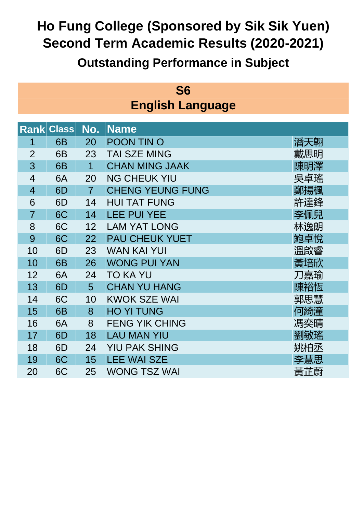| S <sub>6</sub> |                         |  |  |  |  |  |
|----------------|-------------------------|--|--|--|--|--|
|                | <b>English Language</b> |  |  |  |  |  |

|                | <b>Rank Class</b> | No.            | <b>Name</b>             |     |
|----------------|-------------------|----------------|-------------------------|-----|
| 1              | 6 <sub>B</sub>    | 20             | <b>POON TIN O</b>       | 潘天翱 |
| $\overline{2}$ | 6B                | 23             | <b>TAI SZE MING</b>     | 戴思明 |
| 3              | 6B                | $\overline{1}$ | <b>CHAN MING JAAK</b>   | 陳明澤 |
| $\overline{4}$ | 6A                | 20             | <b>NG CHEUK YIU</b>     | 吳卓瑤 |
| $\overline{4}$ | 6D                | $\overline{7}$ | <b>CHENG YEUNG FUNG</b> | 鄭揚楓 |
| 6              | 6D                | 14             | <b>HUI TAT FUNG</b>     | 許達鋒 |
| $\overline{7}$ | 6C                | 14             | <b>LEE PUI YEE</b>      | 李佩兒 |
| 8              | 6C                | 12             | <b>LAM YAT LONG</b>     | 林逸朗 |
| 9              | 6C                | 22             | <b>PAU CHEUK YUET</b>   | 鮑卓悅 |
| 10             | 6D                | 23             | <b>WAN KAI YUI</b>      | 溫啟睿 |
| 10             | 6B                | 26             | <b>WONG PUI YAN</b>     | 黃培欣 |
| 12             | 6A                | 24             | <b>TO KA YU</b>         | 刀嘉瑜 |
| 13             | 6D                | 5              | <b>CHAN YU HANG</b>     | 陳裕恆 |
| 14             | 6C                | 10             | <b>KWOK SZE WAI</b>     | 郭思慧 |
| 15             | 6B                | 8              | <b>HO YI TUNG</b>       | 何綺潼 |
| 16             | 6A                | 8              | <b>FENG YIK CHING</b>   | 馮奕晴 |
| 17             | 6D                | 18             | <b>LAU MAN YIU</b>      | 劉敏瑤 |
| 18             | 6D                | 24             | <b>YIU PAK SHING</b>    | 姚柏丞 |
| 19             | 6C                | 15             | <b>LEE WAI SZE</b>      | 李慧思 |
| 20             | 6C                | 25             | <b>WONG TSZ WAI</b>     | 黃芷蔚 |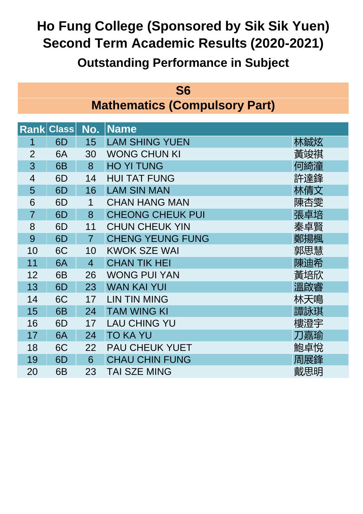|                                      | <b>S6</b> |  |
|--------------------------------------|-----------|--|
| <b>Mathematics (Compulsory Part)</b> |           |  |

|                | <b>Rank Class</b> | No.            | ∣Name                   |     |
|----------------|-------------------|----------------|-------------------------|-----|
| 1              | 6D                | 15             | <b>LAM SHING YUEN</b>   | 林鋮炫 |
| $\overline{2}$ | 6A                | 30             | <b>WONG CHUN KI</b>     | 黃竣祺 |
| 3              | 6B                | 8              | <b>HO YI TUNG</b>       | 何綺潼 |
| $\overline{4}$ | 6D                | 14             | <b>HUI TAT FUNG</b>     | 許達鋒 |
| 5              | 6D                | 16             | <b>LAM SIN MAN</b>      | 林倩文 |
| 6              | 6D                | $\mathbf 1$    | <b>CHAN HANG MAN</b>    | 陳杏雯 |
| $\overline{7}$ | 6D                | 8              | <b>CHEONG CHEUK PUI</b> | 張卓培 |
| 8              | 6D                | 11             | <b>CHUN CHEUK YIN</b>   | 秦卓賢 |
| 9              | 6D                | $\overline{7}$ | <b>CHENG YEUNG FUNG</b> | 鄭揚楓 |
| 10             | 6C                | 10             | <b>KWOK SZE WAI</b>     | 郭思慧 |
| 11             | 6A                | $\overline{4}$ | <b>CHAN TIK HEI</b>     | 陳迪希 |
| 12             | 6B                | 26             | <b>WONG PUI YAN</b>     | 黃培欣 |
| 13             | 6D                | 23             | <b>WAN KAI YUI</b>      | 溫啟睿 |
| 14             | 6C                | 17             | <b>LIN TIN MING</b>     | 林天鳴 |
| 15             | 6B                | 24             | <b>TAM WING KI</b>      | 譚詠琪 |
| 16             | 6D                | 17             | <b>LAU CHING YU</b>     | 樓澄宇 |
| 17             | 6A                | 24             | <b>TO KA YU</b>         | 刀嘉瑜 |
| 18             | 6C                | 22             | <b>PAU CHEUK YUET</b>   | 鮑卓悅 |
| 19             | 6D                | 6              | <b>CHAU CHIN FUNG</b>   | 周展鋒 |
| 20             | 6B                | 23             | <b>TAI SZE MING</b>     | 戴思明 |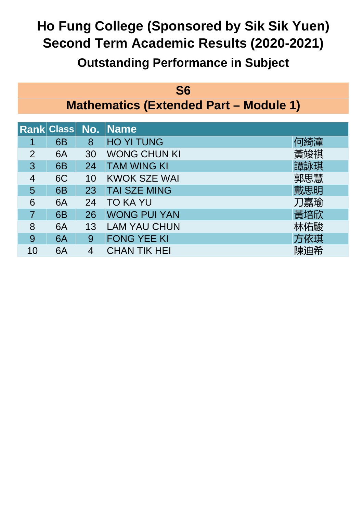#### **S6 Mathematics (Extended Part – Module 1)**

|                |                |    | <b>Rank Class No. Name</b> |     |
|----------------|----------------|----|----------------------------|-----|
|                | 6 <sub>B</sub> | 8  | <b>HO YI TUNG</b>          | 何綺潼 |
| $\overline{2}$ | 6A             | 30 | <b>WONG CHUN KI</b>        | 黃竣祺 |
| 3              | 6 <sub>B</sub> | 24 | <b>TAM WING KI</b>         | 譚詠琪 |
| 4              | 6C             | 10 | <b>KWOK SZE WAI</b>        | 郭思慧 |
| 5              | 6 <sub>B</sub> | 23 | <b>TAI SZE MING</b>        | 戴思明 |
| 6              | 6A             | 24 | TO KA YU                   | 刀嘉瑜 |
|                | 6 <sub>B</sub> | 26 | <b>WONG PUI YAN</b>        | 黃培欣 |
| 8              | 6A             | 13 | <b>LAM YAU CHUN</b>        | 沐佑駿 |
| 9              | 6A             | 9  | <b>FONG YEE KI</b>         | 方依琪 |
| 10             | 6A             | 4  | CHAN TIK HEI               | 陳迪希 |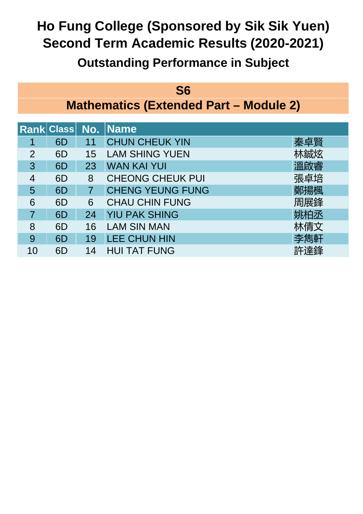#### **S6 Mathematics (Extended Part – Module 2)**

|                |    |    | Rank Class No. Name     |     |
|----------------|----|----|-------------------------|-----|
|                | 6D |    | <b>CHUN CHEUK YIN</b>   | 秦卓賢 |
| $\overline{2}$ | 6D | 15 | <b>LAM SHING YUEN</b>   |     |
| 3              | 6D | 23 | <b>WAN KAI YUI</b>      | 溫啟睿 |
| 4              | 6D | 8  | <b>CHEONG CHEUK PUI</b> | 張卓培 |
| 5              | 6D |    | <b>CHENG YEUNG FUNG</b> | 鄭揚楓 |
| 6              | 6D | 6  | <b>CHAU CHIN FUNG</b>   | 周展鋒 |
|                | 6D | 24 | <b>YIU PAK SHING</b>    |     |
| 8              | 6D | 16 | <b>LAM SIN MAN</b>      | :倩文 |
| 9              | 6D | 19 | <b>LEE CHUN HIN</b>     | 李雋軒 |
|                | 6D | 14 | <b>HUI TAT FUNG</b>     |     |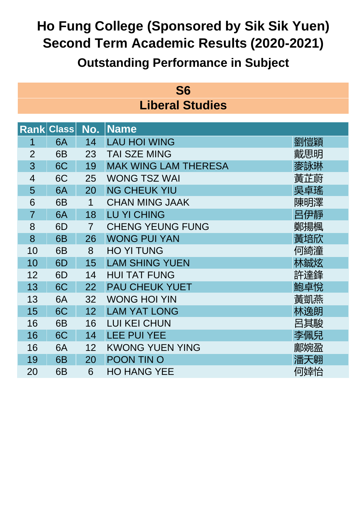| S <sub>6</sub> |                        |  |  |  |  |  |
|----------------|------------------------|--|--|--|--|--|
|                | <b>Liberal Studies</b> |  |  |  |  |  |

|                | <b>Rank Class</b> | No.            | <b>Name</b>                 |     |
|----------------|-------------------|----------------|-----------------------------|-----|
| 1              | 6A                | 14             | <b>LAU HOI WING</b>         | 劉愷穎 |
| $\overline{2}$ | 6B                | 23             | <b>TAI SZE MING</b>         | 戴思明 |
| 3              | 6C                | 19             | <b>MAK WING LAM THERESA</b> | 麥詠琳 |
| $\overline{4}$ | 6C                | 25             | <b>WONG TSZ WAI</b>         | 黃芷蔚 |
| 5              | 6A                | 20             | <b>NG CHEUK YIU</b>         | 吳卓瑤 |
| 6              | 6B                | 1              | <b>CHAN MING JAAK</b>       | 陳明澤 |
| $\overline{7}$ | 6A                | 18             | <b>LU YI CHING</b>          | 呂伊靜 |
| 8              | 6D                | $\overline{7}$ | <b>CHENG YEUNG FUNG</b>     | 鄭揚楓 |
| 8              | 6B                | 26             | <b>WONG PUI YAN</b>         | 黃培欣 |
| 10             | 6B                | 8              | <b>HO YI TUNG</b>           | 何綺潼 |
| 10             | 6 <sub>D</sub>    | 15             | <b>LAM SHING YUEN</b>       | 林鋮炫 |
| 12             | 6D                | 14             | <b>HUI TAT FUNG</b>         | 許達鋒 |
| 13             | 6C                | 22             | <b>PAU CHEUK YUET</b>       | 鮑卓悅 |
| 13             | 6A                | 32             | <b>WONG HOI YIN</b>         | 黃凱燕 |
| 15             | 6C                | 12             | <b>LAM YAT LONG</b>         | 林逸朗 |
| 16             | 6B                | 16             | <b>LUI KEI CHUN</b>         | 呂其駿 |
| 16             | 6C                | 14             | <b>LEE PUI YEE</b>          | 李佩兒 |
| 16             | 6A                | 12             | <b>KWONG YUEN YING</b>      | 鄺婉盈 |
| 19             | 6B                | 20             | POON TIN O                  | 潘天翱 |
| 20             | 6B                | 6              | <b>HO HANG YEE</b>          | 何婞怡 |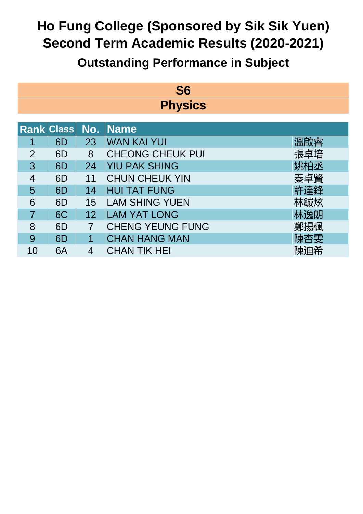### **Outstanding Performance in Subject**

#### **S6 Physics**

|                |    |    | Rank Class No. Name     |     |
|----------------|----|----|-------------------------|-----|
|                | 6D | 23 | <b>WAN KAI YUI</b>      | 溫啟睿 |
| $\overline{2}$ | 6D | 8  | <b>CHEONG CHEUK PUI</b> | 張卓培 |
| 3              | 6D | 24 | <b>YIU PAK SHING</b>    |     |
| 4              | 6D | 11 | <b>CHUN CHEUK YIN</b>   | 秦卓賢 |
| 5              | 6D | 14 | <b>HUI TAT FUNG</b>     | 許達鋒 |
| 6              | 6D | 15 | <b>LAM SHING YUEN</b>   |     |
|                | 6C | 12 | <b>LAM YAT LONG</b>     | 沐逸朗 |
| 8              | 6D |    | <b>CHENG YEUNG FUNG</b> | 鄭揚楓 |
| 9              | 6D |    | <b>CHAN HANG MAN</b>    | 陳杏雯 |
| 10             | 6A |    | CHAN TIK HEI            | 陳迪希 |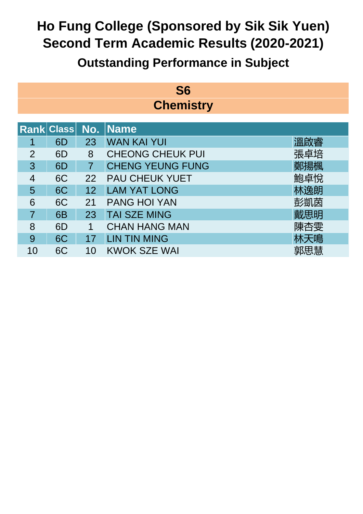### **Outstanding Performance in Subject**

#### **S6 Chemistry**

|                |                |    | Rank Class No. Name     |     |
|----------------|----------------|----|-------------------------|-----|
|                | 6D             | 23 | <b>WAN KAI YUI</b>      | 溫啟睿 |
| $\overline{2}$ | 6D             | 8  | <b>CHEONG CHEUK PUI</b> | 張卓培 |
| 3              | 6D             |    | <b>CHENG YEUNG FUNG</b> | 鄭揚楓 |
| 4              | 6C             | 22 | <b>PAU CHEUK YUET</b>   | 鮑卓悅 |
| 5              | 6C             | 12 | <b>LAM YAT LONG</b>     | 林逸朗 |
| 6              | 6C             | 21 | <b>PANG HOI YAN</b>     | 彭凱茵 |
|                | 6 <sub>B</sub> | 23 | <b>TAI SZE MING</b>     | 戴思明 |
| 8              | 6D             | 1  | <b>CHAN HANG MAN</b>    | 陳杏雯 |
| 9              | 6C             |    | <b>LIN TIN MING</b>     | 林天鳴 |
| 10             | 6C             | 10 | <b>KWOK SZE WAI</b>     | 郭思慧 |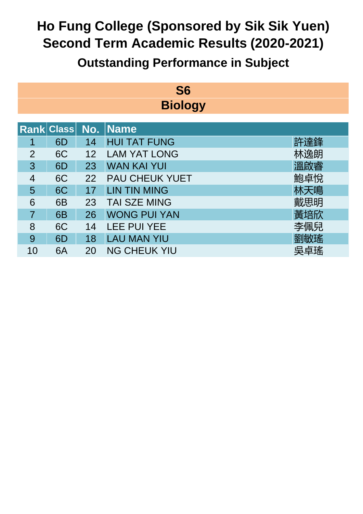### **Outstanding Performance in Subject**

#### **S6 Biology**

|                |                |    | Rank Class No. Name   |     |
|----------------|----------------|----|-----------------------|-----|
|                | 6D             | 14 | <b>HUI TAT FUNG</b>   | -達鋒 |
| $\overline{2}$ | 6C             | 12 | <b>LAM YAT LONG</b>   | 林逸朗 |
| 3              | 6D             | 23 | <b>WAN KAI YUI</b>    | 溫啟睿 |
| 4              | 6C             | 22 | <b>PAU CHEUK YUET</b> | 鮑卓悅 |
| 5              | 6C             | 17 | <b>LIN TIN MING</b>   | 林天鳴 |
| 6              | 6 <sub>B</sub> | 23 | TAI SZE MING          | 戴思明 |
|                | 6B             | 26 | <b>WONG PUI YAN</b>   | 黃培欣 |
| 8              | 6C             | 14 | <b>LEE PUI YEE</b>    | 李佩兒 |
| 9              | 6D             | 18 | <b>LAU MAN YIU</b>    | 劉敏瑤 |
| 10             | 6A             | 20 | <b>NG CHEUK YIU</b>   | 吴卓瑤 |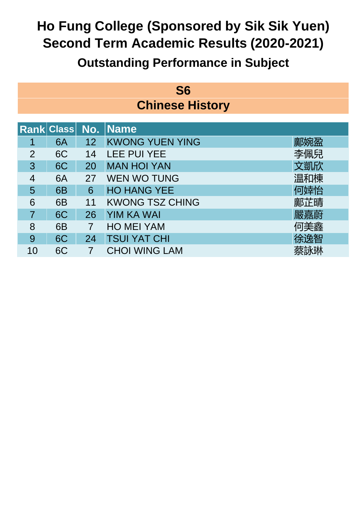| <b>S6</b>              |  |
|------------------------|--|
| <b>Chinese History</b> |  |

|                |                |    | Rank Class No. Name    |     |
|----------------|----------------|----|------------------------|-----|
|                | 6A             | 12 | <b>KWONG YUEN YING</b> | 鄺婉盈 |
| $\overline{2}$ | 6C             | 14 | <b>LEE PUI YEE</b>     | 李佩兒 |
| 3              | 6C             | 20 | <b>MAN HOI YAN</b>     | 文凱欣 |
| 4              | 6A             | 27 | <b>WEN WO TUNG</b>     | 温和棟 |
| 5              | 6 <sub>B</sub> | 6  | <b>HO HANG YEE</b>     | 何婞怡 |
| 6              | 6 <sub>B</sub> | 11 | <b>KWONG TSZ CHING</b> | 鄺芷晴 |
|                | 6C             | 26 | <b>YIM KA WAI</b>      | 嚴嘉蔚 |
| 8              | 6 <sub>B</sub> | 7  | <b>HO MEI YAM</b>      | 何美鑫 |
| 9              | 6C             | 24 | <b>TSUI YAT CHI</b>    | 徐逸智 |
| 10             | 6C             |    | CHOI WING LAM          |     |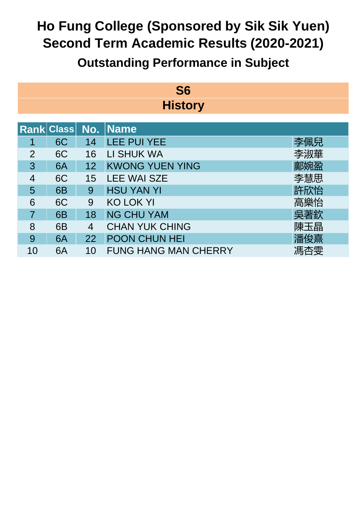### **Outstanding Performance in Subject**

#### **S6 History**

|                |                |    | Rank Class No. Name         |     |
|----------------|----------------|----|-----------------------------|-----|
|                | 6C             | 14 | <b>LEE PUI YEE</b>          | 李佩兒 |
| $\overline{2}$ | 6C             | 16 | LI SHUK WA                  | 李淑華 |
| 3              | 6A             | 12 | <b>KWONG YUEN YING</b>      | 鄺婉盈 |
| 4              | 6C             | 15 | <b>LEE WAI SZE</b>          | 李慧思 |
| 5              | 6 <sub>B</sub> | 9  | <b>HSU YAN YI</b>           | 許欣怡 |
| 6              | 6C             | 9  | <b>KO LOK YI</b>            | 高樂怡 |
|                | 6 <sub>B</sub> | 18 | <b>NG CHU YAM</b>           | 吳著欽 |
| 8              | 6B             | 4  | <b>CHAN YUK CHING</b>       | 陳玉晶 |
| 9              | 6A             | 22 | <b>POON CHUN HEI</b>        | 潘俊熹 |
| 10             | 6A             | 10 | <b>FUNG HANG MAN CHERRY</b> | 馮杏雯 |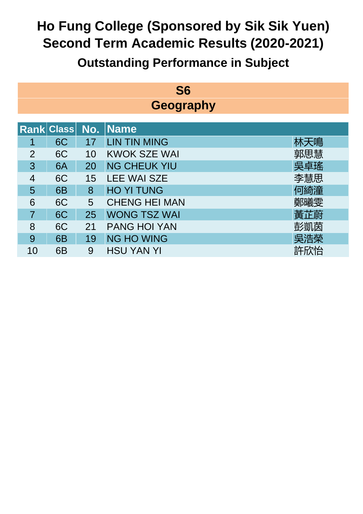## **Outstanding Performance in Subject**

#### **S6 Geography**

|                |                |    | <b>Rank Class No. Name</b> |     |
|----------------|----------------|----|----------------------------|-----|
|                | 6C             | 17 | <b>LIN TIN MING</b>        | 沃鳴  |
| $\overline{2}$ | 6C             | 10 | <b>KWOK SZE WAI</b>        | 郭思慧 |
| 3              | 6A             | 20 | <b>NG CHEUK YIU</b>        | 吳卓瑤 |
| 4              | 6C             | 15 | <b>LEE WAI SZE</b>         | 李慧思 |
| 5              | 6 <sub>B</sub> | 8  | <b>HO YI TUNG</b>          | 何綺潼 |
| 6              | 6C             | 5  | <b>CHENG HEI MAN</b>       | 鄭曦雯 |
|                | 6C             | 25 | <b>WONG TSZ WAI</b>        | 黃芷蔚 |
| 8              | 6C             | 21 | <b>PANG HOI YAN</b>        | 彭凱茵 |
| 9              | 6 <sub>B</sub> | 19 | <b>NG HO WING</b>          | 吳浩榮 |
|                | 6B             | 9  | <b>HSU YAN YI</b>          | 許欣怡 |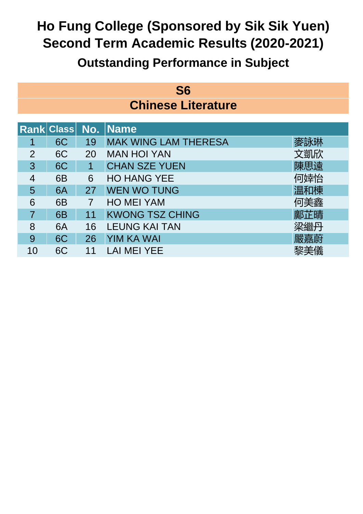| S <sub>6</sub>            |
|---------------------------|
| <b>Chinese Literature</b> |

|                |                |    | <b>Rank Class No. Name</b>  |     |
|----------------|----------------|----|-----------------------------|-----|
|                | 6C             | 19 | <b>MAK WING LAM THERESA</b> | 麥詠琳 |
| $\overline{2}$ | 6C             | 20 | <b>MAN HOI YAN</b>          | 文凱欣 |
| 3              | 6C             |    | <b>CHAN SZE YUEN</b>        | 陳思遠 |
| 4              | 6 <sub>B</sub> | 6  | <b>HO HANG YEE</b>          | 何婞怡 |
| 5              | 6A             | 27 | <b>WEN WO TUNG</b>          | 温和棟 |
| 6              | 6 <sub>B</sub> | 7  | <b>HO MEI YAM</b>           | 何美鑫 |
|                | 6 <sub>B</sub> | 11 | <b>KWONG TSZ CHING</b>      | 鄺芷晴 |
| 8              | 6A             | 16 | <b>LEUNG KAI TAN</b>        | 梁繼丹 |
| 9              | 6C             | 26 | <b>YIM KA WAI</b>           | 嚴嘉蔚 |
|                | 6C             |    | LAI MEI YEE                 |     |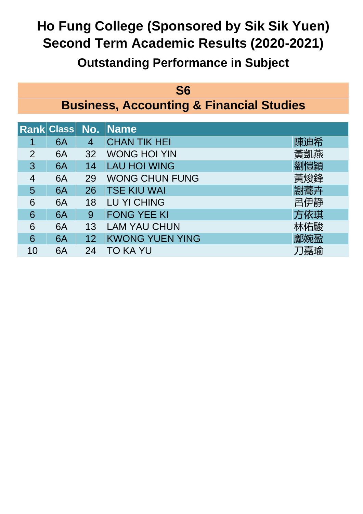### **Outstanding Performance in Subject**

#### **S6**

**Business, Accounting & Financial Studies**

|                |    |    | Rank Class No. Name    |     |
|----------------|----|----|------------------------|-----|
|                | 6A | 4  | <b>CHAN TIK HEI</b>    | 陳迪希 |
| $\overline{2}$ | 6A | 32 | <b>WONG HOI YIN</b>    | 黃凱燕 |
| 3              | 6A | 14 | <b>LAU HOI WING</b>    | 劉愷穎 |
| 4              | 6A | 29 | <b>WONG CHUN FUNG</b>  | 黃焌鋒 |
| 5              | 6A | 26 | <b>TSE KIU WAI</b>     | 謝蕎卉 |
| 6              | 6A | 18 | <b>LU YI CHING</b>     | 呂伊靜 |
| 6              | 6A | 9  | <b>FONG YEE KI</b>     | 方依琪 |
| 6              | 6A | 13 | <b>LAM YAU CHUN</b>    | 林佑駿 |
| 6              | 6A | 12 | <b>KWONG YUEN YING</b> | 鄺婉盈 |
|                | 6A | 24 | TO KA YU               | 刀嘉瑜 |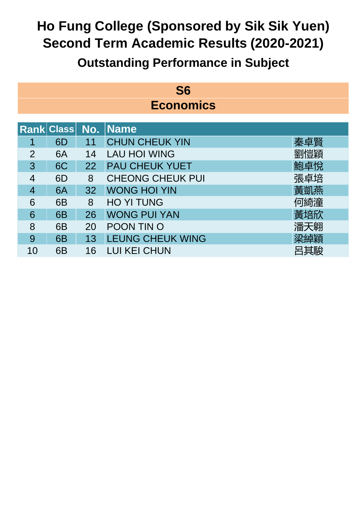### **Outstanding Performance in Subject**

#### **S6 Economics**

|                |                |    | <b>Rank Class No. Name</b> |     |
|----------------|----------------|----|----------------------------|-----|
|                | 6D             |    | <b>CHUN CHEUK YIN</b>      | 秦卓賢 |
| $\overline{2}$ | 6A             | 14 | <b>LAU HOI WING</b>        | 劉愷穎 |
| 3              | 6C             | 22 | <b>PAU CHEUK YUET</b>      | 鮑卓悅 |
| 4              | 6D             | 8  | <b>CHEONG CHEUK PUI</b>    | 張卓培 |
| 4              | 6A             | 32 | <b>WONG HOI YIN</b>        | 黃凱燕 |
| 6              | 6 <sub>B</sub> | 8  | <b>HO YI TUNG</b>          | 何綺潼 |
| 6              | 6 <sub>B</sub> | 26 | <b>WONG PUI YAN</b>        | 黃培欣 |
| 8              | 6 <sub>B</sub> | 20 | <b>POON TIN O</b>          | 潘天翱 |
| 9              | 6 <sub>B</sub> | 13 | <b>LEUNG CHEUK WING</b>    | 梁綽穎 |
| 10             | 6B             | 16 | LUI KEI CHUN               | 其駿  |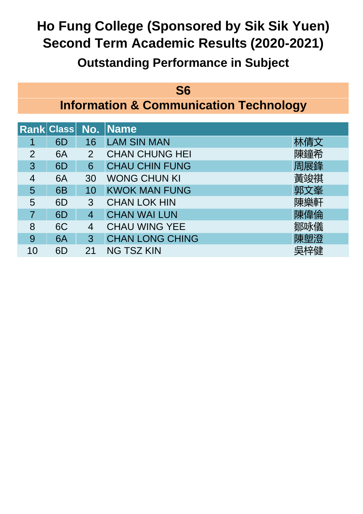#### **S6**

**Information & Communication Technology**

|   |                |                | <b>Rank Class No. Name</b> |     |
|---|----------------|----------------|----------------------------|-----|
|   | 6D             | 16             | <b>LAM SIN MAN</b>         | `倩文 |
| 2 | 6A             | $\overline{2}$ | <b>CHAN CHUNG HEI</b>      | 陳鐘希 |
| 3 | 6D             | 6              | <b>CHAU CHIN FUNG</b>      | 周展鋒 |
| 4 | 6A             | 30             | <b>WONG CHUN KI</b>        | 黃竣祺 |
| 5 | 6 <sub>B</sub> | 10             | <b>KWOK MAN FUNG</b>       | 郭文峯 |
| 5 | 6D             | 3              | <b>CHAN LOK HIN</b>        | 陳樂軒 |
|   | 6D             | 4              | <b>CHAN WAI LUN</b>        | 陳偉倫 |
| 8 | 6C             | 4              | <b>CHAU WING YEE</b>       | 鄒咏儀 |
| 9 | 6A             | 3              | <b>CHAN LONG CHING</b>     | 陳塱澄 |
|   | 6D             | 21             | <b>NG TSZ KIN</b>          |     |